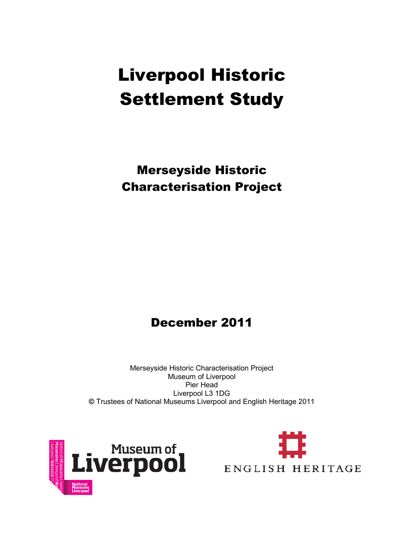# Liverpool Historic Settlement Study

Merseyside Historic Characterisation Project

## December 2011

Merseyside Historic Characterisation Project Museum of Liverpool Pier Head Liverpool L3 1DG **©** Trustees of National Museums Liverpool and English Heritage 2011



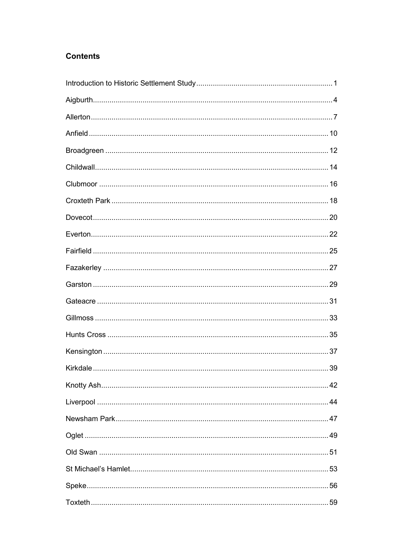#### **Contents**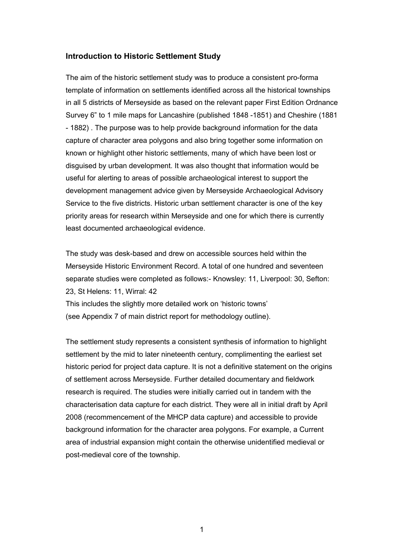#### **Introduction to Historic Settlement Study**

The aim of the historic settlement study was to produce a consistent pro-forma template of information on settlements identified across all the historical townships in all 5 districts of Merseyside as based on the relevant paper First Edition Ordnance Survey 6" to 1 mile maps for Lancashire (published 1848 -1851) and Cheshire (1881 - 1882) . The purpose was to help provide background information for the data capture of character area polygons and also bring together some information on known or highlight other historic settlements, many of which have been lost or disguised by urban development. It was also thought that information would be useful for alerting to areas of possible archaeological interest to support the development management advice given by Merseyside Archaeological Advisory Service to the five districts. Historic urban settlement character is one of the key priority areas for research within Merseyside and one for which there is currently least documented archaeological evidence.

The study was desk-based and drew on accessible sources held within the Merseyside Historic Environment Record. A total of one hundred and seventeen separate studies were completed as follows:- Knowsley: 11, Liverpool: 30, Sefton: 23, St Helens: 11, Wirral: 42

This includes the slightly more detailed work on 'historic towns' (see Appendix 7 of main district report for methodology outline).

The settlement study represents a consistent synthesis of information to highlight settlement by the mid to later nineteenth century, complimenting the earliest set historic period for project data capture. It is not a definitive statement on the origins of settlement across Merseyside. Further detailed documentary and fieldwork research is required. The studies were initially carried out in tandem with the characterisation data capture for each district. They were all in initial draft by April 2008 (recommencement of the MHCP data capture) and accessible to provide background information for the character area polygons. For example, a Current area of industrial expansion might contain the otherwise unidentified medieval or post-medieval core of the township.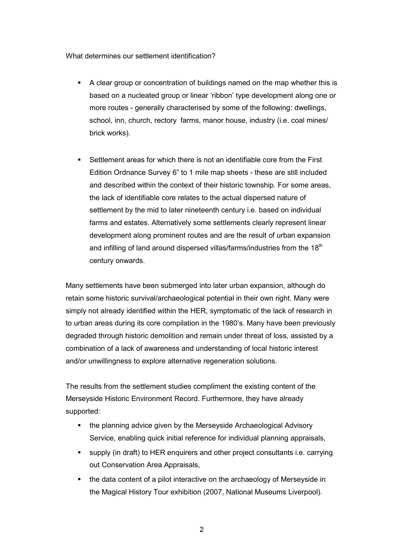What determines our settlement identification?

- A clear group or concentration of buildings named on the map whether this is based on a nucleated group or linear 'ribbon' type development along one or more routes - generally characterised by some of the following: dwellings, school, inn, church, rectory farms, manor house, industry (i.e. coal mines/ brick works).
- Settlement areas for which there is not an identifiable core from the First Edition Ordnance Survey 6" to 1 mile map sheets - these are still included and described within the context of their historic township. For some areas, the lack of identifiable core relates to the actual dispersed nature of settlement by the mid to later nineteenth century i.e. based on individual farms and estates. Alternatively some settlements clearly represent linear development along prominent routes and are the result of urban expansion and infilling of land around dispersed villas/farms/industries from the 18<sup>th</sup> century onwards.

Many settlements have been submerged into later urban expansion, although do retain some historic survival/archaeological potential in their own right. Many were simply not already identified within the HER, symptomatic of the lack of research in to urban areas during its core compilation in the 1980's. Many have been previously degraded through historic demolition and remain under threat of loss, assisted by a combination of a lack of awareness and understanding of local historic interest and/or unwillingness to explore alternative regeneration solutions.

The results from the settlement studies compliment the existing content of the Merseyside Historic Environment Record. Furthermore, they have already supported:

- the planning advice given by the Merseyside Archaeological Advisory Service, enabling quick initial reference for individual planning appraisals,
- supply (in draft) to HER enquirers and other project consultants i.e. carrying out Conservation Area Appraisals,
- the data content of a pilot interactive on the archaeology of Merseyside in the Magical History Tour exhibition (2007, National Museums Liverpool).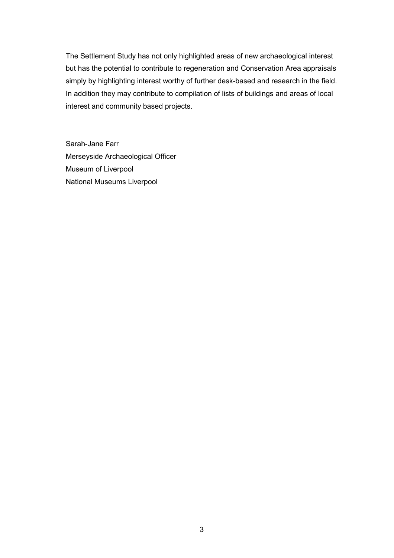The Settlement Study has not only highlighted areas of new archaeological interest but has the potential to contribute to regeneration and Conservation Area appraisals simply by highlighting interest worthy of further desk-based and research in the field. In addition they may contribute to compilation of lists of buildings and areas of local interest and community based projects.

Sarah-Jane Farr Merseyside Archaeological Officer Museum of Liverpool National Museums Liverpool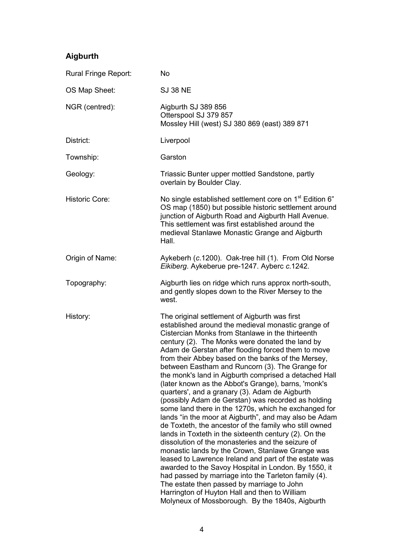### **Aigburth**

| Rural Fringe Report:  | <b>No</b>                                                                                                                                                                                                                                                                                                                                                                                                                                                                                                                                                                                                                                                                                                                                                                                                                                                                                                                                                                                                                                                                                                                                                                                                                                                                 |
|-----------------------|---------------------------------------------------------------------------------------------------------------------------------------------------------------------------------------------------------------------------------------------------------------------------------------------------------------------------------------------------------------------------------------------------------------------------------------------------------------------------------------------------------------------------------------------------------------------------------------------------------------------------------------------------------------------------------------------------------------------------------------------------------------------------------------------------------------------------------------------------------------------------------------------------------------------------------------------------------------------------------------------------------------------------------------------------------------------------------------------------------------------------------------------------------------------------------------------------------------------------------------------------------------------------|
| OS Map Sheet:         | <b>SJ 38 NE</b>                                                                                                                                                                                                                                                                                                                                                                                                                                                                                                                                                                                                                                                                                                                                                                                                                                                                                                                                                                                                                                                                                                                                                                                                                                                           |
| NGR (centred):        | Aigburth SJ 389 856<br>Otterspool SJ 379 857<br>Mossley Hill (west) SJ 380 869 (east) 389 871                                                                                                                                                                                                                                                                                                                                                                                                                                                                                                                                                                                                                                                                                                                                                                                                                                                                                                                                                                                                                                                                                                                                                                             |
| District:             | Liverpool                                                                                                                                                                                                                                                                                                                                                                                                                                                                                                                                                                                                                                                                                                                                                                                                                                                                                                                                                                                                                                                                                                                                                                                                                                                                 |
| Township:             | Garston                                                                                                                                                                                                                                                                                                                                                                                                                                                                                                                                                                                                                                                                                                                                                                                                                                                                                                                                                                                                                                                                                                                                                                                                                                                                   |
| Geology:              | Triassic Bunter upper mottled Sandstone, partly<br>overlain by Boulder Clay.                                                                                                                                                                                                                                                                                                                                                                                                                                                                                                                                                                                                                                                                                                                                                                                                                                                                                                                                                                                                                                                                                                                                                                                              |
| <b>Historic Core:</b> | No single established settlement core on 1 <sup>st</sup> Edition 6"<br>OS map (1850) but possible historic settlement around<br>junction of Aigburth Road and Aigburth Hall Avenue.<br>This settlement was first established around the<br>medieval Stanlawe Monastic Grange and Aigburth<br>Hall.                                                                                                                                                                                                                                                                                                                                                                                                                                                                                                                                                                                                                                                                                                                                                                                                                                                                                                                                                                        |
| Origin of Name:       | Aykeberh (c.1200). Oak-tree hill (1). From Old Norse<br>Eikiberg. Aykeberue pre-1247. Ayberc c.1242.                                                                                                                                                                                                                                                                                                                                                                                                                                                                                                                                                                                                                                                                                                                                                                                                                                                                                                                                                                                                                                                                                                                                                                      |
| Topography:           | Aigburth lies on ridge which runs approx north-south,<br>and gently slopes down to the River Mersey to the<br>west.                                                                                                                                                                                                                                                                                                                                                                                                                                                                                                                                                                                                                                                                                                                                                                                                                                                                                                                                                                                                                                                                                                                                                       |
| History:              | The original settlement of Aigburth was first<br>established around the medieval monastic grange of<br>Cistercian Monks from Stanlawe in the thirteenth<br>century (2). The Monks were donated the land by<br>Adam de Gerstan after flooding forced them to move<br>from their Abbey based on the banks of the Mersey,<br>between Eastham and Runcorn (3). The Grange for<br>the monk's land in Aigburth comprised a detached Hall<br>(later known as the Abbot's Grange), barns, 'monk's<br>quarters', and a granary (3). Adam de Aigburth<br>(possibly Adam de Gerstan) was recorded as holding<br>some land there in the 1270s, which he exchanged for<br>lands "in the moor at Aigburth", and may also be Adam<br>de Toxteth, the ancestor of the family who still owned<br>lands in Toxteth in the sixteenth century (2). On the<br>dissolution of the monasteries and the seizure of<br>monastic lands by the Crown, Stanlawe Grange was<br>leased to Lawrence Ireland and part of the estate was<br>awarded to the Savoy Hospital in London. By 1550, it<br>had passed by marriage into the Tarleton family (4).<br>The estate then passed by marriage to John<br>Harrington of Huyton Hall and then to William<br>Molyneux of Mossborough. By the 1840s, Aigburth |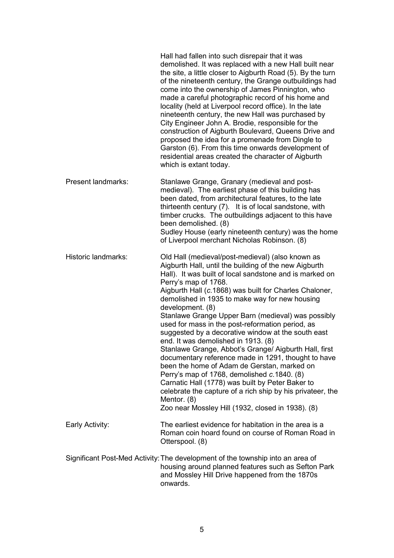|                           | Hall had fallen into such disrepair that it was<br>demolished. It was replaced with a new Hall built near<br>the site, a little closer to Aigburth Road (5). By the turn<br>of the nineteenth century, the Grange outbuildings had<br>come into the ownership of James Pinnington, who<br>made a careful photographic record of his home and<br>locality (held at Liverpool record office). In the late<br>nineteenth century, the new Hall was purchased by<br>City Engineer John A. Brodie, responsible for the<br>construction of Aigburth Boulevard, Queens Drive and<br>proposed the idea for a promenade from Dingle to<br>Garston (6). From this time onwards development of<br>residential areas created the character of Aigburth<br>which is extant today.                                                                                                                                                                    |
|---------------------------|-----------------------------------------------------------------------------------------------------------------------------------------------------------------------------------------------------------------------------------------------------------------------------------------------------------------------------------------------------------------------------------------------------------------------------------------------------------------------------------------------------------------------------------------------------------------------------------------------------------------------------------------------------------------------------------------------------------------------------------------------------------------------------------------------------------------------------------------------------------------------------------------------------------------------------------------|
| <b>Present landmarks:</b> | Stanlawe Grange, Granary (medieval and post-<br>medieval). The earliest phase of this building has<br>been dated, from architectural features, to the late<br>thirteenth century (7). It is of local sandstone, with<br>timber crucks. The outbuildings adjacent to this have<br>been demolished. (8)<br>Sudley House (early nineteenth century) was the home<br>of Liverpool merchant Nicholas Robinson. (8)                                                                                                                                                                                                                                                                                                                                                                                                                                                                                                                           |
| Historic landmarks:       | Old Hall (medieval/post-medieval) (also known as<br>Aigburth Hall, until the building of the new Aigburth<br>Hall). It was built of local sandstone and is marked on<br>Perry's map of 1768.<br>Aigburth Hall (c.1868) was built for Charles Chaloner,<br>demolished in 1935 to make way for new housing<br>development. (8)<br>Stanlawe Grange Upper Barn (medieval) was possibly<br>used for mass in the post-reformation period, as<br>suggested by a decorative window at the south east<br>end. It was demolished in 1913. (8)<br>Stanlawe Grange, Abbot's Grange/ Aigburth Hall, first<br>documentary reference made in 1291, thought to have<br>been the home of Adam de Gerstan, marked on<br>Perry's map of 1768, demolished c.1840. (8)<br>Carnatic Hall (1778) was built by Peter Baker to<br>celebrate the capture of a rich ship by his privateer, the<br>Mentor. (8)<br>Zoo near Mossley Hill (1932, closed in 1938). (8) |
| Early Activity:           | The earliest evidence for habitation in the area is a<br>Roman coin hoard found on course of Roman Road in<br>Otterspool. (8)                                                                                                                                                                                                                                                                                                                                                                                                                                                                                                                                                                                                                                                                                                                                                                                                           |
|                           | Significant Post-Med Activity: The development of the township into an area of<br>housing around planned features such as Sefton Park<br>and Mossley Hill Drive happened from the 1870s<br>onwards.                                                                                                                                                                                                                                                                                                                                                                                                                                                                                                                                                                                                                                                                                                                                     |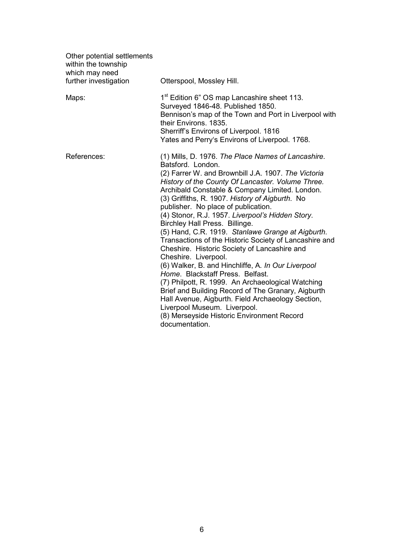| Other potential settlements<br>within the township<br>which may need<br>further investigation | Otterspool, Mossley Hill.                                                                                                                                                                                                                                                                                                                                                                                                                                                                                                                                                                                                                                                                                                                                                                                                                                                                                                                                              |
|-----------------------------------------------------------------------------------------------|------------------------------------------------------------------------------------------------------------------------------------------------------------------------------------------------------------------------------------------------------------------------------------------------------------------------------------------------------------------------------------------------------------------------------------------------------------------------------------------------------------------------------------------------------------------------------------------------------------------------------------------------------------------------------------------------------------------------------------------------------------------------------------------------------------------------------------------------------------------------------------------------------------------------------------------------------------------------|
| Maps:                                                                                         | 1 <sup>st</sup> Edition 6" OS map Lancashire sheet 113.<br>Surveyed 1846-48. Published 1850.<br>Bennison's map of the Town and Port in Liverpool with<br>their Environs, 1835.<br>Sherriff's Environs of Liverpool. 1816<br>Yates and Perry's Environs of Liverpool. 1768.                                                                                                                                                                                                                                                                                                                                                                                                                                                                                                                                                                                                                                                                                             |
| References:                                                                                   | (1) Mills, D. 1976. The Place Names of Lancashire.<br>Batsford. London.<br>(2) Farrer W. and Brownbill J.A. 1907. The Victoria<br>History of the County Of Lancaster. Volume Three.<br>Archibald Constable & Company Limited. London.<br>(3) Griffiths, R. 1907. History of Aigburth. No<br>publisher. No place of publication.<br>(4) Stonor, R.J. 1957. Liverpool's Hidden Story.<br>Birchley Hall Press. Billinge.<br>(5) Hand, C.R. 1919. Stanlawe Grange at Aigburth.<br>Transactions of the Historic Society of Lancashire and<br>Cheshire. Historic Society of Lancashire and<br>Cheshire. Liverpool.<br>(6) Walker, B. and Hinchliffe, A. In Our Liverpool<br>Home. Blackstaff Press. Belfast.<br>(7) Philpott, R. 1999. An Archaeological Watching<br>Brief and Building Record of The Granary, Aigburth<br>Hall Avenue, Aigburth. Field Archaeology Section,<br>Liverpool Museum. Liverpool.<br>(8) Merseyside Historic Environment Record<br>documentation. |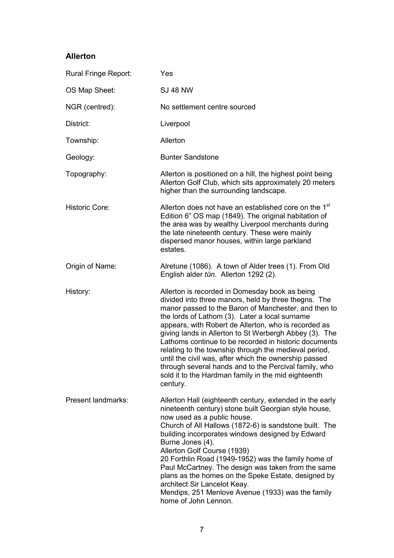#### **Allerton**

| Rural Fringe Report:      | Yes                                                                                                                                                                                                                                                                                                                                                                                                                                                                                                                                                                                                                                       |
|---------------------------|-------------------------------------------------------------------------------------------------------------------------------------------------------------------------------------------------------------------------------------------------------------------------------------------------------------------------------------------------------------------------------------------------------------------------------------------------------------------------------------------------------------------------------------------------------------------------------------------------------------------------------------------|
| OS Map Sheet:             | <b>SJ 48 NW</b>                                                                                                                                                                                                                                                                                                                                                                                                                                                                                                                                                                                                                           |
| NGR (centred):            | No settlement centre sourced                                                                                                                                                                                                                                                                                                                                                                                                                                                                                                                                                                                                              |
| District:                 | Liverpool                                                                                                                                                                                                                                                                                                                                                                                                                                                                                                                                                                                                                                 |
| Township:                 | Allerton                                                                                                                                                                                                                                                                                                                                                                                                                                                                                                                                                                                                                                  |
| Geology:                  | <b>Bunter Sandstone</b>                                                                                                                                                                                                                                                                                                                                                                                                                                                                                                                                                                                                                   |
| Topography:               | Allerton is positioned on a hill, the highest point being<br>Allerton Golf Club, which sits approximately 20 meters<br>higher than the surrounding landscape.                                                                                                                                                                                                                                                                                                                                                                                                                                                                             |
| <b>Historic Core:</b>     | Allerton does not have an established core on the 1 <sup>st</sup><br>Edition 6" OS map (1849). The original habitation of<br>the area was by wealthy Liverpool merchants during<br>the late nineteenth century. These were mainly<br>dispersed manor houses, within large parkland<br>estates.                                                                                                                                                                                                                                                                                                                                            |
| Origin of Name:           | Alretune (1086). A town of Alder trees (1). From Old<br>English alder tūn. Allerton 1292 (2).                                                                                                                                                                                                                                                                                                                                                                                                                                                                                                                                             |
| History:                  | Allerton is recorded in Domesday book as being<br>divided into three manors, held by three thegns. The<br>manor passed to the Baron of Manchester, and then to<br>the lords of Lathom (3). Later a local surname<br>appears, with Robert de Allerton, who is recorded as<br>giving lands in Allerton to St Werbergh Abbey (3). The<br>Lathoms continue to be recorded in historic documents<br>relating to the township through the medieval period,<br>until the civil was, after which the ownership passed<br>through several hands and to the Percival family, who<br>sold it to the Hardman family in the mid eighteenth<br>century. |
| <b>Present landmarks:</b> | Allerton Hall (eighteenth century, extended in the early<br>nineteenth century) stone built Georgian style house,<br>now used as a public house.<br>Church of All Hallows (1872-6) is sandstone built. The<br>building incorporates windows designed by Edward<br>Burne Jones (4).<br>Allerton Golf Course (1939)<br>20 Forthlin Road (1949-1952) was the family home of<br>Paul McCartney. The design was taken from the same<br>plans as the homes on the Speke Estate, designed by<br>architect Sir Lancelot Keay.<br>Mendips, 251 Menlove Avenue (1933) was the family<br>home of John Lennon.                                        |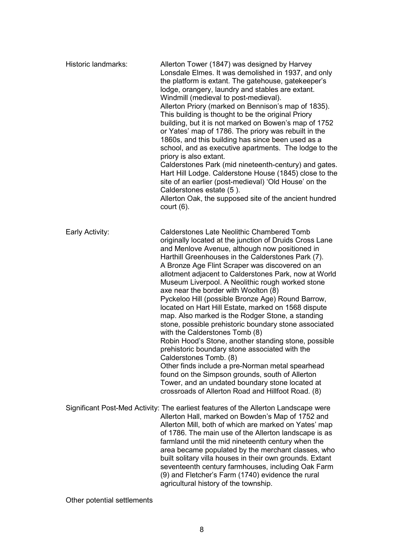| Historic landmarks: | Allerton Tower (1847) was designed by Harvey<br>Lonsdale Elmes. It was demolished in 1937, and only<br>the platform is extant. The gatehouse, gatekeeper's<br>lodge, orangery, laundry and stables are extant.<br>Windmill (medieval to post-medieval).<br>Allerton Priory (marked on Bennison's map of 1835).<br>This building is thought to be the original Priory<br>building, but it is not marked on Bowen's map of 1752<br>or Yates' map of 1786. The priory was rebuilt in the<br>1860s, and this building has since been used as a<br>school, and as executive apartments. The lodge to the<br>priory is also extant.<br>Calderstones Park (mid nineteenth-century) and gates.<br>Hart Hill Lodge. Calderstone House (1845) close to the<br>site of an earlier (post-medieval) 'Old House' on the<br>Calderstones estate (5).<br>Allerton Oak, the supposed site of the ancient hundred<br>court $(6)$ .                                                                                                                            |
|---------------------|---------------------------------------------------------------------------------------------------------------------------------------------------------------------------------------------------------------------------------------------------------------------------------------------------------------------------------------------------------------------------------------------------------------------------------------------------------------------------------------------------------------------------------------------------------------------------------------------------------------------------------------------------------------------------------------------------------------------------------------------------------------------------------------------------------------------------------------------------------------------------------------------------------------------------------------------------------------------------------------------------------------------------------------------|
| Early Activity:     | <b>Calderstones Late Neolithic Chambered Tomb</b><br>originally located at the junction of Druids Cross Lane<br>and Menlove Avenue, although now positioned in<br>Harthill Greenhouses in the Calderstones Park (7).<br>A Bronze Age Flint Scraper was discovered on an<br>allotment adjacent to Calderstones Park, now at World<br>Museum Liverpool. A Neolithic rough worked stone<br>axe near the border with Woolton (8)<br>Pyckeloo Hill (possible Bronze Age) Round Barrow,<br>located on Hart Hill Estate, marked on 1568 dispute<br>map. Also marked is the Rodger Stone, a standing<br>stone, possible prehistoric boundary stone associated<br>with the Calderstones Tomb (8)<br>Robin Hood's Stone, another standing stone, possible<br>prehistoric boundary stone associated with the<br>Calderstones Tomb. (8)<br>Other finds include a pre-Norman metal spearhead<br>found on the Simpson grounds, south of Allerton<br>Tower, and an undated boundary stone located at<br>crossroads of Allerton Road and Hillfoot Road. (8) |
|                     | Significant Post-Med Activity: The earliest features of the Allerton Landscape were<br>Allerton Hall, marked on Bowden's Map of 1752 and<br>Allerton Mill, both of which are marked on Yates' map<br>of 1786. The main use of the Allerton landscape is as<br>farmland until the mid nineteenth century when the<br>area became populated by the merchant classes, who<br>built solitary villa houses in their own grounds. Extant<br>seventeenth century farmhouses, including Oak Farm<br>(9) and Fletcher's Farm (1740) evidence the rural<br>agricultural history of the township.                                                                                                                                                                                                                                                                                                                                                                                                                                                      |

Other potential settlements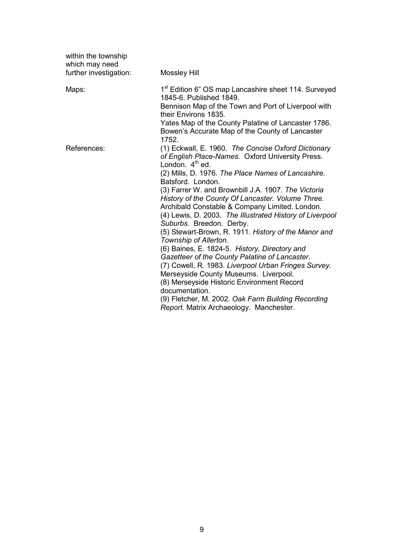| within the township<br>which may need<br>further investigation: | <b>Mossley Hill</b>                                                                                                                                                                                                                                                                                                                                                                                                                                                                                                                                                                                                                                                                                                                                                                                                                                                                                                 |
|-----------------------------------------------------------------|---------------------------------------------------------------------------------------------------------------------------------------------------------------------------------------------------------------------------------------------------------------------------------------------------------------------------------------------------------------------------------------------------------------------------------------------------------------------------------------------------------------------------------------------------------------------------------------------------------------------------------------------------------------------------------------------------------------------------------------------------------------------------------------------------------------------------------------------------------------------------------------------------------------------|
| Maps:                                                           | 1 <sup>st</sup> Edition 6" OS map Lancashire sheet 114. Surveyed<br>1845-6. Published 1849.<br>Bennison Map of the Town and Port of Liverpool with<br>their Environs 1835.<br>Yates Map of the County Palatine of Lancaster 1786.<br>Bowen's Accurate Map of the County of Lancaster<br>1752.                                                                                                                                                                                                                                                                                                                                                                                                                                                                                                                                                                                                                       |
| References:                                                     | (1) Eckwall, E. 1960. The Concise Oxford Dictionary<br>of English Place-Names. Oxford University Press.<br>London. $4th$ ed.<br>(2) Mills, D. 1976. The Place Names of Lancashire.<br>Batsford. London.<br>(3) Farrer W. and Brownbill J.A. 1907. The Victoria<br>History of the County Of Lancaster. Volume Three.<br>Archibald Constable & Company Limited. London.<br>(4) Lewis, D. 2003. The Illustrated History of Liverpool<br>Suburbs. Breedon. Derby.<br>(5) Stewart-Brown, R. 1911. History of the Manor and<br>Township of Allerton.<br>(6) Baines, E. 1824-5. History, Directory and<br>Gazetteer of the County Palatine of Lancaster.<br>(7) Cowell, R. 1983. Liverpool Urban Fringes Survey.<br>Merseyside County Museums. Liverpool.<br>(8) Merseyside Historic Environment Record<br>documentation.<br>(9) Fletcher, M. 2002. Oak Farm Building Recording<br>Report. Matrix Archaeology. Manchester. |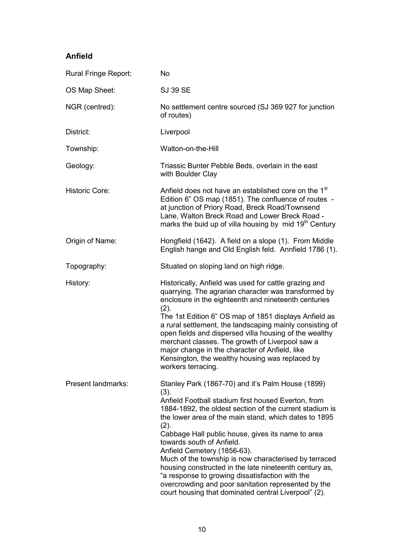#### **Anfield**

| Rural Fringe Report:  | <b>No</b>                                                                                                                                                                                                                                                                                                                                                                                                                                                                                                                                                                                                                                          |
|-----------------------|----------------------------------------------------------------------------------------------------------------------------------------------------------------------------------------------------------------------------------------------------------------------------------------------------------------------------------------------------------------------------------------------------------------------------------------------------------------------------------------------------------------------------------------------------------------------------------------------------------------------------------------------------|
| OS Map Sheet:         | <b>SJ 39 SE</b>                                                                                                                                                                                                                                                                                                                                                                                                                                                                                                                                                                                                                                    |
| NGR (centred):        | No settlement centre sourced (SJ 369 927 for junction<br>of routes)                                                                                                                                                                                                                                                                                                                                                                                                                                                                                                                                                                                |
| District:             | Liverpool                                                                                                                                                                                                                                                                                                                                                                                                                                                                                                                                                                                                                                          |
| Township:             | Walton-on-the-Hill                                                                                                                                                                                                                                                                                                                                                                                                                                                                                                                                                                                                                                 |
| Geology:              | Triassic Bunter Pebble Beds, overlain in the east<br>with Boulder Clay                                                                                                                                                                                                                                                                                                                                                                                                                                                                                                                                                                             |
| <b>Historic Core:</b> | Anfield does not have an established core on the 1 <sup>st</sup><br>Edition 6" OS map (1851). The confluence of routes -<br>at junction of Priory Road, Breck Road/Townsend<br>Lane, Walton Breck Road and Lower Breck Road -<br>marks the buid up of villa housing by mid 19 <sup>th</sup> Century                                                                                                                                                                                                                                                                                                                                                |
| Origin of Name:       | Hongfield (1642). A field on a slope (1). From Middle<br>English hange and Old English feld. Annfield 1786 (1).                                                                                                                                                                                                                                                                                                                                                                                                                                                                                                                                    |
| Topography:           | Situated on sloping land on high ridge.                                                                                                                                                                                                                                                                                                                                                                                                                                                                                                                                                                                                            |
| History:              | Historically, Anfield was used for cattle grazing and<br>quarrying. The agrarian character was transformed by<br>enclosure in the eighteenth and nineteenth centuries<br>(2).<br>The 1st Edition 6" OS map of 1851 displays Anfield as<br>a rural settlement, the landscaping mainly consisting of<br>open fields and dispersed villa housing of the wealthy<br>merchant classes. The growth of Liverpool saw a<br>major change in the character of Anfield, like<br>Kensington, the wealthy housing was replaced by<br>workers terracing.                                                                                                         |
| Present landmarks:    | Stanley Park (1867-70) and it's Palm House (1899)<br>(3).<br>Anfield Football stadium first housed Everton, from<br>1884-1892, the oldest section of the current stadium is<br>the lower area of the main stand, which dates to 1895<br>(2).<br>Cabbage Hall public house, gives its name to area<br>towards south of Anfield.<br>Anfield Cemetery (1856-63).<br>Much of the township is now characterised by terraced<br>housing constructed in the late nineteenth century as,<br>"a response to growing dissatisfaction with the<br>overcrowding and poor sanitation represented by the<br>court housing that dominated central Liverpool" (2). |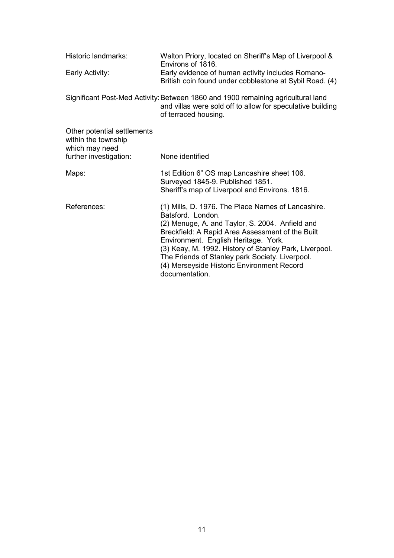| Historic landmarks:                                                                            | Walton Priory, located on Sheriff's Map of Liverpool &<br>Environs of 1816.                                                                                                                                                                                                                                                                                                                         |
|------------------------------------------------------------------------------------------------|-----------------------------------------------------------------------------------------------------------------------------------------------------------------------------------------------------------------------------------------------------------------------------------------------------------------------------------------------------------------------------------------------------|
| Early Activity:                                                                                | Early evidence of human activity includes Romano-<br>British coin found under cobblestone at Sybil Road. (4)                                                                                                                                                                                                                                                                                        |
|                                                                                                | Significant Post-Med Activity: Between 1860 and 1900 remaining agricultural land<br>and villas were sold off to allow for speculative building<br>of terraced housing.                                                                                                                                                                                                                              |
| Other potential settlements<br>within the township<br>which may need<br>further investigation: | None identified                                                                                                                                                                                                                                                                                                                                                                                     |
| Maps:                                                                                          | 1st Edition 6" OS map Lancashire sheet 106.                                                                                                                                                                                                                                                                                                                                                         |
|                                                                                                | Surveyed 1845-9. Published 1851.<br>Sheriff's map of Liverpool and Environs. 1816.                                                                                                                                                                                                                                                                                                                  |
| References:                                                                                    | (1) Mills, D. 1976. The Place Names of Lancashire.<br>Batsford. London.<br>(2) Menuge, A. and Taylor, S. 2004. Anfield and<br>Breckfield: A Rapid Area Assessment of the Built<br>Environment. English Heritage. York.<br>(3) Keay, M. 1992. History of Stanley Park, Liverpool.<br>The Friends of Stanley park Society. Liverpool.<br>(4) Merseyside Historic Environment Record<br>documentation. |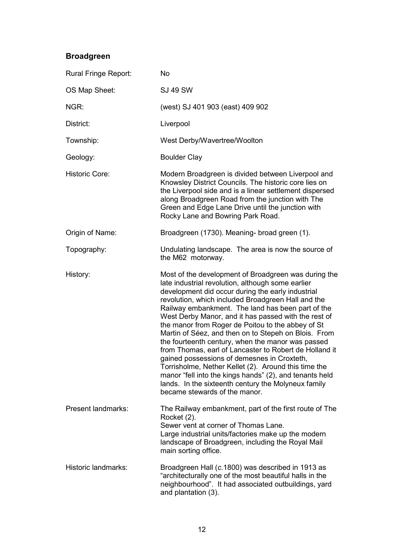#### **Broadgreen**

| Rural Fringe Report:  | <b>No</b>                                                                                                                                                                                                                                                                                                                                                                                                                                                                                                                                                                                                                                                                                                                                                                                                               |
|-----------------------|-------------------------------------------------------------------------------------------------------------------------------------------------------------------------------------------------------------------------------------------------------------------------------------------------------------------------------------------------------------------------------------------------------------------------------------------------------------------------------------------------------------------------------------------------------------------------------------------------------------------------------------------------------------------------------------------------------------------------------------------------------------------------------------------------------------------------|
| OS Map Sheet:         | <b>SJ 49 SW</b>                                                                                                                                                                                                                                                                                                                                                                                                                                                                                                                                                                                                                                                                                                                                                                                                         |
| NGR:                  | (west) SJ 401 903 (east) 409 902                                                                                                                                                                                                                                                                                                                                                                                                                                                                                                                                                                                                                                                                                                                                                                                        |
| District:             | Liverpool                                                                                                                                                                                                                                                                                                                                                                                                                                                                                                                                                                                                                                                                                                                                                                                                               |
| Township:             | West Derby/Wavertree/Woolton                                                                                                                                                                                                                                                                                                                                                                                                                                                                                                                                                                                                                                                                                                                                                                                            |
| Geology:              | <b>Boulder Clay</b>                                                                                                                                                                                                                                                                                                                                                                                                                                                                                                                                                                                                                                                                                                                                                                                                     |
| <b>Historic Core:</b> | Modern Broadgreen is divided between Liverpool and<br>Knowsley District Councils. The historic core lies on<br>the Liverpool side and is a linear settlement dispersed<br>along Broadgreen Road from the junction with The<br>Green and Edge Lane Drive until the junction with<br>Rocky Lane and Bowring Park Road.                                                                                                                                                                                                                                                                                                                                                                                                                                                                                                    |
| Origin of Name:       | Broadgreen (1730). Meaning- broad green (1).                                                                                                                                                                                                                                                                                                                                                                                                                                                                                                                                                                                                                                                                                                                                                                            |
| Topography:           | Undulating landscape. The area is now the source of<br>the M62 motorway.                                                                                                                                                                                                                                                                                                                                                                                                                                                                                                                                                                                                                                                                                                                                                |
| History:              | Most of the development of Broadgreen was during the<br>late industrial revolution, although some earlier<br>development did occur during the early industrial<br>revolution, which included Broadgreen Hall and the<br>Railway embankment. The land has been part of the<br>West Derby Manor, and it has passed with the rest of<br>the manor from Roger de Poitou to the abbey of St<br>Martin of Séez, and then on to Stepeh on Blois. From<br>the fourteenth century, when the manor was passed<br>from Thomas, earl of Lancaster to Robert de Holland it<br>gained possessions of demesnes in Croxteth,<br>Torrisholme, Nether Kellet (2). Around this time the<br>manor "fell into the kings hands" (2), and tenants held<br>lands. In the sixteenth century the Molyneux family<br>became stewards of the manor. |
| Present landmarks:    | The Railway embankment, part of the first route of The<br>Rocket (2).<br>Sewer vent at corner of Thomas Lane.<br>Large industrial units/factories make up the modern<br>landscape of Broadgreen, including the Royal Mail<br>main sorting office.                                                                                                                                                                                                                                                                                                                                                                                                                                                                                                                                                                       |
| Historic landmarks:   | Broadgreen Hall (c.1800) was described in 1913 as<br>"architecturally one of the most beautiful halls in the<br>neighbourhood". It had associated outbuildings, yard<br>and plantation (3).                                                                                                                                                                                                                                                                                                                                                                                                                                                                                                                                                                                                                             |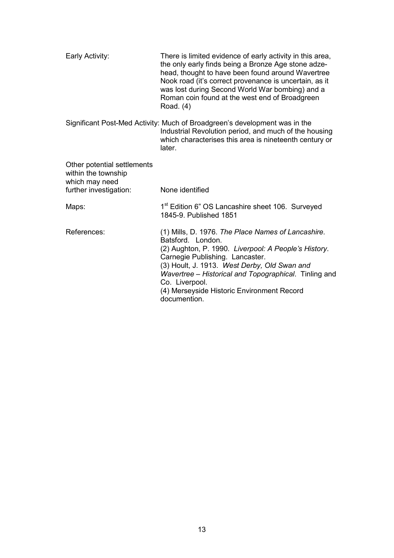| There is limited evidence of early activity in this area,<br>the only early finds being a Bronze Age stone adze-<br>head, thought to have been found around Wavertree<br>Nook road (it's correct provenance is uncertain, as it<br>was lost during Second World War bombing) and a<br>Roman coin found at the west end of Broadgreen<br>Road. (4)           |
|-------------------------------------------------------------------------------------------------------------------------------------------------------------------------------------------------------------------------------------------------------------------------------------------------------------------------------------------------------------|
| Significant Post-Med Activity: Much of Broadgreen's development was in the<br>Industrial Revolution period, and much of the housing<br>which characterises this area is nineteenth century or<br>later.                                                                                                                                                     |
|                                                                                                                                                                                                                                                                                                                                                             |
| None identified                                                                                                                                                                                                                                                                                                                                             |
| 1 <sup>st</sup> Edition 6" OS Lancashire sheet 106. Surveyed<br>1845-9. Published 1851                                                                                                                                                                                                                                                                      |
| (1) Mills, D. 1976. The Place Names of Lancashire.<br>Batsford. London.<br>(2) Aughton, P. 1990. Liverpool: A People's History.<br>Carnegie Publishing. Lancaster.<br>(3) Hoult, J. 1913. West Derby, Old Swan and<br>Wavertree - Historical and Topographical. Tinling and<br>Co. Liverpool.<br>(4) Merseyside Historic Environment Record<br>documention. |
|                                                                                                                                                                                                                                                                                                                                                             |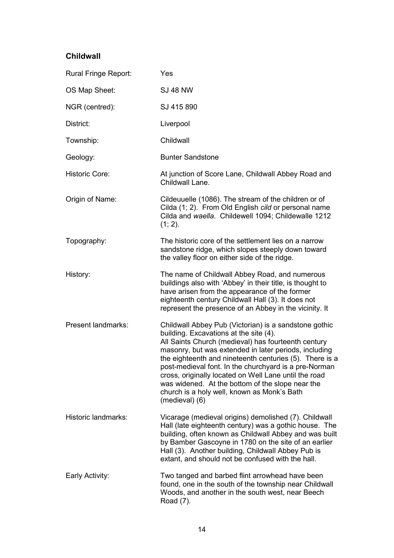#### **Childwall**

| Rural Fringe Report:  | Yes                                                                                                                                                                                                                                                                                                                                                                                                                                                                                                               |
|-----------------------|-------------------------------------------------------------------------------------------------------------------------------------------------------------------------------------------------------------------------------------------------------------------------------------------------------------------------------------------------------------------------------------------------------------------------------------------------------------------------------------------------------------------|
| OS Map Sheet:         | <b>SJ 48 NW</b>                                                                                                                                                                                                                                                                                                                                                                                                                                                                                                   |
| NGR (centred):        | SJ 415 890                                                                                                                                                                                                                                                                                                                                                                                                                                                                                                        |
| District:             | Liverpool                                                                                                                                                                                                                                                                                                                                                                                                                                                                                                         |
| Township:             | Childwall                                                                                                                                                                                                                                                                                                                                                                                                                                                                                                         |
| Geology:              | <b>Bunter Sandstone</b>                                                                                                                                                                                                                                                                                                                                                                                                                                                                                           |
| <b>Historic Core:</b> | At junction of Score Lane, Childwall Abbey Road and<br>Childwall Lane.                                                                                                                                                                                                                                                                                                                                                                                                                                            |
| Origin of Name:       | Cildeuuelle (1086). The stream of the children or of<br>Cilda (1; 2). From Old English cild or personal name<br>Cilda and waella. Childewell 1094; Childewalle 1212<br>$(1; 2)$ .                                                                                                                                                                                                                                                                                                                                 |
| Topography:           | The historic core of the settlement lies on a narrow<br>sandstone ridge, which slopes steeply down toward<br>the valley floor on either side of the ridge.                                                                                                                                                                                                                                                                                                                                                        |
| History:              | The name of Childwall Abbey Road, and numerous<br>buildings also with 'Abbey' in their title, is thought to<br>have arisen from the appearance of the former<br>eighteenth century Childwall Hall (3). It does not<br>represent the presence of an Abbey in the vicinity. It                                                                                                                                                                                                                                      |
| Present landmarks:    | Childwall Abbey Pub (Victorian) is a sandstone gothic<br>building. Excavations at the site (4).<br>All Saints Church (medieval) has fourteenth century<br>masonry, but was extended in later periods, including<br>the eighteenth and nineteenth centuries (5). There is a<br>post-medieval font. In the churchyard is a pre-Norman<br>cross, originally located on Well Lane until the road<br>was widened. At the bottom of the slope near the<br>church is a holy well, known as Monk's Bath<br>(medieval) (6) |
| Historic landmarks:   | Vicarage (medieval origins) demolished (7). Childwall<br>Hall (late eighteenth century) was a gothic house. The<br>building, often known as Childwall Abbey and was built<br>by Bamber Gascoyne in 1780 on the site of an earlier<br>Hall (3). Another building, Childwall Abbey Pub is<br>extant, and should not be confused with the hall.                                                                                                                                                                      |
| Early Activity:       | Two tanged and barbed flint arrowhead have been<br>found, one in the south of the township near Childwall<br>Woods, and another in the south west, near Beech<br>Road (7).                                                                                                                                                                                                                                                                                                                                        |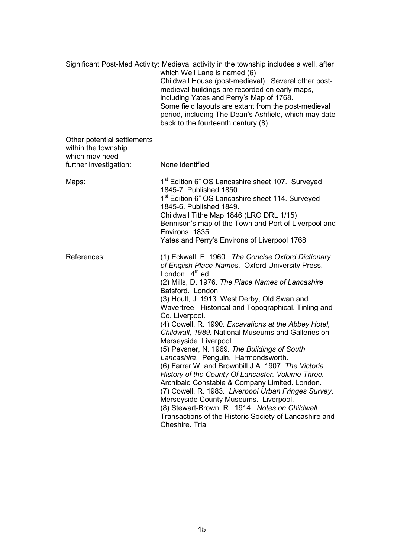|                                                                                                | Significant Post-Med Activity: Medieval activity in the township includes a well, after<br>which Well Lane is named (6)<br>Childwall House (post-medieval). Several other post-<br>medieval buildings are recorded on early maps,<br>including Yates and Perry's Map of 1768.<br>Some field layouts are extant from the post-medieval<br>period, including The Dean's Ashfield, which may date<br>back to the fourteenth century (8).                                                                                                                                                                                                                                                                                                                                                                                                                                                                                                                            |
|------------------------------------------------------------------------------------------------|------------------------------------------------------------------------------------------------------------------------------------------------------------------------------------------------------------------------------------------------------------------------------------------------------------------------------------------------------------------------------------------------------------------------------------------------------------------------------------------------------------------------------------------------------------------------------------------------------------------------------------------------------------------------------------------------------------------------------------------------------------------------------------------------------------------------------------------------------------------------------------------------------------------------------------------------------------------|
| Other potential settlements<br>within the township<br>which may need<br>further investigation: | None identified                                                                                                                                                                                                                                                                                                                                                                                                                                                                                                                                                                                                                                                                                                                                                                                                                                                                                                                                                  |
|                                                                                                |                                                                                                                                                                                                                                                                                                                                                                                                                                                                                                                                                                                                                                                                                                                                                                                                                                                                                                                                                                  |
| Maps:                                                                                          | 1 <sup>st</sup> Edition 6" OS Lancashire sheet 107. Surveyed<br>1845-7. Published 1850.<br>1 <sup>st</sup> Edition 6" OS Lancashire sheet 114. Surveyed<br>1845-6. Published 1849.<br>Childwall Tithe Map 1846 (LRO DRL 1/15)<br>Bennison's map of the Town and Port of Liverpool and<br>Environs, 1835<br>Yates and Perry's Environs of Liverpool 1768                                                                                                                                                                                                                                                                                                                                                                                                                                                                                                                                                                                                          |
| References:                                                                                    | (1) Eckwall, E. 1960. The Concise Oxford Dictionary<br>of English Place-Names. Oxford University Press.<br>London. $4th$ ed.<br>(2) Mills, D. 1976. The Place Names of Lancashire.<br>Batsford. London.<br>(3) Hoult, J. 1913. West Derby, Old Swan and<br>Wavertree - Historical and Topographical. Tinling and<br>Co. Liverpool.<br>(4) Cowell, R. 1990. Excavations at the Abbey Hotel,<br>Childwall, 1989. National Museums and Galleries on<br>Merseyside. Liverpool.<br>(5) Pevsner, N. 1969. The Buildings of South<br>Lancashire. Penguin. Harmondsworth.<br>(6) Farrer W. and Brownbill J.A. 1907. The Victoria<br>History of the County Of Lancaster. Volume Three.<br>Archibald Constable & Company Limited. London.<br>(7) Cowell, R. 1983. Liverpool Urban Fringes Survey.<br>Merseyside County Museums. Liverpool.<br>(8) Stewart-Brown, R. 1914. Notes on Childwall.<br>Transactions of the Historic Society of Lancashire and<br>Cheshire. Trial |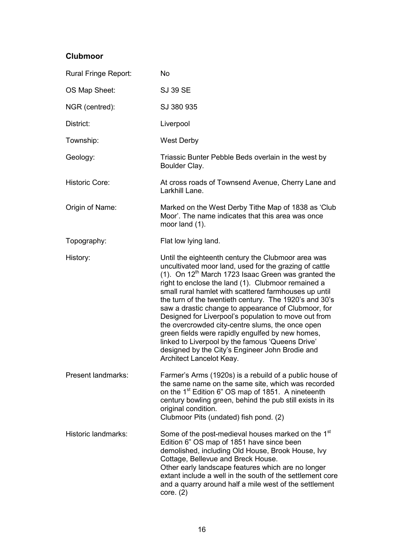#### **Clubmoor**

| Rural Fringe Report:  | <b>No</b>                                                                                                                                                                                                                                                                                                                                                                                                                                                                                                                                                                                                                                                                                                |
|-----------------------|----------------------------------------------------------------------------------------------------------------------------------------------------------------------------------------------------------------------------------------------------------------------------------------------------------------------------------------------------------------------------------------------------------------------------------------------------------------------------------------------------------------------------------------------------------------------------------------------------------------------------------------------------------------------------------------------------------|
| OS Map Sheet:         | <b>SJ 39 SE</b>                                                                                                                                                                                                                                                                                                                                                                                                                                                                                                                                                                                                                                                                                          |
| NGR (centred):        | SJ 380 935                                                                                                                                                                                                                                                                                                                                                                                                                                                                                                                                                                                                                                                                                               |
| District:             | Liverpool                                                                                                                                                                                                                                                                                                                                                                                                                                                                                                                                                                                                                                                                                                |
| Township:             | <b>West Derby</b>                                                                                                                                                                                                                                                                                                                                                                                                                                                                                                                                                                                                                                                                                        |
| Geology:              | Triassic Bunter Pebble Beds overlain in the west by<br>Boulder Clay.                                                                                                                                                                                                                                                                                                                                                                                                                                                                                                                                                                                                                                     |
| <b>Historic Core:</b> | At cross roads of Townsend Avenue, Cherry Lane and<br>Larkhill Lane.                                                                                                                                                                                                                                                                                                                                                                                                                                                                                                                                                                                                                                     |
| Origin of Name:       | Marked on the West Derby Tithe Map of 1838 as 'Club<br>Moor'. The name indicates that this area was once<br>moor land (1).                                                                                                                                                                                                                                                                                                                                                                                                                                                                                                                                                                               |
| Topography:           | Flat low lying land.                                                                                                                                                                                                                                                                                                                                                                                                                                                                                                                                                                                                                                                                                     |
| History:              | Until the eighteenth century the Clubmoor area was<br>uncultivated moor land, used for the grazing of cattle<br>(1). On $12th$ March 1723 Isaac Green was granted the<br>right to enclose the land (1). Clubmoor remained a<br>small rural hamlet with scattered farmhouses up until<br>the turn of the twentieth century. The 1920's and 30's<br>saw a drastic change to appearance of Clubmoor, for<br>Designed for Liverpool's population to move out from<br>the overcrowded city-centre slums, the once open<br>green fields were rapidly engulfed by new homes,<br>linked to Liverpool by the famous 'Queens Drive'<br>designed by the City's Engineer John Brodie and<br>Architect Lancelot Keay. |
| Present landmarks:    | Farmer's Arms (1920s) is a rebuild of a public house of<br>the same name on the same site, which was recorded<br>on the 1 <sup>st</sup> Edition 6" OS map of 1851. A nineteenth<br>century bowling green, behind the pub still exists in its<br>original condition.<br>Clubmoor Pits (undated) fish pond. (2)                                                                                                                                                                                                                                                                                                                                                                                            |
| Historic landmarks:   | Some of the post-medieval houses marked on the 1 <sup>st</sup><br>Edition 6" OS map of 1851 have since been<br>demolished, including Old House, Brook House, Ivy<br>Cottage, Bellevue and Breck House.<br>Other early landscape features which are no longer<br>extant include a well in the south of the settlement core<br>and a quarry around half a mile west of the settlement<br>core. (2)                                                                                                                                                                                                                                                                                                         |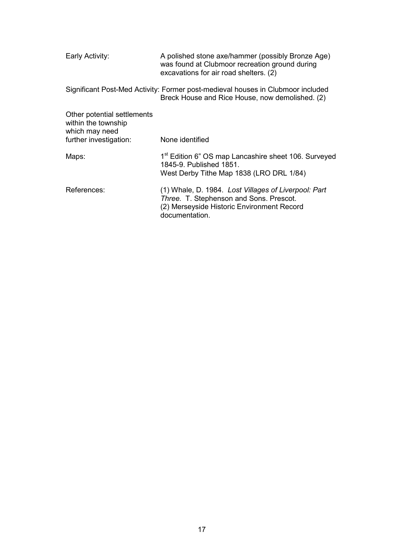| Early Activity:                                                                                | A polished stone axe/hammer (possibly Bronze Age)<br>was found at Clubmoor recreation ground during<br>excavations for air road shelters. (2)                   |
|------------------------------------------------------------------------------------------------|-----------------------------------------------------------------------------------------------------------------------------------------------------------------|
|                                                                                                | Significant Post-Med Activity: Former post-medieval houses in Clubmoor included<br>Breck House and Rice House, now demolished. (2)                              |
| Other potential settlements<br>within the township<br>which may need<br>further investigation: | None identified                                                                                                                                                 |
| Maps:                                                                                          | 1 <sup>st</sup> Edition 6" OS map Lancashire sheet 106. Surveyed<br>1845-9. Published 1851.<br>West Derby Tithe Map 1838 (LRO DRL 1/84)                         |
| References:                                                                                    | (1) Whale, D. 1984. Lost Villages of Liverpool: Part<br>Three. T. Stephenson and Sons. Prescot.<br>(2) Merseyside Historic Environment Record<br>documentation. |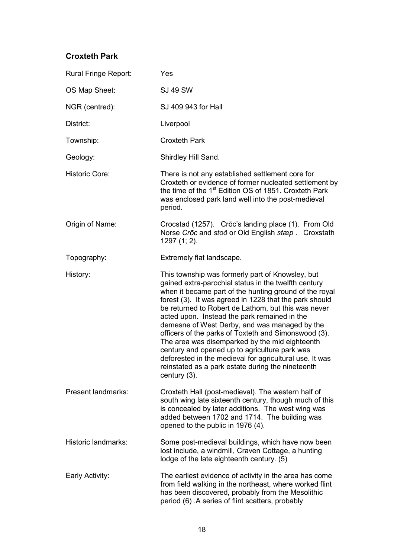#### **Croxteth Park**

| Rural Fringe Report:      | Yes                                                                                                                                                                                                                                                                                                                                                                                                                                                                                                                                                                                                                                                                                |
|---------------------------|------------------------------------------------------------------------------------------------------------------------------------------------------------------------------------------------------------------------------------------------------------------------------------------------------------------------------------------------------------------------------------------------------------------------------------------------------------------------------------------------------------------------------------------------------------------------------------------------------------------------------------------------------------------------------------|
| OS Map Sheet:             | <b>SJ 49 SW</b>                                                                                                                                                                                                                                                                                                                                                                                                                                                                                                                                                                                                                                                                    |
| NGR (centred):            | SJ 409 943 for Hall                                                                                                                                                                                                                                                                                                                                                                                                                                                                                                                                                                                                                                                                |
| District:                 | Liverpool                                                                                                                                                                                                                                                                                                                                                                                                                                                                                                                                                                                                                                                                          |
| Township:                 | <b>Croxteth Park</b>                                                                                                                                                                                                                                                                                                                                                                                                                                                                                                                                                                                                                                                               |
| Geology:                  | Shirdley Hill Sand.                                                                                                                                                                                                                                                                                                                                                                                                                                                                                                                                                                                                                                                                |
| <b>Historic Core:</b>     | There is not any established settlement core for<br>Croxteth or evidence of former nucleated settlement by<br>the time of the 1 <sup>st</sup> Edition OS of 1851. Croxteth Park<br>was enclosed park land well into the post-medieval<br>period.                                                                                                                                                                                                                                                                                                                                                                                                                                   |
| Origin of Name:           | Crocstad (1257). Crōc's landing place (1). From Old<br>Norse Crōc and stoð or Old English stæp. Croxstath<br>1297 (1; 2).                                                                                                                                                                                                                                                                                                                                                                                                                                                                                                                                                          |
| Topography:               | Extremely flat landscape.                                                                                                                                                                                                                                                                                                                                                                                                                                                                                                                                                                                                                                                          |
| History:                  | This township was formerly part of Knowsley, but<br>gained extra-parochial status in the twelfth century<br>when it became part of the hunting ground of the royal<br>forest (3). It was agreed in 1228 that the park should<br>be returned to Robert de Lathom, but this was never<br>acted upon. Instead the park remained in the<br>demesne of West Derby, and was managed by the<br>officers of the parks of Toxteth and Simonswood (3).<br>The area was disemparked by the mid eighteenth<br>century and opened up to agriculture park was<br>deforested in the medieval for agricultural use. It was<br>reinstated as a park estate during the nineteenth<br>century $(3)$ . |
| <b>Present landmarks:</b> | Croxteth Hall (post-medieval). The western half of<br>south wing late sixteenth century, though much of this<br>is concealed by later additions. The west wing was<br>added between 1702 and 1714. The building was<br>opened to the public in 1976 (4).                                                                                                                                                                                                                                                                                                                                                                                                                           |
| Historic landmarks:       | Some post-medieval buildings, which have now been<br>lost include, a windmill, Craven Cottage, a hunting<br>lodge of the late eighteenth century. (5)                                                                                                                                                                                                                                                                                                                                                                                                                                                                                                                              |
| Early Activity:           | The earliest evidence of activity in the area has come<br>from field walking in the northeast, where worked flint<br>has been discovered, probably from the Mesolithic<br>period (6) A series of flint scatters, probably                                                                                                                                                                                                                                                                                                                                                                                                                                                          |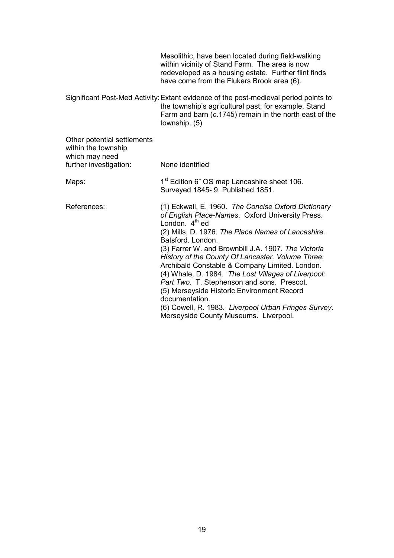Mesolithic, have been located during field-walking within vicinity of Stand Farm. The area is now redeveloped as a housing estate. Further flint finds have come from the Flukers Brook area (6).

Significant Post-Med Activity: Extant evidence of the post-medieval period points to the township's agricultural past, for example, Stand Farm and barn (*c*.1745) remain in the north east of the township. (5)

| Other potential settlements<br>within the township<br>which may need<br>further investigation: | None identified                                                                                                                                                                                                                                                                                                                                                                                                                                                                                                                                                                                                                            |
|------------------------------------------------------------------------------------------------|--------------------------------------------------------------------------------------------------------------------------------------------------------------------------------------------------------------------------------------------------------------------------------------------------------------------------------------------------------------------------------------------------------------------------------------------------------------------------------------------------------------------------------------------------------------------------------------------------------------------------------------------|
| Maps:                                                                                          | 1 <sup>st</sup> Edition 6" OS map Lancashire sheet 106.<br>Surveyed 1845- 9. Published 1851.                                                                                                                                                                                                                                                                                                                                                                                                                                                                                                                                               |
| References:                                                                                    | (1) Eckwall, E. 1960. The Concise Oxford Dictionary<br>of English Place-Names. Oxford University Press.<br>London. $4th$ ed<br>(2) Mills, D. 1976. The Place Names of Lancashire.<br>Batsford, London.<br>(3) Farrer W. and Brownbill J.A. 1907. The Victoria<br>History of the County Of Lancaster. Volume Three.<br>Archibald Constable & Company Limited. London.<br>(4) Whale, D. 1984. The Lost Villages of Liverpool:<br>Part Two. T. Stephenson and sons. Prescot.<br>(5) Merseyside Historic Environment Record<br>documentation.<br>(6) Cowell, R. 1983. Liverpool Urban Fringes Survey.<br>Merseyside County Museums. Liverpool. |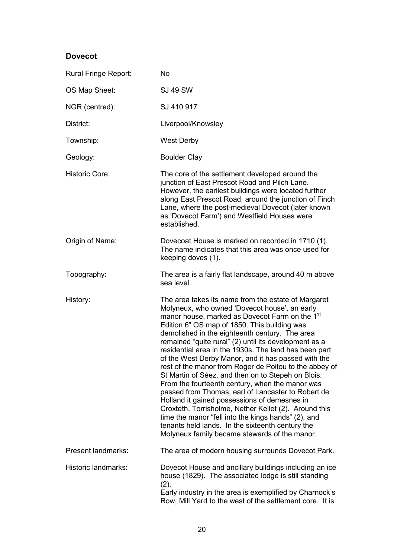#### **Dovecot**

| Rural Fringe Report:      | <b>No</b>                                                                                                                                                                                                                                                                                                                                                                                                                                                                                                                                                                                                                                                                                                                                                                                                                                                                                                                                   |
|---------------------------|---------------------------------------------------------------------------------------------------------------------------------------------------------------------------------------------------------------------------------------------------------------------------------------------------------------------------------------------------------------------------------------------------------------------------------------------------------------------------------------------------------------------------------------------------------------------------------------------------------------------------------------------------------------------------------------------------------------------------------------------------------------------------------------------------------------------------------------------------------------------------------------------------------------------------------------------|
| OS Map Sheet:             | <b>SJ 49 SW</b>                                                                                                                                                                                                                                                                                                                                                                                                                                                                                                                                                                                                                                                                                                                                                                                                                                                                                                                             |
| NGR (centred):            | SJ 410 917                                                                                                                                                                                                                                                                                                                                                                                                                                                                                                                                                                                                                                                                                                                                                                                                                                                                                                                                  |
| District:                 | Liverpool/Knowsley                                                                                                                                                                                                                                                                                                                                                                                                                                                                                                                                                                                                                                                                                                                                                                                                                                                                                                                          |
| Township:                 | <b>West Derby</b>                                                                                                                                                                                                                                                                                                                                                                                                                                                                                                                                                                                                                                                                                                                                                                                                                                                                                                                           |
| Geology:                  | <b>Boulder Clay</b>                                                                                                                                                                                                                                                                                                                                                                                                                                                                                                                                                                                                                                                                                                                                                                                                                                                                                                                         |
| <b>Historic Core:</b>     | The core of the settlement developed around the<br>junction of East Prescot Road and Pilch Lane.<br>However, the earliest buildings were located further<br>along East Prescot Road, around the junction of Finch<br>Lane, where the post-medieval Dovecot (later known<br>as 'Dovecot Farm') and Westfield Houses were<br>established.                                                                                                                                                                                                                                                                                                                                                                                                                                                                                                                                                                                                     |
| Origin of Name:           | Dovecoat House is marked on recorded in 1710 (1).<br>The name indicates that this area was once used for<br>keeping doves (1).                                                                                                                                                                                                                                                                                                                                                                                                                                                                                                                                                                                                                                                                                                                                                                                                              |
| Topography:               | The area is a fairly flat landscape, around 40 m above<br>sea level.                                                                                                                                                                                                                                                                                                                                                                                                                                                                                                                                                                                                                                                                                                                                                                                                                                                                        |
| History:                  | The area takes its name from the estate of Margaret<br>Molyneux, who owned 'Dovecot house', an early<br>manor house, marked as Dovecot Farm on the 1 <sup>st</sup><br>Edition 6" OS map of 1850. This building was<br>demolished in the eighteenth century. The area<br>remained "quite rural" (2) until its development as a<br>residential area in the 1930s. The land has been part<br>of the West Derby Manor, and it has passed with the<br>rest of the manor from Roger de Poitou to the abbey of<br>St Martin of Séez, and then on to Stepeh on Blois.<br>From the fourteenth century, when the manor was<br>passed from Thomas, earl of Lancaster to Robert de<br>Holland it gained possessions of demesnes in<br>Croxteth, Torrisholme, Nether Kellet (2). Around this<br>time the manor "fell into the kings hands" (2), and<br>tenants held lands. In the sixteenth century the<br>Molyneux family became stewards of the manor. |
| <b>Present landmarks:</b> | The area of modern housing surrounds Dovecot Park.                                                                                                                                                                                                                                                                                                                                                                                                                                                                                                                                                                                                                                                                                                                                                                                                                                                                                          |
| Historic landmarks:       | Dovecot House and ancillary buildings including an ice<br>house (1829). The associated lodge is still standing<br>(2).<br>Early industry in the area is exemplified by Charnock's<br>Row, Mill Yard to the west of the settlement core. It is                                                                                                                                                                                                                                                                                                                                                                                                                                                                                                                                                                                                                                                                                               |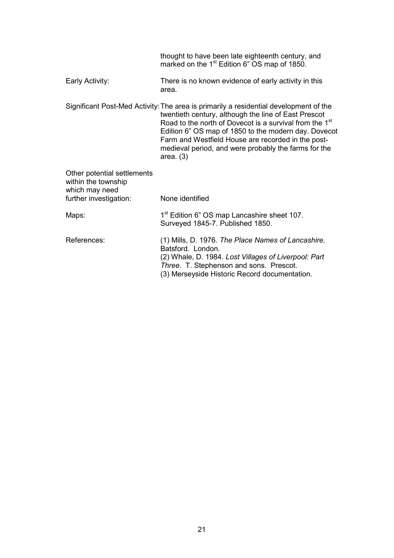|                                                                      | thought to have been late eighteenth century, and<br>marked on the 1 <sup>st</sup> Edition 6" OS map of 1850.                                                                                                                                                                                                                                                                                             |
|----------------------------------------------------------------------|-----------------------------------------------------------------------------------------------------------------------------------------------------------------------------------------------------------------------------------------------------------------------------------------------------------------------------------------------------------------------------------------------------------|
| Early Activity:                                                      | There is no known evidence of early activity in this<br>area.                                                                                                                                                                                                                                                                                                                                             |
|                                                                      | Significant Post-Med Activity: The area is primarily a residential development of the<br>twentieth century, although the line of East Prescot<br>Road to the north of Dovecot is a survival from the 1 <sup>st</sup><br>Edition 6" OS map of 1850 to the modern day. Dovecot<br>Farm and Westfield House are recorded in the post-<br>medieval period, and were probably the farms for the<br>area. $(3)$ |
| Other potential settlements<br>within the township<br>which may need |                                                                                                                                                                                                                                                                                                                                                                                                           |
| further investigation:                                               | None identified                                                                                                                                                                                                                                                                                                                                                                                           |
| Maps:                                                                | 1 <sup>st</sup> Edition 6" OS map Lancashire sheet 107.<br>Surveyed 1845-7. Published 1850.                                                                                                                                                                                                                                                                                                               |
| References:                                                          | (1) Mills, D. 1976. The Place Names of Lancashire.<br>Batsford. London.<br>(2) Whale, D. 1984. Lost Villages of Liverpool: Part<br>Three. T. Stephenson and sons. Prescot.<br>(3) Merseyside Historic Record documentation.                                                                                                                                                                               |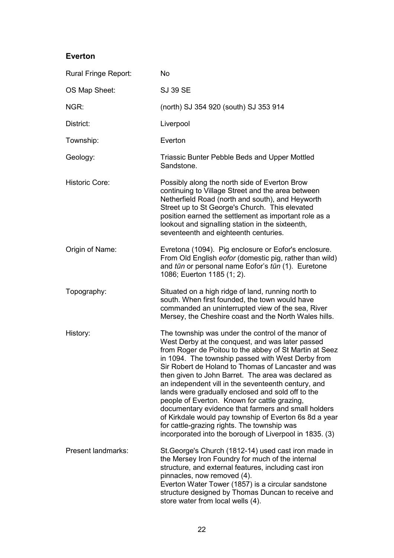#### **Everton**

| Rural Fringe Report:      | <b>No</b>                                                                                                                                                                                                                                                                                                                                                                                                                                                                                                                                                                                                                                                                                                                  |
|---------------------------|----------------------------------------------------------------------------------------------------------------------------------------------------------------------------------------------------------------------------------------------------------------------------------------------------------------------------------------------------------------------------------------------------------------------------------------------------------------------------------------------------------------------------------------------------------------------------------------------------------------------------------------------------------------------------------------------------------------------------|
| OS Map Sheet:             | <b>SJ 39 SE</b>                                                                                                                                                                                                                                                                                                                                                                                                                                                                                                                                                                                                                                                                                                            |
| NGR:                      | (north) SJ 354 920 (south) SJ 353 914                                                                                                                                                                                                                                                                                                                                                                                                                                                                                                                                                                                                                                                                                      |
| District:                 | Liverpool                                                                                                                                                                                                                                                                                                                                                                                                                                                                                                                                                                                                                                                                                                                  |
| Township:                 | Everton                                                                                                                                                                                                                                                                                                                                                                                                                                                                                                                                                                                                                                                                                                                    |
| Geology:                  | Triassic Bunter Pebble Beds and Upper Mottled<br>Sandstone.                                                                                                                                                                                                                                                                                                                                                                                                                                                                                                                                                                                                                                                                |
| <b>Historic Core:</b>     | Possibly along the north side of Everton Brow<br>continuing to Village Street and the area between<br>Netherfield Road (north and south), and Heyworth<br>Street up to St George's Church. This elevated<br>position earned the settlement as important role as a<br>lookout and signalling station in the sixteenth,<br>seventeenth and eighteenth centuries.                                                                                                                                                                                                                                                                                                                                                             |
| Origin of Name:           | Evretona (1094). Pig enclosure or Eofor's enclosure.<br>From Old English eofor (domestic pig, rather than wild)<br>and tūn or personal name Eofor's tūn (1). Euretone<br>1086; Euerton 1185 (1; 2).                                                                                                                                                                                                                                                                                                                                                                                                                                                                                                                        |
| Topography:               | Situated on a high ridge of land, running north to<br>south. When first founded, the town would have<br>commanded an uninterrupted view of the sea, River<br>Mersey, the Cheshire coast and the North Wales hills.                                                                                                                                                                                                                                                                                                                                                                                                                                                                                                         |
| History:                  | The township was under the control of the manor of<br>West Derby at the conquest, and was later passed<br>from Roger de Poitou to the abbey of St Martin at Seez<br>in 1094. The township passed with West Derby from<br>Sir Robert de Holand to Thomas of Lancaster and was<br>then given to John Barret. The area was declared as<br>an independent vill in the seventeenth century, and<br>lands were gradually enclosed and sold off to the<br>people of Everton. Known for cattle grazing,<br>documentary evidence that farmers and small holders<br>of Kirkdale would pay township of Everton 6s 8d a year<br>for cattle-grazing rights. The township was<br>incorporated into the borough of Liverpool in 1835. (3) |
| <b>Present landmarks:</b> | St. George's Church (1812-14) used cast iron made in<br>the Mersey Iron Foundry for much of the internal<br>structure, and external features, including cast iron<br>pinnacles, now removed (4).<br>Everton Water Tower (1857) is a circular sandstone<br>structure designed by Thomas Duncan to receive and<br>store water from local wells (4).                                                                                                                                                                                                                                                                                                                                                                          |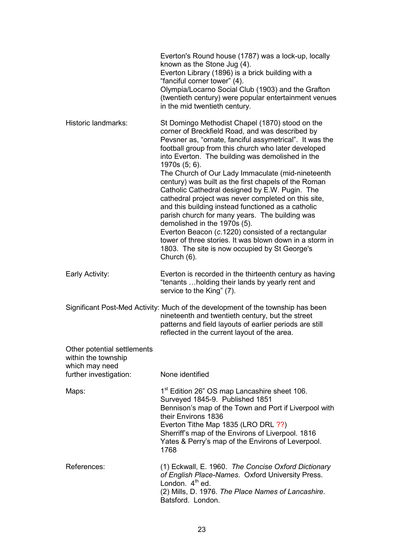|                                                                                                | Everton's Round house (1787) was a lock-up, locally<br>known as the Stone Jug (4).<br>Everton Library (1896) is a brick building with a<br>"fanciful corner tower" (4).<br>Olympia/Locarno Social Club (1903) and the Grafton<br>(twentieth century) were popular entertainment venues<br>in the mid twentieth century.                                                                                                                                                                                                                                                                                                                                                                                                                                                                                                                  |
|------------------------------------------------------------------------------------------------|------------------------------------------------------------------------------------------------------------------------------------------------------------------------------------------------------------------------------------------------------------------------------------------------------------------------------------------------------------------------------------------------------------------------------------------------------------------------------------------------------------------------------------------------------------------------------------------------------------------------------------------------------------------------------------------------------------------------------------------------------------------------------------------------------------------------------------------|
| Historic landmarks:                                                                            | St Domingo Methodist Chapel (1870) stood on the<br>corner of Breckfield Road, and was described by<br>Pevsner as, "ornate, fanciful assymetrical". It was the<br>football group from this church who later developed<br>into Everton. The building was demolished in the<br>1970s (5; 6).<br>The Church of Our Lady Immaculate (mid-nineteenth<br>century) was built as the first chapels of the Roman<br>Catholic Cathedral designed by E.W. Pugin. The<br>cathedral project was never completed on this site,<br>and this building instead functioned as a catholic<br>parish church for many years. The building was<br>demolished in the 1970s (5).<br>Everton Beacon (c.1220) consisted of a rectangular<br>tower of three stories. It was blown down in a storm in<br>1803. The site is now occupied by St George's<br>Church (6). |
| Early Activity:                                                                                | Everton is recorded in the thirteenth century as having<br>"tenants holding their lands by yearly rent and<br>service to the King" (7).                                                                                                                                                                                                                                                                                                                                                                                                                                                                                                                                                                                                                                                                                                  |
|                                                                                                | Significant Post-Med Activity: Much of the development of the township has been<br>nineteenth and twentieth century, but the street<br>patterns and field layouts of earlier periods are still<br>reflected in the current layout of the area.                                                                                                                                                                                                                                                                                                                                                                                                                                                                                                                                                                                           |
| Other potential settlements<br>within the township<br>which may need<br>further investigation: | None identified                                                                                                                                                                                                                                                                                                                                                                                                                                                                                                                                                                                                                                                                                                                                                                                                                          |
| Maps:                                                                                          | 1 <sup>st</sup> Edition 26" OS map Lancashire sheet 106.<br>Surveyed 1845-9. Published 1851<br>Bennison's map of the Town and Port if Liverpool with<br>their Environs 1836<br>Everton Tithe Map 1835 (LRO DRL ??)<br>Sherriff's map of the Environs of Liverpool. 1816<br>Yates & Perry's map of the Environs of Leverpool.<br>1768                                                                                                                                                                                                                                                                                                                                                                                                                                                                                                     |
| References:                                                                                    | (1) Eckwall, E. 1960. The Concise Oxford Dictionary<br>of English Place-Names. Oxford University Press.<br>London. $4th$ ed.<br>(2) Mills, D. 1976. The Place Names of Lancashire.<br>Batsford. London.                                                                                                                                                                                                                                                                                                                                                                                                                                                                                                                                                                                                                                  |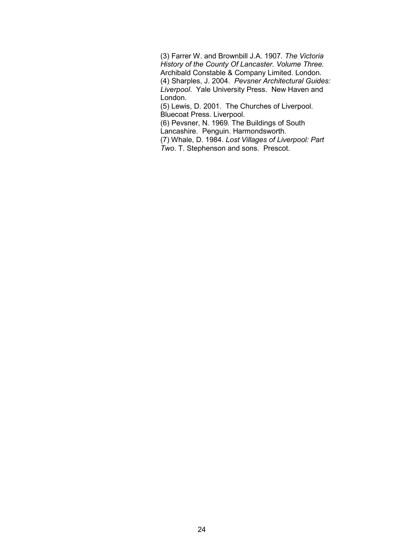(3) Farrer W. and Brownbill J.A. 1907. *The Victoria History of the County Of Lancaster. Volume Three.*  Archibald Constable & Company Limited. London. (4) Sharples, J. 2004. *Pevsner Architectural Guides: Liverpool*. Yale University Press. New Haven and London.

(5) Lewis, D. 2001. The Churches of Liverpool. Bluecoat Press. Liverpool.

 (6) Pevsner, N. 1969. The Buildings of South Lancashire. Penguin. Harmondsworth.

 (7) Whale, D. 1984. *Lost Villages of Liverpool: Part Two*. T. Stephenson and sons. Prescot.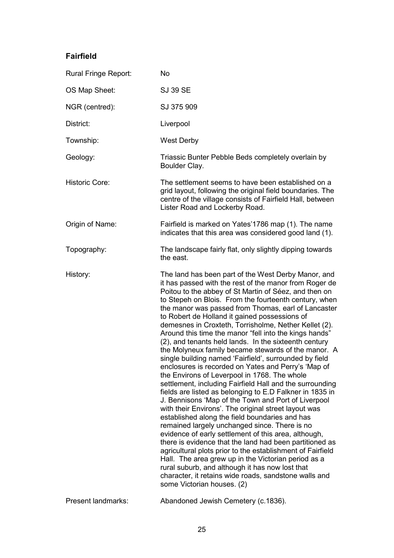#### **Fairfield**

| Rural Fringe Report:  | <b>No</b>                                                                                                                                                                                                                                                                                                                                                                                                                                                                                                                                                                                                                                                                                                                                                                                                                                                                                                                                                                                                                                                                                                                                                                                                                                                                                                                                                                                                                                                               |
|-----------------------|-------------------------------------------------------------------------------------------------------------------------------------------------------------------------------------------------------------------------------------------------------------------------------------------------------------------------------------------------------------------------------------------------------------------------------------------------------------------------------------------------------------------------------------------------------------------------------------------------------------------------------------------------------------------------------------------------------------------------------------------------------------------------------------------------------------------------------------------------------------------------------------------------------------------------------------------------------------------------------------------------------------------------------------------------------------------------------------------------------------------------------------------------------------------------------------------------------------------------------------------------------------------------------------------------------------------------------------------------------------------------------------------------------------------------------------------------------------------------|
| OS Map Sheet:         | <b>SJ 39 SE</b>                                                                                                                                                                                                                                                                                                                                                                                                                                                                                                                                                                                                                                                                                                                                                                                                                                                                                                                                                                                                                                                                                                                                                                                                                                                                                                                                                                                                                                                         |
| NGR (centred):        | SJ 375 909                                                                                                                                                                                                                                                                                                                                                                                                                                                                                                                                                                                                                                                                                                                                                                                                                                                                                                                                                                                                                                                                                                                                                                                                                                                                                                                                                                                                                                                              |
| District:             | Liverpool                                                                                                                                                                                                                                                                                                                                                                                                                                                                                                                                                                                                                                                                                                                                                                                                                                                                                                                                                                                                                                                                                                                                                                                                                                                                                                                                                                                                                                                               |
| Township:             | <b>West Derby</b>                                                                                                                                                                                                                                                                                                                                                                                                                                                                                                                                                                                                                                                                                                                                                                                                                                                                                                                                                                                                                                                                                                                                                                                                                                                                                                                                                                                                                                                       |
| Geology:              | Triassic Bunter Pebble Beds completely overlain by<br>Boulder Clay.                                                                                                                                                                                                                                                                                                                                                                                                                                                                                                                                                                                                                                                                                                                                                                                                                                                                                                                                                                                                                                                                                                                                                                                                                                                                                                                                                                                                     |
| <b>Historic Core:</b> | The settlement seems to have been established on a<br>grid layout, following the original field boundaries. The<br>centre of the village consists of Fairfield Hall, between<br>Lister Road and Lockerby Road.                                                                                                                                                                                                                                                                                                                                                                                                                                                                                                                                                                                                                                                                                                                                                                                                                                                                                                                                                                                                                                                                                                                                                                                                                                                          |
| Origin of Name:       | Fairfield is marked on Yates'1786 map (1). The name<br>indicates that this area was considered good land (1).                                                                                                                                                                                                                                                                                                                                                                                                                                                                                                                                                                                                                                                                                                                                                                                                                                                                                                                                                                                                                                                                                                                                                                                                                                                                                                                                                           |
| Topography:           | The landscape fairly flat, only slightly dipping towards<br>the east.                                                                                                                                                                                                                                                                                                                                                                                                                                                                                                                                                                                                                                                                                                                                                                                                                                                                                                                                                                                                                                                                                                                                                                                                                                                                                                                                                                                                   |
| History:              | The land has been part of the West Derby Manor, and<br>it has passed with the rest of the manor from Roger de<br>Poitou to the abbey of St Martin of Séez, and then on<br>to Stepeh on Blois. From the fourteenth century, when<br>the manor was passed from Thomas, earl of Lancaster<br>to Robert de Holland it gained possessions of<br>demesnes in Croxteth, Torrisholme, Nether Kellet (2).<br>Around this time the manor "fell into the kings hands"<br>(2), and tenants held lands. In the sixteenth century<br>the Molyneux family became stewards of the manor. A<br>single building named 'Fairfield', surrounded by field<br>enclosures is recorded on Yates and Perry's 'Map of<br>the Environs of Leverpool in 1768. The whole<br>settlement, including Fairfield Hall and the surrounding<br>fields are listed as belonging to E.D Falkner in 1835 in<br>J. Bennisons 'Map of the Town and Port of Liverpool<br>with their Environs'. The original street layout was<br>established along the field boundaries and has<br>remained largely unchanged since. There is no<br>evidence of early settlement of this area, although,<br>there is evidence that the land had been partitioned as<br>agricultural plots prior to the establishment of Fairfield<br>Hall. The area grew up in the Victorian period as a<br>rural suburb, and although it has now lost that<br>character, it retains wide roads, sandstone walls and<br>some Victorian houses. (2) |
|                       |                                                                                                                                                                                                                                                                                                                                                                                                                                                                                                                                                                                                                                                                                                                                                                                                                                                                                                                                                                                                                                                                                                                                                                                                                                                                                                                                                                                                                                                                         |

Present landmarks: Abandoned Jewish Cemetery (c.1836).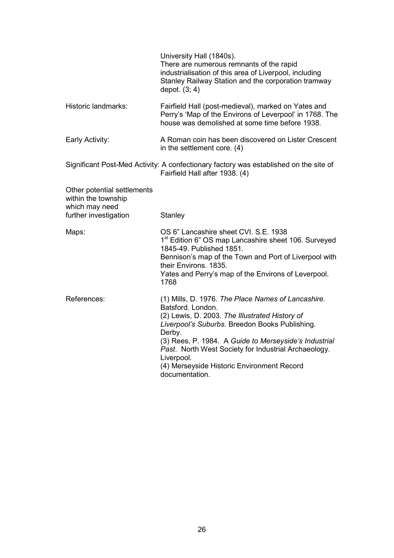|                                                                                               | University Hall (1840s).<br>There are numerous remnants of the rapid<br>industrialisation of this area of Liverpool, including<br>Stanley Railway Station and the corporation tramway<br>depot. $(3; 4)$                                                                                                                                                                             |
|-----------------------------------------------------------------------------------------------|--------------------------------------------------------------------------------------------------------------------------------------------------------------------------------------------------------------------------------------------------------------------------------------------------------------------------------------------------------------------------------------|
| Historic landmarks:                                                                           | Fairfield Hall (post-medieval), marked on Yates and<br>Perry's 'Map of the Environs of Leverpool' in 1768. The<br>house was demolished at some time before 1938.                                                                                                                                                                                                                     |
| Early Activity:                                                                               | A Roman coin has been discovered on Lister Crescent<br>in the settlement core. (4)                                                                                                                                                                                                                                                                                                   |
|                                                                                               | Significant Post-Med Activity: A confectionary factory was established on the site of<br>Fairfield Hall after 1938. (4)                                                                                                                                                                                                                                                              |
| Other potential settlements<br>within the township<br>which may need<br>further investigation | Stanley                                                                                                                                                                                                                                                                                                                                                                              |
| Maps:                                                                                         | OS 6" Lancashire sheet CVI. S.E. 1938<br>1 <sup>st</sup> Edition 6" OS map Lancashire sheet 106. Surveyed<br>1845-49. Published 1851.<br>Bennison's map of the Town and Port of Liverpool with<br>their Environs, 1835.<br>Yates and Perry's map of the Environs of Leverpool.<br>1768                                                                                               |
| References:                                                                                   | (1) Mills, D. 1976. The Place Names of Lancashire.<br>Batsford. London.<br>(2) Lewis, D. 2003. The Illustrated History of<br>Liverpool's Suburbs. Breedon Books Publishing.<br>Derby.<br>(3) Rees, P. 1984. A Guide to Merseyside's Industrial<br>Past. North West Society for Industrial Archaeology.<br>Liverpool.<br>(4) Merseyside Historic Environment Record<br>documentation. |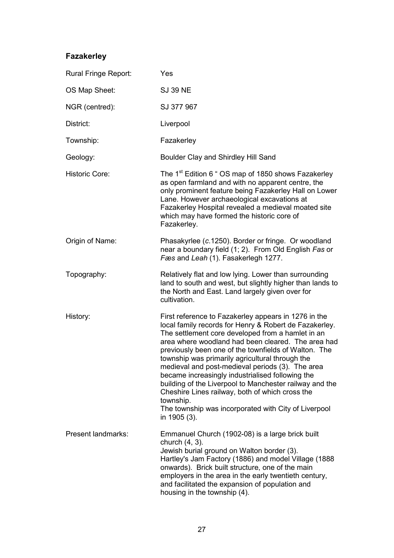### **Fazakerley**

| Rural Fringe Report:  | Yes                                                                                                                                                                                                                                                                                                                                                                                                                                                                                                                                                                                                                                             |
|-----------------------|-------------------------------------------------------------------------------------------------------------------------------------------------------------------------------------------------------------------------------------------------------------------------------------------------------------------------------------------------------------------------------------------------------------------------------------------------------------------------------------------------------------------------------------------------------------------------------------------------------------------------------------------------|
| OS Map Sheet:         | <b>SJ 39 NE</b>                                                                                                                                                                                                                                                                                                                                                                                                                                                                                                                                                                                                                                 |
| NGR (centred):        | SJ 377 967                                                                                                                                                                                                                                                                                                                                                                                                                                                                                                                                                                                                                                      |
| District:             | Liverpool                                                                                                                                                                                                                                                                                                                                                                                                                                                                                                                                                                                                                                       |
| Township:             | Fazakerley                                                                                                                                                                                                                                                                                                                                                                                                                                                                                                                                                                                                                                      |
| Geology:              | Boulder Clay and Shirdley Hill Sand                                                                                                                                                                                                                                                                                                                                                                                                                                                                                                                                                                                                             |
| <b>Historic Core:</b> | The 1 <sup>st</sup> Edition 6 " OS map of 1850 shows Fazakerley<br>as open farmland and with no apparent centre, the<br>only prominent feature being Fazakerley Hall on Lower<br>Lane. However archaeological excavations at<br>Fazakerley Hospital revealed a medieval moated site<br>which may have formed the historic core of<br>Fazakerley.                                                                                                                                                                                                                                                                                                |
| Origin of Name:       | Phasakyrlee (c.1250). Border or fringe. Or woodland<br>near a boundary field (1; 2). From Old English Fas or<br>Fæs and Leah (1). Fasakerlegh 1277.                                                                                                                                                                                                                                                                                                                                                                                                                                                                                             |
| Topography:           | Relatively flat and low lying. Lower than surrounding<br>land to south and west, but slightly higher than lands to<br>the North and East. Land largely given over for<br>cultivation.                                                                                                                                                                                                                                                                                                                                                                                                                                                           |
| History:              | First reference to Fazakerley appears in 1276 in the<br>local family records for Henry & Robert de Fazakerley.<br>The settlement core developed from a hamlet in an<br>area where woodland had been cleared. The area had<br>previously been one of the townfields of Walton. The<br>township was primarily agricultural through the<br>medieval and post-medieval periods (3). The area<br>became increasingly industrialised following the<br>building of the Liverpool to Manchester railway and the<br>Cheshire Lines railway, both of which cross the<br>township.<br>The township was incorporated with City of Liverpool<br>in 1905 (3). |
| Present landmarks:    | Emmanuel Church (1902-08) is a large brick built<br>church (4, 3).<br>Jewish burial ground on Walton border (3).<br>Hartley's Jam Factory (1886) and model Village (1888<br>onwards). Brick built structure, one of the main<br>employers in the area in the early twentieth century,<br>and facilitated the expansion of population and<br>housing in the township (4).                                                                                                                                                                                                                                                                        |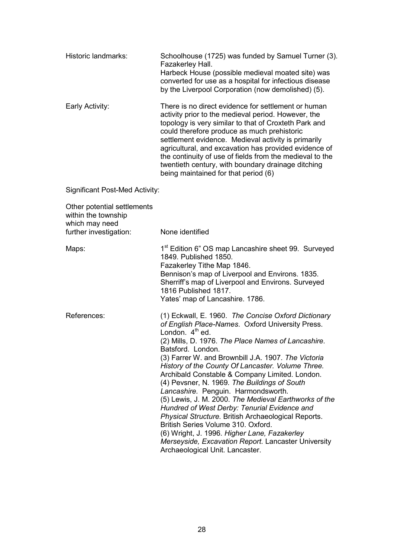| Historic landmarks: | Schoolhouse (1725) was funded by Samuel Turner (3).<br>Fazakerley Hall.<br>Harbeck House (possible medieval moated site) was<br>converted for use as a hospital for infectious disease<br>by the Liverpool Corporation (now demolished) (5).                              |
|---------------------|---------------------------------------------------------------------------------------------------------------------------------------------------------------------------------------------------------------------------------------------------------------------------|
| Early Activity:     | There is no direct evidence for settlement or human<br>activity prior to the medieval period. However, the<br>topology is very similar to that of Croxteth Park and<br>could therefore produce as much prehistoric<br>settlement evidence. Medieval activity is primarily |

being maintained for that period (6)

agricultural, and excavation has provided evidence of the continuity of use of fields from the medieval to the twentieth century, with boundary drainage ditching

Significant Post-Med Activity:

| Other potential settlements<br>within the township<br>which may need<br>further investigation: | None identified                                                                                                                                                                                                                                                                                                                                                                                                                                                                                                                                                                                                                                                                                                                                                                                                        |
|------------------------------------------------------------------------------------------------|------------------------------------------------------------------------------------------------------------------------------------------------------------------------------------------------------------------------------------------------------------------------------------------------------------------------------------------------------------------------------------------------------------------------------------------------------------------------------------------------------------------------------------------------------------------------------------------------------------------------------------------------------------------------------------------------------------------------------------------------------------------------------------------------------------------------|
| Maps:                                                                                          | 1 <sup>st</sup> Edition 6" OS map Lancashire sheet 99. Surveyed<br>1849. Published 1850.<br>Fazakerley Tithe Map 1846.<br>Bennison's map of Liverpool and Environs. 1835.<br>Sherriff's map of Liverpool and Environs. Surveyed<br>1816 Published 1817.<br>Yates' map of Lancashire. 1786.                                                                                                                                                                                                                                                                                                                                                                                                                                                                                                                             |
| References:                                                                                    | (1) Eckwall, E. 1960. The Concise Oxford Dictionary<br>of English Place-Names. Oxford University Press.<br>London. 4 <sup>th</sup> ed.<br>(2) Mills, D. 1976. The Place Names of Lancashire.<br>Batsford. London.<br>(3) Farrer W. and Brownbill J.A. 1907. The Victoria<br>History of the County Of Lancaster. Volume Three.<br>Archibald Constable & Company Limited. London.<br>(4) Pevsner, N. 1969. The Buildings of South<br>Lancashire. Penguin. Harmondsworth.<br>(5) Lewis, J. M. 2000. The Medieval Earthworks of the<br>Hundred of West Derby: Tenurial Evidence and<br>Physical Structure. British Archaeological Reports.<br>British Series Volume 310, Oxford.<br>(6) Wright, J. 1996. Higher Lane, Fazakerley<br>Merseyside, Excavation Report. Lancaster University<br>Archaeological Unit. Lancaster. |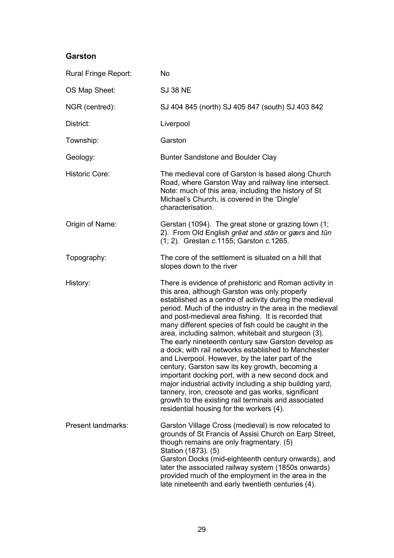#### **Garston**

| Rural Fringe Report:      | <b>No</b>                                                                                                                                                                                                                                                                                                                                                                                                                                                                                                                                                                                                                                                                                                                                                                                                                                                                                                |
|---------------------------|----------------------------------------------------------------------------------------------------------------------------------------------------------------------------------------------------------------------------------------------------------------------------------------------------------------------------------------------------------------------------------------------------------------------------------------------------------------------------------------------------------------------------------------------------------------------------------------------------------------------------------------------------------------------------------------------------------------------------------------------------------------------------------------------------------------------------------------------------------------------------------------------------------|
| OS Map Sheet:             | <b>SJ 38 NE</b>                                                                                                                                                                                                                                                                                                                                                                                                                                                                                                                                                                                                                                                                                                                                                                                                                                                                                          |
| NGR (centred):            | SJ 404 845 (north) SJ 405 847 (south) SJ 403 842                                                                                                                                                                                                                                                                                                                                                                                                                                                                                                                                                                                                                                                                                                                                                                                                                                                         |
| District:                 | Liverpool                                                                                                                                                                                                                                                                                                                                                                                                                                                                                                                                                                                                                                                                                                                                                                                                                                                                                                |
| Township:                 | Garston                                                                                                                                                                                                                                                                                                                                                                                                                                                                                                                                                                                                                                                                                                                                                                                                                                                                                                  |
| Geology:                  | Bunter Sandstone and Boulder Clay                                                                                                                                                                                                                                                                                                                                                                                                                                                                                                                                                                                                                                                                                                                                                                                                                                                                        |
| <b>Historic Core:</b>     | The medieval core of Garston is based along Church<br>Road, where Garston Way and railway line intersect.<br>Note: much of this area, including the history of St<br>Michael's Church, is covered in the 'Dingle'<br>characterisation.                                                                                                                                                                                                                                                                                                                                                                                                                                                                                                                                                                                                                                                                   |
| Origin of Name:           | Gerstan (1094). The great stone or grazing town (1;<br>2). From Old English great and stan or gærs and tūn<br>(1; 2). Grestan c.1155; Garston c.1265.                                                                                                                                                                                                                                                                                                                                                                                                                                                                                                                                                                                                                                                                                                                                                    |
| Topography:               | The core of the settlement is situated on a hill that<br>slopes down to the river                                                                                                                                                                                                                                                                                                                                                                                                                                                                                                                                                                                                                                                                                                                                                                                                                        |
| History:                  | There is evidence of prehistoric and Roman activity in<br>this area, although Garston was only properly<br>established as a centre of activity during the medieval<br>period. Much of the industry in the area in the medieval<br>and post-medieval area fishing. It is recorded that<br>many different species of fish could be caught in the<br>area, including salmon, whitebait and sturgeon (3).<br>The early nineteenth century saw Garston develop as<br>a dock, with rail networks established to Manchester<br>and Liverpool. However, by the later part of the<br>century, Garston saw its key growth, becoming a<br>important docking port, with a new second dock and<br>major industrial activity including a ship building yard,<br>tannery, iron, creosote and gas works, significant<br>growth to the existing rail terminals and associated<br>residential housing for the workers (4). |
| <b>Present landmarks:</b> | Garston Village Cross (medieval) is now relocated to<br>grounds of St Francis of Assisi Church on Earp Street,<br>though remains are only fragmentary. (5)<br>Station (1873). (5)<br>Garston Docks (mid-eighteenth century onwards), and<br>later the associated railway system (1850s onwards)<br>provided much of the employment in the area in the<br>late nineteenth and early twentieth centuries (4).                                                                                                                                                                                                                                                                                                                                                                                                                                                                                              |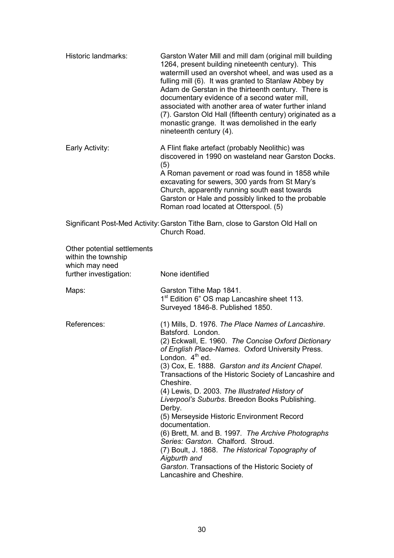| Historic landmarks:                                                  | Garston Water Mill and mill dam (original mill building<br>1264, present building nineteenth century). This<br>watermill used an overshot wheel, and was used as a<br>fulling mill (6). It was granted to Stanlaw Abbey by<br>Adam de Gerstan in the thirteenth century. There is<br>documentary evidence of a second water mill,<br>associated with another area of water further inland<br>(7). Garston Old Hall (fifteenth century) originated as a<br>monastic grange. It was demolished in the early<br>nineteenth century (4).                                                                                                                                                                                                                              |
|----------------------------------------------------------------------|-------------------------------------------------------------------------------------------------------------------------------------------------------------------------------------------------------------------------------------------------------------------------------------------------------------------------------------------------------------------------------------------------------------------------------------------------------------------------------------------------------------------------------------------------------------------------------------------------------------------------------------------------------------------------------------------------------------------------------------------------------------------|
| Early Activity:                                                      | A Flint flake artefact (probably Neolithic) was<br>discovered in 1990 on wasteland near Garston Docks.<br>(5)<br>A Roman pavement or road was found in 1858 while<br>excavating for sewers, 300 yards from St Mary's<br>Church, apparently running south east towards<br>Garston or Hale and possibly linked to the probable<br>Roman road located at Otterspool. (5)                                                                                                                                                                                                                                                                                                                                                                                             |
|                                                                      | Significant Post-Med Activity: Garston Tithe Barn, close to Garston Old Hall on<br>Church Road.                                                                                                                                                                                                                                                                                                                                                                                                                                                                                                                                                                                                                                                                   |
| Other potential settlements<br>within the township<br>which may need |                                                                                                                                                                                                                                                                                                                                                                                                                                                                                                                                                                                                                                                                                                                                                                   |
| further investigation:                                               | None identified                                                                                                                                                                                                                                                                                                                                                                                                                                                                                                                                                                                                                                                                                                                                                   |
| Maps:                                                                | Garston Tithe Map 1841.<br>1 <sup>st</sup> Edition 6" OS map Lancashire sheet 113.<br>Surveyed 1846-8. Published 1850.                                                                                                                                                                                                                                                                                                                                                                                                                                                                                                                                                                                                                                            |
| References:                                                          | (1) Mills, D. 1976. The Place Names of Lancashire.<br>Batsford. London.<br>(2) Eckwall, E. 1960. The Concise Oxford Dictionary<br>of English Place-Names. Oxford University Press.<br>London. $4th$ ed.<br>(3) Cox, E. 1888. Garston and its Ancient Chapel.<br>Transactions of the Historic Society of Lancashire and<br>Cheshire.<br>(4) Lewis, D. 2003. The Illustrated History of<br>Liverpool's Suburbs. Breedon Books Publishing.<br>Derby.<br>(5) Merseyside Historic Environment Record<br>documentation.<br>(6) Brett, M. and B. 1997. The Archive Photographs<br>Series: Garston. Chalford. Stroud.<br>(7) Boult, J. 1868. The Historical Topography of<br>Aigburth and<br>Garston. Transactions of the Historic Society of<br>Lancashire and Cheshire. |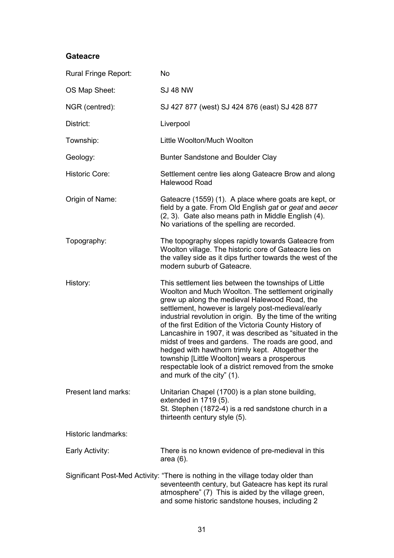#### **Gateacre**

| Rural Fringe Report:  | <b>No</b>                                                                                                                                                                                                                                                                                                                                                                                                                                                                                                                                                                                                                                                 |
|-----------------------|-----------------------------------------------------------------------------------------------------------------------------------------------------------------------------------------------------------------------------------------------------------------------------------------------------------------------------------------------------------------------------------------------------------------------------------------------------------------------------------------------------------------------------------------------------------------------------------------------------------------------------------------------------------|
| OS Map Sheet:         | <b>SJ 48 NW</b>                                                                                                                                                                                                                                                                                                                                                                                                                                                                                                                                                                                                                                           |
| NGR (centred):        | SJ 427 877 (west) SJ 424 876 (east) SJ 428 877                                                                                                                                                                                                                                                                                                                                                                                                                                                                                                                                                                                                            |
| District:             | Liverpool                                                                                                                                                                                                                                                                                                                                                                                                                                                                                                                                                                                                                                                 |
| Township:             | Little Woolton/Much Woolton                                                                                                                                                                                                                                                                                                                                                                                                                                                                                                                                                                                                                               |
| Geology:              | Bunter Sandstone and Boulder Clay                                                                                                                                                                                                                                                                                                                                                                                                                                                                                                                                                                                                                         |
| <b>Historic Core:</b> | Settlement centre lies along Gateacre Brow and along<br><b>Halewood Road</b>                                                                                                                                                                                                                                                                                                                                                                                                                                                                                                                                                                              |
| Origin of Name:       | Gateacre (1559) (1). A place where goats are kept, or<br>field by a gate. From Old English gat or geat and aecer<br>(2, 3). Gate also means path in Middle English (4).<br>No variations of the spelling are recorded.                                                                                                                                                                                                                                                                                                                                                                                                                                    |
| Topography:           | The topography slopes rapidly towards Gateacre from<br>Woolton village. The historic core of Gateacre lies on<br>the valley side as it dips further towards the west of the<br>modern suburb of Gateacre.                                                                                                                                                                                                                                                                                                                                                                                                                                                 |
| History:              | This settlement lies between the townships of Little<br>Woolton and Much Woolton. The settlement originally<br>grew up along the medieval Halewood Road, the<br>settlement, however is largely post-medieval/early<br>industrial revolution in origin. By the time of the writing<br>of the first Edition of the Victoria County History of<br>Lancashire in 1907, it was described as "situated in the<br>midst of trees and gardens. The roads are good, and<br>hedged with hawthorn trimly kept. Altogether the<br>township [Little Woolton] wears a prosperous<br>respectable look of a district removed from the smoke<br>and murk of the city" (1). |
| Present land marks:   | Unitarian Chapel (1700) is a plan stone building,<br>extended in 1719 (5).<br>St. Stephen (1872-4) is a red sandstone church in a<br>thirteenth century style (5).                                                                                                                                                                                                                                                                                                                                                                                                                                                                                        |
| Historic landmarks:   |                                                                                                                                                                                                                                                                                                                                                                                                                                                                                                                                                                                                                                                           |
| Early Activity:       | There is no known evidence of pre-medieval in this<br>area $(6)$ .                                                                                                                                                                                                                                                                                                                                                                                                                                                                                                                                                                                        |
|                       | Significant Post-Med Activity: "There is nothing in the village today older than<br>seventeenth century, but Gateacre has kept its rural<br>atmosphere" (7) This is aided by the village green,<br>and some historic sandstone houses, including 2                                                                                                                                                                                                                                                                                                                                                                                                        |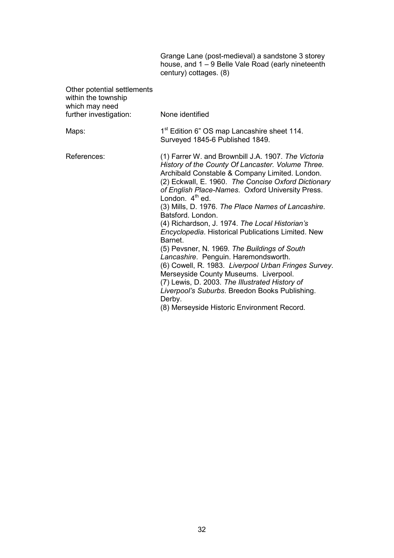|                                                                      | Grange Lane (post-medieval) a sandstone 3 storey<br>house, and 1 – 9 Belle Vale Road (early nineteenth<br>century) cottages. (8)                                                                                                                                                                                                                                                                                                                                                                                                                                                                                                                                                                                                                                                                                                                      |
|----------------------------------------------------------------------|-------------------------------------------------------------------------------------------------------------------------------------------------------------------------------------------------------------------------------------------------------------------------------------------------------------------------------------------------------------------------------------------------------------------------------------------------------------------------------------------------------------------------------------------------------------------------------------------------------------------------------------------------------------------------------------------------------------------------------------------------------------------------------------------------------------------------------------------------------|
| Other potential settlements<br>within the township<br>which may need |                                                                                                                                                                                                                                                                                                                                                                                                                                                                                                                                                                                                                                                                                                                                                                                                                                                       |
| further investigation:                                               | None identified                                                                                                                                                                                                                                                                                                                                                                                                                                                                                                                                                                                                                                                                                                                                                                                                                                       |
| Maps:                                                                | 1 <sup>st</sup> Edition 6" OS map Lancashire sheet 114.<br>Surveyed 1845-6 Published 1849.                                                                                                                                                                                                                                                                                                                                                                                                                                                                                                                                                                                                                                                                                                                                                            |
| References:                                                          | (1) Farrer W. and Brownbill J.A. 1907. The Victoria<br>History of the County Of Lancaster. Volume Three.<br>Archibald Constable & Company Limited. London.<br>(2) Eckwall, E. 1960. The Concise Oxford Dictionary<br>of English Place-Names. Oxford University Press.<br>London. $4th$ ed.<br>(3) Mills, D. 1976. The Place Names of Lancashire.<br>Batsford. London.<br>(4) Richardson, J. 1974. The Local Historian's<br><b>Encyclopedia. Historical Publications Limited. New</b><br>Barnet.<br>(5) Pevsner, N. 1969. The Buildings of South<br>Lancashire. Penguin. Haremondsworth.<br>(6) Cowell, R. 1983. Liverpool Urban Fringes Survey.<br>Merseyside County Museums. Liverpool.<br>(7) Lewis, D. 2003. The Illustrated History of<br>Liverpool's Suburbs. Breedon Books Publishing.<br>Derby.<br>(8) Merseyside Historic Environment Record. |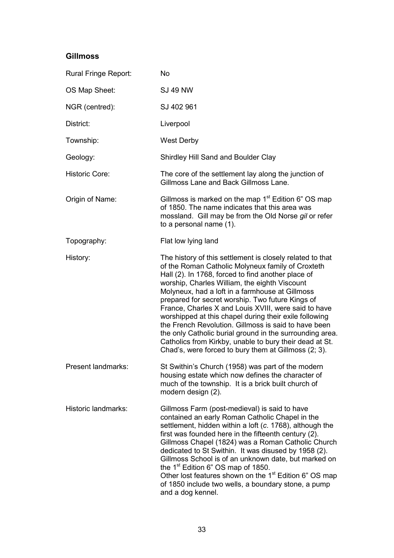## **Gillmoss**

| Rural Fringe Report:  | <b>No</b>                                                                                                                                                                                                                                                                                                                                                                                                                                                                                                                                                                                                                                                                             |
|-----------------------|---------------------------------------------------------------------------------------------------------------------------------------------------------------------------------------------------------------------------------------------------------------------------------------------------------------------------------------------------------------------------------------------------------------------------------------------------------------------------------------------------------------------------------------------------------------------------------------------------------------------------------------------------------------------------------------|
| OS Map Sheet:         | <b>SJ 49 NW</b>                                                                                                                                                                                                                                                                                                                                                                                                                                                                                                                                                                                                                                                                       |
| NGR (centred):        | SJ 402 961                                                                                                                                                                                                                                                                                                                                                                                                                                                                                                                                                                                                                                                                            |
| District:             | Liverpool                                                                                                                                                                                                                                                                                                                                                                                                                                                                                                                                                                                                                                                                             |
| Township:             | <b>West Derby</b>                                                                                                                                                                                                                                                                                                                                                                                                                                                                                                                                                                                                                                                                     |
| Geology:              | Shirdley Hill Sand and Boulder Clay                                                                                                                                                                                                                                                                                                                                                                                                                                                                                                                                                                                                                                                   |
| <b>Historic Core:</b> | The core of the settlement lay along the junction of<br>Gillmoss Lane and Back Gillmoss Lane.                                                                                                                                                                                                                                                                                                                                                                                                                                                                                                                                                                                         |
| Origin of Name:       | Gillmoss is marked on the map 1 <sup>st</sup> Edition 6" OS map<br>of 1850. The name indicates that this area was<br>mossland. Gill may be from the Old Norse gil or refer<br>to a personal name (1).                                                                                                                                                                                                                                                                                                                                                                                                                                                                                 |
| Topography:           | Flat low lying land                                                                                                                                                                                                                                                                                                                                                                                                                                                                                                                                                                                                                                                                   |
| History:              | The history of this settlement is closely related to that<br>of the Roman Catholic Molyneux family of Croxteth<br>Hall (2). In 1768, forced to find another place of<br>worship, Charles William, the eighth Viscount<br>Molyneux, had a loft in a farmhouse at Gillmoss<br>prepared for secret worship. Two future Kings of<br>France, Charles X and Louis XVIII, were said to have<br>worshipped at this chapel during their exile following<br>the French Revolution. Gillmoss is said to have been<br>the only Catholic burial ground in the surrounding area.<br>Catholics from Kirkby, unable to bury their dead at St.<br>Chad's, were forced to bury them at Gillmoss (2; 3). |
| Present landmarks:    | St Swithin's Church (1958) was part of the modern<br>housing estate which now defines the character of<br>much of the township. It is a brick built church of<br>modern design (2).                                                                                                                                                                                                                                                                                                                                                                                                                                                                                                   |
| Historic landmarks:   | Gillmoss Farm (post-medieval) is said to have<br>contained an early Roman Catholic Chapel in the<br>settlement, hidden within a loft (c. 1768), although the<br>first was founded here in the fifteenth century (2).<br>Gillmoss Chapel (1824) was a Roman Catholic Church<br>dedicated to St Swithin. It was disused by 1958 (2).<br>Gillmoss School is of an unknown date, but marked on<br>the 1 <sup>st</sup> Edition 6" OS map of 1850.<br>Other lost features shown on the 1 <sup>st</sup> Edition 6" OS map<br>of 1850 include two wells, a boundary stone, a pump<br>and a dog kennel.                                                                                        |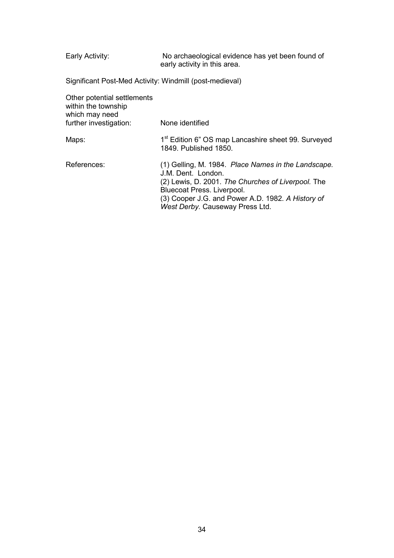Early Activity: No archaeological evidence has yet been found of early activity in this area.

Significant Post-Med Activity: Windmill (post-medieval)

| Other potential settlements<br>within the township<br>which may need<br>further investigation: | None identified                                                                                                                                                                                                                                       |
|------------------------------------------------------------------------------------------------|-------------------------------------------------------------------------------------------------------------------------------------------------------------------------------------------------------------------------------------------------------|
| Maps:                                                                                          | 1 <sup>st</sup> Edition 6" OS map Lancashire sheet 99. Surveyed<br>1849. Published 1850.                                                                                                                                                              |
| References:                                                                                    | (1) Gelling, M. 1984. Place Names in the Landscape.<br>J.M. Dent. London.<br>(2) Lewis, D. 2001. The Churches of Liverpool. The<br>Bluecoat Press. Liverpool.<br>(3) Cooper J.G. and Power A.D. 1982. A History of<br>West Derby. Causeway Press Ltd. |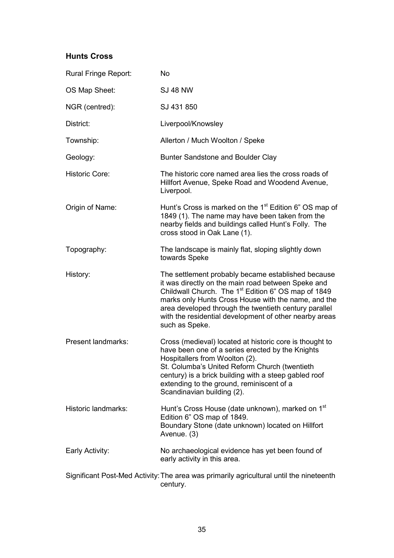## **Hunts Cross**

| Rural Fringe Report:      | <b>No</b>                                                                                                                                                                                                                                                                                                                                                               |
|---------------------------|-------------------------------------------------------------------------------------------------------------------------------------------------------------------------------------------------------------------------------------------------------------------------------------------------------------------------------------------------------------------------|
| OS Map Sheet:             | <b>SJ 48 NW</b>                                                                                                                                                                                                                                                                                                                                                         |
| NGR (centred):            | SJ 431 850                                                                                                                                                                                                                                                                                                                                                              |
| District:                 | Liverpool/Knowsley                                                                                                                                                                                                                                                                                                                                                      |
| Township:                 | Allerton / Much Woolton / Speke                                                                                                                                                                                                                                                                                                                                         |
| Geology:                  | Bunter Sandstone and Boulder Clay                                                                                                                                                                                                                                                                                                                                       |
| <b>Historic Core:</b>     | The historic core named area lies the cross roads of<br>Hillfort Avenue, Speke Road and Woodend Avenue,<br>Liverpool.                                                                                                                                                                                                                                                   |
| Origin of Name:           | Hunt's Cross is marked on the 1 <sup>st</sup> Edition 6" OS map of<br>1849 (1). The name may have been taken from the<br>nearby fields and buildings called Hunt's Folly. The<br>cross stood in Oak Lane (1).                                                                                                                                                           |
| Topography:               | The landscape is mainly flat, sloping slightly down<br>towards Speke                                                                                                                                                                                                                                                                                                    |
| History:                  | The settlement probably became established because<br>it was directly on the main road between Speke and<br>Childwall Church. The 1 <sup>st</sup> Edition 6" OS map of 1849<br>marks only Hunts Cross House with the name, and the<br>area developed through the twentieth century parallel<br>with the residential development of other nearby areas<br>such as Speke. |
| <b>Present landmarks:</b> | Cross (medieval) located at historic core is thought to<br>have been one of a series erected by the Knights<br>Hospitallers from Woolton (2).<br>St. Columba's United Reform Church (twentieth<br>century) is a brick building with a steep gabled roof<br>extending to the ground, reminiscent of a<br>Scandinavian building (2).                                      |
| Historic landmarks:       | Hunt's Cross House (date unknown), marked on 1 <sup>st</sup><br>Edition 6" OS map of 1849.<br>Boundary Stone (date unknown) located on Hillfort<br>Avenue. (3)                                                                                                                                                                                                          |
| Early Activity:           | No archaeological evidence has yet been found of<br>early activity in this area.                                                                                                                                                                                                                                                                                        |
|                           | Significant Post-Med Activity: The area was primarily agricultural until the nineteenth<br>century.                                                                                                                                                                                                                                                                     |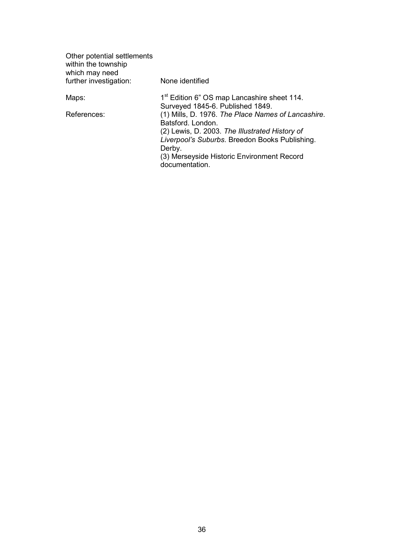| None identified                                                                                                                                                                                                                                       |
|-------------------------------------------------------------------------------------------------------------------------------------------------------------------------------------------------------------------------------------------------------|
| 1 <sup>st</sup> Edition 6" OS map Lancashire sheet 114.<br>Surveyed 1845-6. Published 1849.                                                                                                                                                           |
| (1) Mills, D. 1976. The Place Names of Lancashire.<br>Batsford, London.<br>(2) Lewis, D. 2003. The Illustrated History of<br>Liverpool's Suburbs. Breedon Books Publishing.<br>Derby.<br>(3) Merseyside Historic Environment Record<br>documentation. |
|                                                                                                                                                                                                                                                       |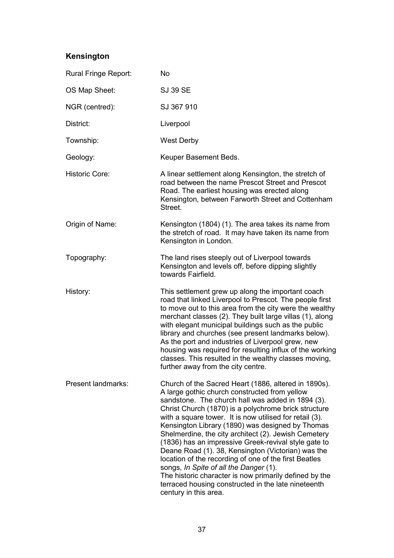# **Kensington**

| Rural Fringe Report:      | <b>No</b>                                                                                                                                                                                                                                                                                                                                                                                                                                                                                                                                                                                                                                                                                                                                            |
|---------------------------|------------------------------------------------------------------------------------------------------------------------------------------------------------------------------------------------------------------------------------------------------------------------------------------------------------------------------------------------------------------------------------------------------------------------------------------------------------------------------------------------------------------------------------------------------------------------------------------------------------------------------------------------------------------------------------------------------------------------------------------------------|
| OS Map Sheet:             | <b>SJ 39 SE</b>                                                                                                                                                                                                                                                                                                                                                                                                                                                                                                                                                                                                                                                                                                                                      |
| NGR (centred):            | SJ 367 910                                                                                                                                                                                                                                                                                                                                                                                                                                                                                                                                                                                                                                                                                                                                           |
| District:                 | Liverpool                                                                                                                                                                                                                                                                                                                                                                                                                                                                                                                                                                                                                                                                                                                                            |
| Township:                 | <b>West Derby</b>                                                                                                                                                                                                                                                                                                                                                                                                                                                                                                                                                                                                                                                                                                                                    |
| Geology:                  | Keuper Basement Beds.                                                                                                                                                                                                                                                                                                                                                                                                                                                                                                                                                                                                                                                                                                                                |
| <b>Historic Core:</b>     | A linear settlement along Kensington, the stretch of<br>road between the name Prescot Street and Prescot<br>Road. The earliest housing was erected along<br>Kensington, between Farworth Street and Cottenham<br>Street.                                                                                                                                                                                                                                                                                                                                                                                                                                                                                                                             |
| Origin of Name:           | Kensington (1804) (1). The area takes its name from<br>the stretch of road. It may have taken its name from<br>Kensington in London.                                                                                                                                                                                                                                                                                                                                                                                                                                                                                                                                                                                                                 |
| Topography:               | The land rises steeply out of Liverpool towards<br>Kensington and levels off, before dipping slightly<br>towards Fairfield.                                                                                                                                                                                                                                                                                                                                                                                                                                                                                                                                                                                                                          |
| History:                  | This settlement grew up along the important coach<br>road that linked Liverpool to Prescot. The people first<br>to move out to this area from the city were the wealthy<br>merchant classes (2). They built large villas (1), along<br>with elegant municipal buildings such as the public<br>library and churches (see present landmarks below).<br>As the port and industries of Liverpool grew, new<br>housing was required for resulting influx of the working<br>classes. This resulted in the wealthy classes moving,<br>further away from the city centre.                                                                                                                                                                                    |
| <b>Present landmarks:</b> | Church of the Sacred Heart (1886, altered in 1890s).<br>A large gothic church constructed from yellow<br>sandstone. The church hall was added in 1894 (3).<br>Christ Church (1870) is a polychrome brick structure<br>with a square tower. It is now utilised for retail (3).<br>Kensington Library (1890) was designed by Thomas<br>Shelmerdine, the city architect (2). Jewish Cemetery<br>(1836) has an impressive Greek-revival style gate to<br>Deane Road (1). 38, Kensington (Victorian) was the<br>location of the recording of one of the first Beatles<br>songs, In Spite of all the Danger (1).<br>The historic character is now primarily defined by the<br>terraced housing constructed in the late nineteenth<br>century in this area. |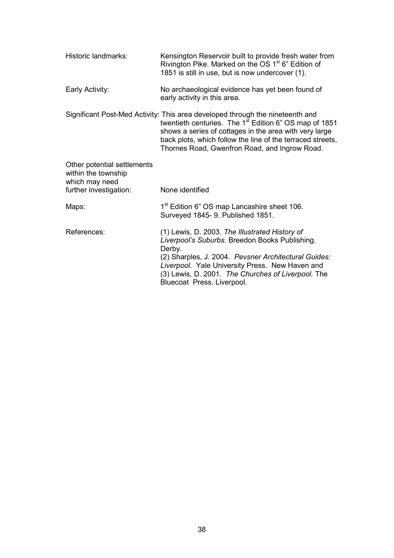| Historic landmarks:                                                                            | Kensington Reservoir built to provide fresh water from<br>Rivington Pike. Marked on the OS 1 <sup>st</sup> 6" Edition of<br>1851 is still in use, but is now undercover (1).                                                                                                                                                 |
|------------------------------------------------------------------------------------------------|------------------------------------------------------------------------------------------------------------------------------------------------------------------------------------------------------------------------------------------------------------------------------------------------------------------------------|
| Early Activity:                                                                                | No archaeological evidence has yet been found of<br>early activity in this area.                                                                                                                                                                                                                                             |
|                                                                                                | Significant Post-Med Activity: This area developed through the nineteenth and<br>twentieth centuries. The 1 <sup>st</sup> Edition 6" OS map of 1851<br>shows a series of cottages in the area with very large<br>back plots, which follow the line of the terraced streets,<br>Thornes Road, Gwenfron Road, and Ingrow Road. |
| Other potential settlements<br>within the township<br>which may need<br>further investigation: | None identified                                                                                                                                                                                                                                                                                                              |
|                                                                                                |                                                                                                                                                                                                                                                                                                                              |
| Maps:                                                                                          | 1 <sup>st</sup> Edition 6" OS map Lancashire sheet 106.<br>Surveyed 1845- 9. Published 1851.                                                                                                                                                                                                                                 |
| References:                                                                                    | (1) Lewis, D. 2003. The Illustrated History of<br>Liverpool's Suburbs. Breedon Books Publishing.<br>Derby.<br>(2) Sharples, J. 2004. Pevsner Architectural Guides:<br>Liverpool. Yale University Press. New Haven and<br>(3) Lewis, D. 2001. The Churches of Liverpool. The<br>Bluecoat Press. Liverpool.                    |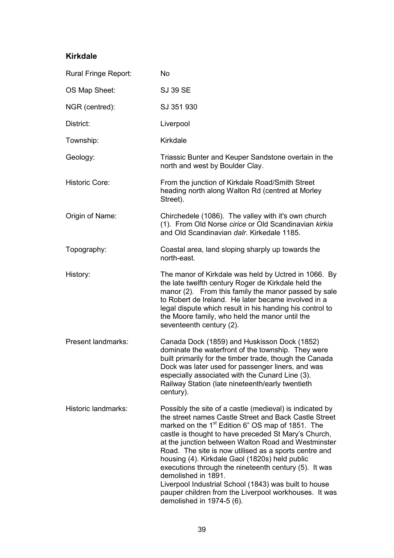#### **Kirkdale**

| Rural Fringe Report:  | <b>No</b>                                                                                                                                                                                                                                                                                                                                                                                                                                                                                                                                                                                                                                  |
|-----------------------|--------------------------------------------------------------------------------------------------------------------------------------------------------------------------------------------------------------------------------------------------------------------------------------------------------------------------------------------------------------------------------------------------------------------------------------------------------------------------------------------------------------------------------------------------------------------------------------------------------------------------------------------|
| OS Map Sheet:         | <b>SJ 39 SE</b>                                                                                                                                                                                                                                                                                                                                                                                                                                                                                                                                                                                                                            |
| NGR (centred):        | SJ 351 930                                                                                                                                                                                                                                                                                                                                                                                                                                                                                                                                                                                                                                 |
| District:             | Liverpool                                                                                                                                                                                                                                                                                                                                                                                                                                                                                                                                                                                                                                  |
| Township:             | Kirkdale                                                                                                                                                                                                                                                                                                                                                                                                                                                                                                                                                                                                                                   |
| Geology:              | Triassic Bunter and Keuper Sandstone overlain in the<br>north and west by Boulder Clay.                                                                                                                                                                                                                                                                                                                                                                                                                                                                                                                                                    |
| <b>Historic Core:</b> | From the junction of Kirkdale Road/Smith Street<br>heading north along Walton Rd (centred at Morley<br>Street).                                                                                                                                                                                                                                                                                                                                                                                                                                                                                                                            |
| Origin of Name:       | Chirchedele (1086). The valley with it's own church<br>(1). From Old Norse cirice or Old Scandinavian kirkia<br>and Old Scandinavian dalr. Kirkedale 1185.                                                                                                                                                                                                                                                                                                                                                                                                                                                                                 |
| Topography:           | Coastal area, land sloping sharply up towards the<br>north-east.                                                                                                                                                                                                                                                                                                                                                                                                                                                                                                                                                                           |
| History:              | The manor of Kirkdale was held by Uctred in 1066. By<br>the late twelfth century Roger de Kirkdale held the<br>manor (2). From this family the manor passed by sale<br>to Robert de Ireland. He later became involved in a<br>legal dispute which result in his handing his control to<br>the Moore family, who held the manor until the<br>seventeenth century (2).                                                                                                                                                                                                                                                                       |
| Present landmarks:    | Canada Dock (1859) and Huskisson Dock (1852)<br>dominate the waterfront of the township. They were<br>built primarily for the timber trade, though the Canada<br>Dock was later used for passenger liners, and was<br>especially associated with the Cunard Line (3).<br>Railway Station (late nineteenth/early twentieth<br>century).                                                                                                                                                                                                                                                                                                     |
| Historic landmarks:   | Possibly the site of a castle (medieval) is indicated by<br>the street names Castle Street and Back Castle Street<br>marked on the 1 <sup>st</sup> Edition 6" OS map of 1851. The<br>castle is thought to have preceded St Mary's Church,<br>at the junction between Walton Road and Westminster<br>Road. The site is now utilised as a sports centre and<br>housing (4). Kirkdale Gaol (1820s) held public<br>executions through the nineteenth century (5). It was<br>demolished in 1891.<br>Liverpool Industrial School (1843) was built to house<br>pauper children from the Liverpool workhouses. It was<br>demolished in 1974-5 (6). |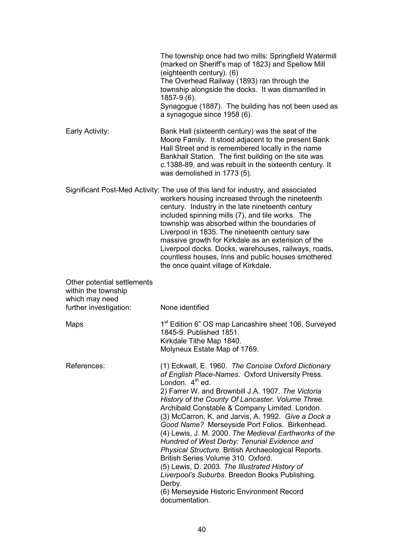|                                                                                                | The township once had two mills: Springfield Watermill<br>(marked on Sheriff's map of 1823) and Spellow Mill<br>(eighteenth century). (6)<br>The Overhead Railway (1893) ran through the<br>township alongside the docks. It was dismantled in<br>1857-9 (6).<br>Synagogue (1887). The building has not been used as<br>a synagogue since 1958 (6).                                                                                                                                                                                                                                                                                                                                                                                                                                    |
|------------------------------------------------------------------------------------------------|----------------------------------------------------------------------------------------------------------------------------------------------------------------------------------------------------------------------------------------------------------------------------------------------------------------------------------------------------------------------------------------------------------------------------------------------------------------------------------------------------------------------------------------------------------------------------------------------------------------------------------------------------------------------------------------------------------------------------------------------------------------------------------------|
| Early Activity:                                                                                | Bank Hall (sixteenth century) was the seat of the<br>Moore Family. It stood adjacent to the present Bank<br>Hall Street and is remembered locally in the name<br>Bankhall Station. The first building on the site was<br>c.1388-89, and was rebuilt in the sixteenth century. It<br>was demolished in 1773 (5).                                                                                                                                                                                                                                                                                                                                                                                                                                                                        |
|                                                                                                | Significant Post-Med Activity: The use of this land for industry, and associated<br>workers housing increased through the nineteenth<br>century. Industry in the late nineteenth century<br>included spinning mills (7), and tile works. The<br>township was absorbed within the boundaries of<br>Liverpool in 1835. The nineteenth century saw<br>massive growth for Kirkdale as an extension of the<br>Liverpool docks. Docks, warehouses, railways, roads,<br>countless houses, Inns and public houses smothered<br>the once quaint village of Kirkdale.                                                                                                                                                                                                                            |
| Other potential settlements<br>within the township<br>which may need<br>further investigation: | None identified                                                                                                                                                                                                                                                                                                                                                                                                                                                                                                                                                                                                                                                                                                                                                                        |
| Maps                                                                                           | 1 <sup>st</sup> Edition 6" OS map Lancashire sheet 106. Surveyed<br>1845-9. Published 1851.<br>Kirkdale Tithe Map 1840.<br>Molyneux Estate Map of 1769.                                                                                                                                                                                                                                                                                                                                                                                                                                                                                                                                                                                                                                |
| References:                                                                                    | (1) Eckwall, E. 1960. The Concise Oxford Dictionary<br>of English Place-Names. Oxford University Press.<br>London. $4th$ ed.<br>2) Farrer W. and Brownbill J.A. 1907. The Victoria<br>History of the County Of Lancaster. Volume Three.<br>Archibald Constable & Company Limited. London.<br>(3) McCarron, K. and Jarvis, A. 1992. Give a Dock a<br>Good Name? Merseyside Port Folios. Birkenhead.<br>(4) Lewis, J. M. 2000. The Medieval Earthworks of the<br>Hundred of West Derby: Tenurial Evidence and<br>Physical Structure. British Archaeological Reports.<br>British Series Volume 310. Oxford.<br>(5) Lewis, D. 2003. The Illustrated History of<br>Liverpool's Suburbs. Breedon Books Publishing.<br>Derby.<br>(6) Merseyside Historic Environment Record<br>documentation. |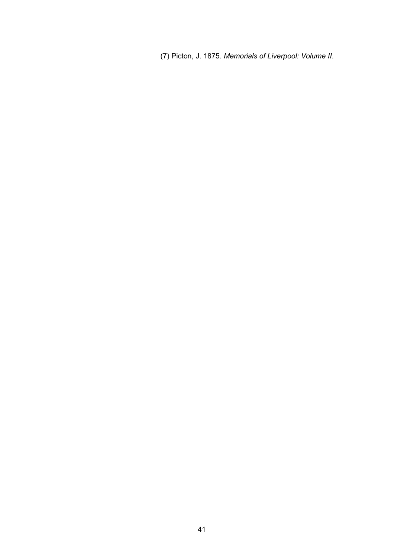(7) Picton, J. 1875. *Memorials of Liverpool: Volume II*.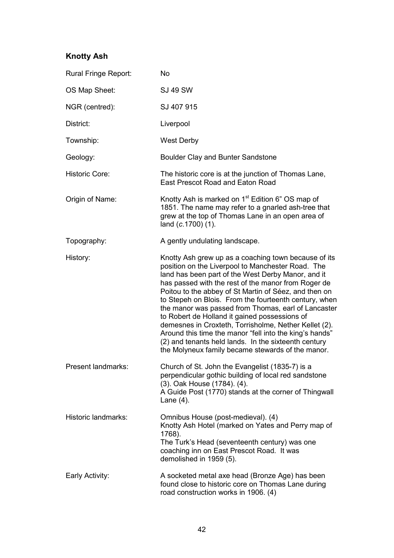# **Knotty Ash**

| Rural Fringe Report:  | <b>No</b>                                                                                                                                                                                                                                                                                                                                                                                                                                                                                                                                                                                                                                                                         |
|-----------------------|-----------------------------------------------------------------------------------------------------------------------------------------------------------------------------------------------------------------------------------------------------------------------------------------------------------------------------------------------------------------------------------------------------------------------------------------------------------------------------------------------------------------------------------------------------------------------------------------------------------------------------------------------------------------------------------|
| OS Map Sheet:         | <b>SJ 49 SW</b>                                                                                                                                                                                                                                                                                                                                                                                                                                                                                                                                                                                                                                                                   |
| NGR (centred):        | SJ 407 915                                                                                                                                                                                                                                                                                                                                                                                                                                                                                                                                                                                                                                                                        |
| District:             | Liverpool                                                                                                                                                                                                                                                                                                                                                                                                                                                                                                                                                                                                                                                                         |
| Township:             | <b>West Derby</b>                                                                                                                                                                                                                                                                                                                                                                                                                                                                                                                                                                                                                                                                 |
| Geology:              | Boulder Clay and Bunter Sandstone                                                                                                                                                                                                                                                                                                                                                                                                                                                                                                                                                                                                                                                 |
| <b>Historic Core:</b> | The historic core is at the junction of Thomas Lane,<br><b>East Prescot Road and Eaton Road</b>                                                                                                                                                                                                                                                                                                                                                                                                                                                                                                                                                                                   |
| Origin of Name:       | Knotty Ash is marked on 1 <sup>st</sup> Edition 6" OS map of<br>1851. The name may refer to a gnarled ash-tree that<br>grew at the top of Thomas Lane in an open area of<br>land (c.1700) (1).                                                                                                                                                                                                                                                                                                                                                                                                                                                                                    |
| Topography:           | A gently undulating landscape.                                                                                                                                                                                                                                                                                                                                                                                                                                                                                                                                                                                                                                                    |
| History:              | Knotty Ash grew up as a coaching town because of its<br>position on the Liverpool to Manchester Road. The<br>land has been part of the West Derby Manor, and it<br>has passed with the rest of the manor from Roger de<br>Poitou to the abbey of St Martin of Séez, and then on<br>to Stepeh on Blois. From the fourteenth century, when<br>the manor was passed from Thomas, earl of Lancaster<br>to Robert de Holland it gained possessions of<br>demesnes in Croxteth, Torrisholme, Nether Kellet (2).<br>Around this time the manor "fell into the king's hands"<br>(2) and tenants held lands. In the sixteenth century<br>the Molyneux family became stewards of the manor. |
| Present landmarks:    | Church of St. John the Evangelist (1835-7) is a<br>perpendicular gothic building of local red sandstone<br>(3). Oak House (1784). (4).<br>A Guide Post (1770) stands at the corner of Thingwall<br>Lane $(4)$ .                                                                                                                                                                                                                                                                                                                                                                                                                                                                   |
| Historic landmarks:   | Omnibus House (post-medieval). (4)<br>Knotty Ash Hotel (marked on Yates and Perry map of<br>1768).<br>The Turk's Head (seventeenth century) was one<br>coaching inn on East Prescot Road. It was<br>demolished in 1959 (5).                                                                                                                                                                                                                                                                                                                                                                                                                                                       |
| Early Activity:       | A socketed metal axe head (Bronze Age) has been<br>found close to historic core on Thomas Lane during<br>road construction works in 1906. (4)                                                                                                                                                                                                                                                                                                                                                                                                                                                                                                                                     |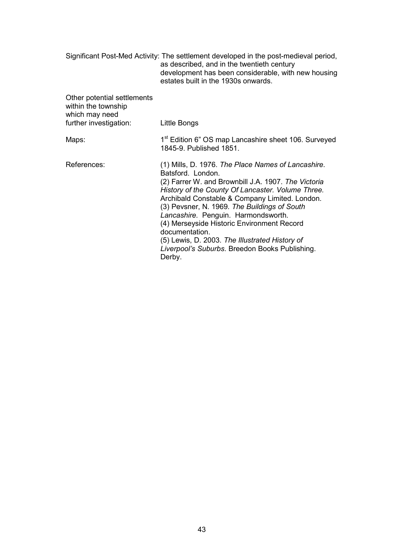|                                                                                                | Significant Post-Med Activity: The settlement developed in the post-medieval period,<br>as described, and in the twentieth century<br>development has been considerable, with new housing<br>estates built in the 1930s onwards.                                                                                                                                                                                                                                                                           |
|------------------------------------------------------------------------------------------------|------------------------------------------------------------------------------------------------------------------------------------------------------------------------------------------------------------------------------------------------------------------------------------------------------------------------------------------------------------------------------------------------------------------------------------------------------------------------------------------------------------|
| Other potential settlements<br>within the township<br>which may need<br>further investigation: | Little Bongs                                                                                                                                                                                                                                                                                                                                                                                                                                                                                               |
| Maps:                                                                                          | 1 <sup>st</sup> Edition 6" OS map Lancashire sheet 106. Surveyed<br>1845-9. Published 1851.                                                                                                                                                                                                                                                                                                                                                                                                                |
| References:                                                                                    | (1) Mills, D. 1976. The Place Names of Lancashire.<br>Batsford. London.<br>(2) Farrer W. and Brownbill J.A. 1907. The Victoria<br>History of the County Of Lancaster. Volume Three.<br>Archibald Constable & Company Limited. London.<br>(3) Pevsner, N. 1969. The Buildings of South<br>Lancashire. Penguin. Harmondsworth.<br>(4) Merseyside Historic Environment Record<br>documentation.<br>(5) Lewis, D. 2003. The Illustrated History of<br>Liverpool's Suburbs. Breedon Books Publishing.<br>Derby. |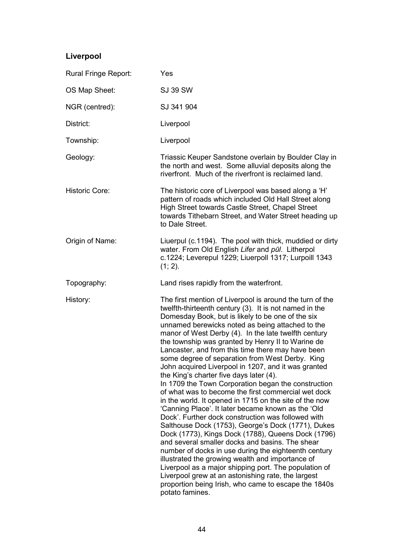# **Liverpool**

| Rural Fringe Report:  | Yes                                                                                                                                                                                                                                                                                                                                                                                                                                                                                                                                                                                                                                                                                                                                                                                                                                                                                                                                                                                                                                                                                                                                                                                                                                                                                                         |
|-----------------------|-------------------------------------------------------------------------------------------------------------------------------------------------------------------------------------------------------------------------------------------------------------------------------------------------------------------------------------------------------------------------------------------------------------------------------------------------------------------------------------------------------------------------------------------------------------------------------------------------------------------------------------------------------------------------------------------------------------------------------------------------------------------------------------------------------------------------------------------------------------------------------------------------------------------------------------------------------------------------------------------------------------------------------------------------------------------------------------------------------------------------------------------------------------------------------------------------------------------------------------------------------------------------------------------------------------|
| OS Map Sheet:         | <b>SJ 39 SW</b>                                                                                                                                                                                                                                                                                                                                                                                                                                                                                                                                                                                                                                                                                                                                                                                                                                                                                                                                                                                                                                                                                                                                                                                                                                                                                             |
| NGR (centred):        | SJ 341 904                                                                                                                                                                                                                                                                                                                                                                                                                                                                                                                                                                                                                                                                                                                                                                                                                                                                                                                                                                                                                                                                                                                                                                                                                                                                                                  |
| District:             | Liverpool                                                                                                                                                                                                                                                                                                                                                                                                                                                                                                                                                                                                                                                                                                                                                                                                                                                                                                                                                                                                                                                                                                                                                                                                                                                                                                   |
| Township:             | Liverpool                                                                                                                                                                                                                                                                                                                                                                                                                                                                                                                                                                                                                                                                                                                                                                                                                                                                                                                                                                                                                                                                                                                                                                                                                                                                                                   |
| Geology:              | Triassic Keuper Sandstone overlain by Boulder Clay in<br>the north and west. Some alluvial deposits along the<br>riverfront. Much of the riverfront is reclaimed land.                                                                                                                                                                                                                                                                                                                                                                                                                                                                                                                                                                                                                                                                                                                                                                                                                                                                                                                                                                                                                                                                                                                                      |
| <b>Historic Core:</b> | The historic core of Liverpool was based along a 'H'<br>pattern of roads which included Old Hall Street along<br>High Street towards Castle Street, Chapel Street<br>towards Tithebarn Street, and Water Street heading up<br>to Dale Street.                                                                                                                                                                                                                                                                                                                                                                                                                                                                                                                                                                                                                                                                                                                                                                                                                                                                                                                                                                                                                                                               |
| Origin of Name:       | Liuerpul (c.1194). The pool with thick, muddied or dirty<br>water. From Old English Lifer and pūl. Litherpol<br>c.1224; Leverepul 1229; Liuerpoll 1317; Lurpoill 1343<br>$(1; 2)$ .                                                                                                                                                                                                                                                                                                                                                                                                                                                                                                                                                                                                                                                                                                                                                                                                                                                                                                                                                                                                                                                                                                                         |
| Topography:           | Land rises rapidly from the waterfront.                                                                                                                                                                                                                                                                                                                                                                                                                                                                                                                                                                                                                                                                                                                                                                                                                                                                                                                                                                                                                                                                                                                                                                                                                                                                     |
| History:              | The first mention of Liverpool is around the turn of the<br>twelfth-thirteenth century (3). It is not named in the<br>Domesday Book, but is likely to be one of the six<br>unnamed berewicks noted as being attached to the<br>manor of West Derby (4). In the late twelfth century<br>the township was granted by Henry II to Warine de<br>Lancaster, and from this time there may have been<br>some degree of separation from West Derby. King<br>John acquired Liverpool in 1207, and it was granted<br>the King's charter five days later (4).<br>In 1709 the Town Corporation began the construction<br>of what was to become the first commercial wet dock<br>in the world. It opened in 1715 on the site of the now<br>'Canning Place'. It later became known as the 'Old<br>Dock'. Further dock construction was followed with<br>Salthouse Dock (1753), George's Dock (1771), Dukes<br>Dock (1773), Kings Dock (1788), Queens Dock (1796)<br>and several smaller docks and basins. The shear<br>number of docks in use during the eighteenth century<br>illustrated the growing wealth and importance of<br>Liverpool as a major shipping port. The population of<br>Liverpool grew at an astonishing rate, the largest<br>proportion being Irish, who came to escape the 1840s<br>potato famines. |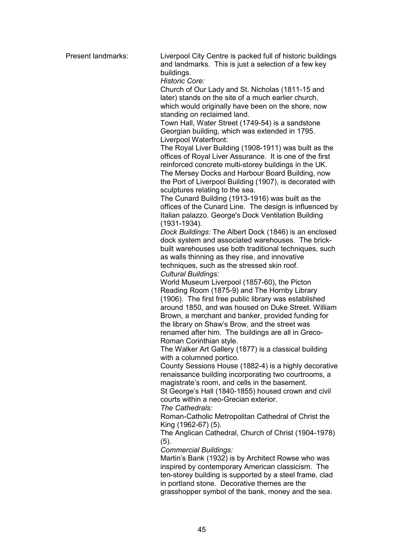Present landmarks: Liverpool City Centre is packed full of historic buildings and landmarks. This is just a selection of a few key buildings.

*Historic Core:* 

 Church of Our Lady and St. Nicholas (1811-15 and later) stands on the site of a much earlier church, which would originally have been on the shore, now standing on reclaimed land.

 Town Hall, Water Street (1749-54) is a sandstone Georgian building, which was extended in 1795. Liverpool Waterfront:

 The Royal Liver Building (1908-1911) was built as the offices of Royal Liver Assurance. It is one of the first reinforced concrete multi-storey buildings in the UK. The Mersey Docks and Harbour Board Building, now the Port of Liverpool Building (1907), is decorated with sculptures relating to the sea.

 The Cunard Building (1913-1916) was built as the offices of the Cunard Line. The design is influenced by Italian palazzo. George's Dock Ventilation Building (1931-1934)*.*

*Dock Buildings:* The Albert Dock (1846) is an enclosed dock system and associated warehouses. The brickbuilt warehouses use both traditional techniques, such as walls thinning as they rise, and innovative techniques, such as the stressed skin roof.  *Cultural Buildings:* 

 World Museum Liverpool (1857-60), the Picton Reading Room (1875-9) and The Hornby Library (1906). The first free public library was established around 1850, and was housed on Duke Street. William Brown, a merchant and banker, provided funding for the library on Shaw's Brow, and the street was renamed after him. The buildings are all in Greco-Roman Corinthian style.

 The Walker Art Gallery (1877) is a classical building with a columned portico.

 County Sessions House (1882-4) is a highly decorative renaissance building incorporating two courtrooms, a magistrate's room, and cells in the basement.

 St George's Hall (1840-1855) housed crown and civil courts within a neo-Grecian exterior.

 *The Cathedrals:* 

 Roman-Catholic Metropolitan Cathedral of Christ the King (1962-67) (5).

 The Anglican Cathedral, Church of Christ (1904-1978) (5).

 *Commercial Buildings:* 

 Martin's Bank (1932) is by Architect Rowse who was inspired by contemporary American classicism. The ten-storey building is supported by a steel frame, clad in portland stone. Decorative themes are the grasshopper symbol of the bank, money and the sea.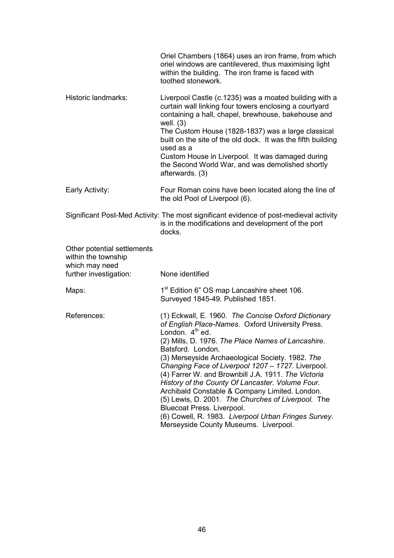|                                                                                                | Oriel Chambers (1864) uses an iron frame, from which<br>oriel windows are cantilevered, thus maximising light<br>within the building. The iron frame is faced with<br>toothed stonework.                                                                                                                                                                                                                                                                                                                                                                                                                                                                            |
|------------------------------------------------------------------------------------------------|---------------------------------------------------------------------------------------------------------------------------------------------------------------------------------------------------------------------------------------------------------------------------------------------------------------------------------------------------------------------------------------------------------------------------------------------------------------------------------------------------------------------------------------------------------------------------------------------------------------------------------------------------------------------|
| Historic landmarks:                                                                            | Liverpool Castle (c.1235) was a moated building with a<br>curtain wall linking four towers enclosing a courtyard<br>containing a hall, chapel, brewhouse, bakehouse and<br>well. $(3)$<br>The Custom House (1828-1837) was a large classical<br>built on the site of the old dock. It was the fifth building<br>used as a<br>Custom House in Liverpool. It was damaged during<br>the Second World War, and was demolished shortly<br>afterwards. (3)                                                                                                                                                                                                                |
| Early Activity:                                                                                | Four Roman coins have been located along the line of<br>the old Pool of Liverpool (6).                                                                                                                                                                                                                                                                                                                                                                                                                                                                                                                                                                              |
|                                                                                                | Significant Post-Med Activity: The most significant evidence of post-medieval activity<br>is in the modifications and development of the port<br>docks.                                                                                                                                                                                                                                                                                                                                                                                                                                                                                                             |
| Other potential settlements<br>within the township<br>which may need<br>further investigation: | None identified                                                                                                                                                                                                                                                                                                                                                                                                                                                                                                                                                                                                                                                     |
| Maps:                                                                                          | 1 <sup>st</sup> Edition 6" OS map Lancashire sheet 106.<br>Surveyed 1845-49. Published 1851.                                                                                                                                                                                                                                                                                                                                                                                                                                                                                                                                                                        |
| References:                                                                                    | (1) Eckwall, E. 1960. The Concise Oxford Dictionary<br>of English Place-Names. Oxford University Press.<br>London. $4th$ ed.<br>(2) Mills, D. 1976. The Place Names of Lancashire.<br>Batsford. London.<br>(3) Merseyside Archaeological Society. 1982. The<br>Changing Face of Liverpool 1207 - 1727. Liverpool.<br>(4) Farrer W. and Brownbill J.A. 1911. The Victoria<br>History of the County Of Lancaster. Volume Four.<br>Archibald Constable & Company Limited. London.<br>(5) Lewis, D. 2001. The Churches of Liverpool. The<br>Bluecoat Press. Liverpool.<br>(6) Cowell, R. 1983. Liverpool Urban Fringes Survey.<br>Merseyside County Museums. Liverpool. |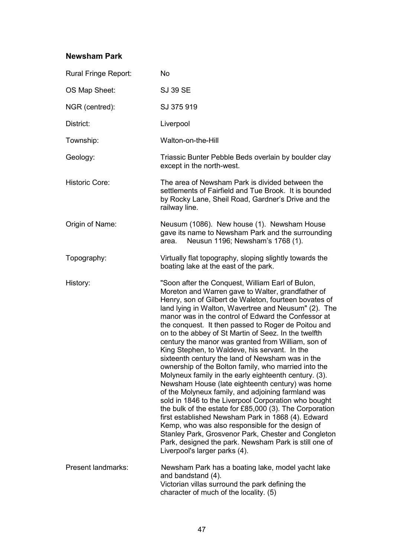#### **Newsham Park**

| Rural Fringe Report:  | <b>No</b>                                                                                                                                                                                                                                                                                                                                                                                                                                                                                                                                                                                                                                                                                                                                                                                                                                                                                                                                                                                                                                                                                                                                                        |
|-----------------------|------------------------------------------------------------------------------------------------------------------------------------------------------------------------------------------------------------------------------------------------------------------------------------------------------------------------------------------------------------------------------------------------------------------------------------------------------------------------------------------------------------------------------------------------------------------------------------------------------------------------------------------------------------------------------------------------------------------------------------------------------------------------------------------------------------------------------------------------------------------------------------------------------------------------------------------------------------------------------------------------------------------------------------------------------------------------------------------------------------------------------------------------------------------|
| OS Map Sheet:         | <b>SJ 39 SE</b>                                                                                                                                                                                                                                                                                                                                                                                                                                                                                                                                                                                                                                                                                                                                                                                                                                                                                                                                                                                                                                                                                                                                                  |
| NGR (centred):        | SJ 375 919                                                                                                                                                                                                                                                                                                                                                                                                                                                                                                                                                                                                                                                                                                                                                                                                                                                                                                                                                                                                                                                                                                                                                       |
| District:             | Liverpool                                                                                                                                                                                                                                                                                                                                                                                                                                                                                                                                                                                                                                                                                                                                                                                                                                                                                                                                                                                                                                                                                                                                                        |
| Township:             | Walton-on-the-Hill                                                                                                                                                                                                                                                                                                                                                                                                                                                                                                                                                                                                                                                                                                                                                                                                                                                                                                                                                                                                                                                                                                                                               |
| Geology:              | Triassic Bunter Pebble Beds overlain by boulder clay<br>except in the north-west.                                                                                                                                                                                                                                                                                                                                                                                                                                                                                                                                                                                                                                                                                                                                                                                                                                                                                                                                                                                                                                                                                |
| <b>Historic Core:</b> | The area of Newsham Park is divided between the<br>settlements of Fairfield and Tue Brook. It is bounded<br>by Rocky Lane, Sheil Road, Gardner's Drive and the<br>railway line.                                                                                                                                                                                                                                                                                                                                                                                                                                                                                                                                                                                                                                                                                                                                                                                                                                                                                                                                                                                  |
| Origin of Name:       | Neusum (1086). New house (1). Newsham House<br>gave its name to Newsham Park and the surrounding<br>Neusun 1196; Newsham's 1768 (1).<br>area.                                                                                                                                                                                                                                                                                                                                                                                                                                                                                                                                                                                                                                                                                                                                                                                                                                                                                                                                                                                                                    |
| Topography:           | Virtually flat topography, sloping slightly towards the<br>boating lake at the east of the park.                                                                                                                                                                                                                                                                                                                                                                                                                                                                                                                                                                                                                                                                                                                                                                                                                                                                                                                                                                                                                                                                 |
| History:              | "Soon after the Conquest, William Earl of Bulon,<br>Moreton and Warren gave to Walter, grandfather of<br>Henry, son of Gilbert de Waleton, fourteen bovates of<br>land lying in Walton, Wavertree and Neusum" (2). The<br>manor was in the control of Edward the Confessor at<br>the conquest. It then passed to Roger de Poitou and<br>on to the abbey of St Martin of Seez. In the twelfth<br>century the manor was granted from William, son of<br>King Stephen, to Waldeve, his servant. In the<br>sixteenth century the land of Newsham was in the<br>ownership of the Bolton family, who married into the<br>Molyneux family in the early eighteenth century. (3).<br>Newsham House (late eighteenth century) was home<br>of the Molyneux family, and adjoining farmland was<br>sold in 1846 to the Liverpool Corporation who bought<br>the bulk of the estate for £85,000 (3). The Corporation<br>first established Newsham Park in 1868 (4). Edward<br>Kemp, who was also responsible for the design of<br>Stanley Park, Grosvenor Park, Chester and Congleton<br>Park, designed the park. Newsham Park is still one of<br>Liverpool's larger parks (4). |
| Present landmarks:    | Newsham Park has a boating lake, model yacht lake<br>and bandstand (4).<br>Victorian villas surround the park defining the<br>character of much of the locality. (5)                                                                                                                                                                                                                                                                                                                                                                                                                                                                                                                                                                                                                                                                                                                                                                                                                                                                                                                                                                                             |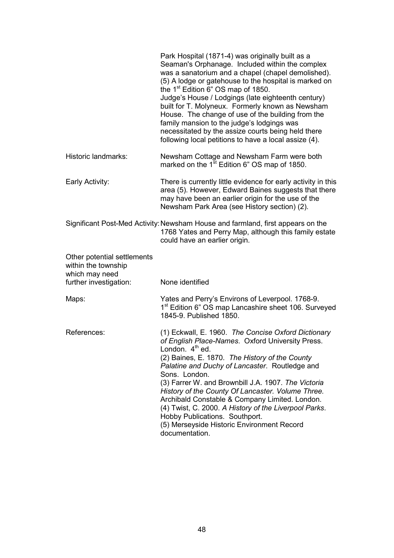|                                                                                                | Park Hospital (1871-4) was originally built as a<br>Seaman's Orphanage. Included within the complex<br>was a sanatorium and a chapel (chapel demolished).<br>(5) A lodge or gatehouse to the hospital is marked on<br>the $1st$ Edition 6" OS map of 1850.<br>Judge's House / Lodgings (late eighteenth century)<br>built for T. Molyneux. Formerly known as Newsham<br>House. The change of use of the building from the<br>family mansion to the judge's lodgings was<br>necessitated by the assize courts being held there<br>following local petitions to have a local assize (4). |
|------------------------------------------------------------------------------------------------|----------------------------------------------------------------------------------------------------------------------------------------------------------------------------------------------------------------------------------------------------------------------------------------------------------------------------------------------------------------------------------------------------------------------------------------------------------------------------------------------------------------------------------------------------------------------------------------|
| Historic landmarks:                                                                            | Newsham Cottage and Newsham Farm were both<br>marked on the 1 <sup>st</sup> Edition 6" OS map of 1850.                                                                                                                                                                                                                                                                                                                                                                                                                                                                                 |
| Early Activity:                                                                                | There is currently little evidence for early activity in this<br>area (5). However, Edward Baines suggests that there<br>may have been an earlier origin for the use of the<br>Newsham Park Area (see History section) (2).                                                                                                                                                                                                                                                                                                                                                            |
|                                                                                                | Significant Post-Med Activity: Newsham House and farmland, first appears on the<br>1768 Yates and Perry Map, although this family estate<br>could have an earlier origin.                                                                                                                                                                                                                                                                                                                                                                                                              |
| Other potential settlements<br>within the township<br>which may need<br>further investigation: | None identified                                                                                                                                                                                                                                                                                                                                                                                                                                                                                                                                                                        |
|                                                                                                |                                                                                                                                                                                                                                                                                                                                                                                                                                                                                                                                                                                        |
| Maps:                                                                                          | Yates and Perry's Environs of Leverpool. 1768-9.<br>1 <sup>st</sup> Edition 6" OS map Lancashire sheet 106. Surveyed<br>1845-9. Published 1850.                                                                                                                                                                                                                                                                                                                                                                                                                                        |
| References:                                                                                    | (1) Eckwall, E. 1960. The Concise Oxford Dictionary<br>of English Place-Names. Oxford University Press.<br>London. $4th$ ed.<br>(2) Baines, E. 1870. The History of the County<br>Palatine and Duchy of Lancaster. Routledge and<br>Sons. London.<br>(3) Farrer W. and Brownbill J.A. 1907. The Victoria<br>History of the County Of Lancaster. Volume Three.<br>Archibald Constable & Company Limited. London.<br>(4) Twist, C. 2000. A History of the Liverpool Parks.<br>Hobby Publications. Southport.<br>(5) Merseyside Historic Environment Record<br>documentation.             |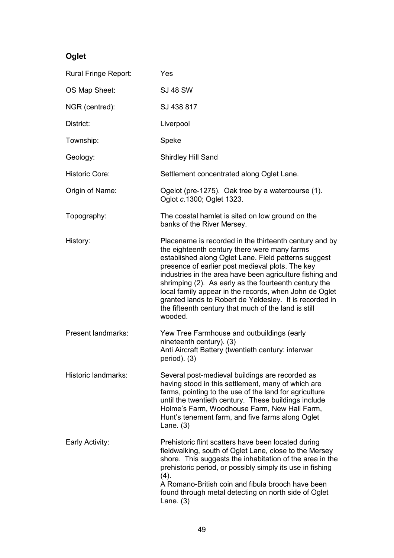# **Oglet**

| Rural Fringe Report:  | Yes                                                                                                                                                                                                                                                                                                                                                                                                                                                                                                                             |
|-----------------------|---------------------------------------------------------------------------------------------------------------------------------------------------------------------------------------------------------------------------------------------------------------------------------------------------------------------------------------------------------------------------------------------------------------------------------------------------------------------------------------------------------------------------------|
| OS Map Sheet:         | <b>SJ 48 SW</b>                                                                                                                                                                                                                                                                                                                                                                                                                                                                                                                 |
| NGR (centred):        | SJ 438 817                                                                                                                                                                                                                                                                                                                                                                                                                                                                                                                      |
| District:             | Liverpool                                                                                                                                                                                                                                                                                                                                                                                                                                                                                                                       |
| Township:             | Speke                                                                                                                                                                                                                                                                                                                                                                                                                                                                                                                           |
| Geology:              | Shirdley Hill Sand                                                                                                                                                                                                                                                                                                                                                                                                                                                                                                              |
| <b>Historic Core:</b> | Settlement concentrated along Oglet Lane.                                                                                                                                                                                                                                                                                                                                                                                                                                                                                       |
| Origin of Name:       | Ogelot (pre-1275). Oak tree by a watercourse (1).<br>Oglot c.1300; Oglet 1323.                                                                                                                                                                                                                                                                                                                                                                                                                                                  |
| Topography:           | The coastal hamlet is sited on low ground on the<br>banks of the River Mersey.                                                                                                                                                                                                                                                                                                                                                                                                                                                  |
| History:              | Placename is recorded in the thirteenth century and by<br>the eighteenth century there were many farms<br>established along Oglet Lane. Field patterns suggest<br>presence of earlier post medieval plots. The key<br>industries in the area have been agriculture fishing and<br>shrimping (2). As early as the fourteenth century the<br>local family appear in the records, when John de Oglet<br>granted lands to Robert de Yeldesley. It is recorded in<br>the fifteenth century that much of the land is still<br>wooded. |
| Present landmarks:    | Yew Tree Farmhouse and outbuildings (early<br>nineteenth century). (3)<br>Anti Aircraft Battery (twentieth century: interwar<br>$period$ ). (3)                                                                                                                                                                                                                                                                                                                                                                                 |
| Historic landmarks:   | Several post-medieval buildings are recorded as<br>having stood in this settlement, many of which are<br>farms, pointing to the use of the land for agriculture<br>until the twentieth century. These buildings include<br>Holme's Farm, Woodhouse Farm, New Hall Farm,<br>Hunt's tenement farm, and five farms along Oglet<br>Lane. $(3)$                                                                                                                                                                                      |
| Early Activity:       | Prehistoric flint scatters have been located during<br>fieldwalking, south of Oglet Lane, close to the Mersey<br>shore. This suggests the inhabitation of the area in the<br>prehistoric period, or possibly simply its use in fishing<br>(4).<br>A Romano-British coin and fibula brooch have been<br>found through metal detecting on north side of Oglet<br>Lane. $(3)$                                                                                                                                                      |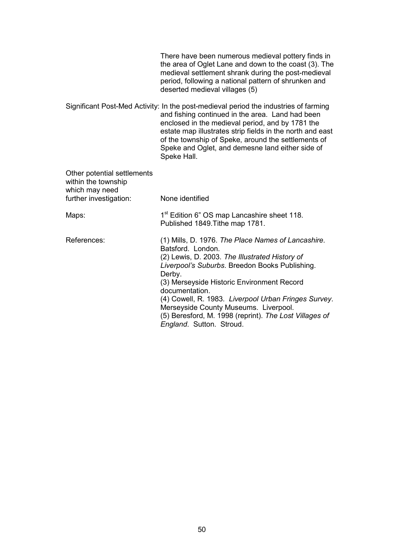|                                                                      | There have been numerous medieval pottery finds in<br>the area of Oglet Lane and down to the coast (3). The<br>medieval settlement shrank during the post-medieval<br>period, following a national pattern of shrunken and<br>deserted medieval villages (5)                                                                                                                                                                                 |
|----------------------------------------------------------------------|----------------------------------------------------------------------------------------------------------------------------------------------------------------------------------------------------------------------------------------------------------------------------------------------------------------------------------------------------------------------------------------------------------------------------------------------|
|                                                                      | Significant Post-Med Activity: In the post-medieval period the industries of farming<br>and fishing continued in the area. Land had been<br>enclosed in the medieval period, and by 1781 the<br>estate map illustrates strip fields in the north and east<br>of the township of Speke, around the settlements of<br>Speke and Oglet, and demesne land either side of<br>Speke Hall.                                                          |
| Other potential settlements<br>within the township<br>which may need |                                                                                                                                                                                                                                                                                                                                                                                                                                              |
| further investigation:                                               | None identified                                                                                                                                                                                                                                                                                                                                                                                                                              |
| Maps:                                                                | 1 <sup>st</sup> Edition 6" OS map Lancashire sheet 118.<br>Published 1849. Tithe map 1781.                                                                                                                                                                                                                                                                                                                                                   |
| References:                                                          | (1) Mills, D. 1976. The Place Names of Lancashire.<br>Batsford. London.<br>(2) Lewis, D. 2003. The Illustrated History of<br>Liverpool's Suburbs. Breedon Books Publishing.<br>Derby.<br>(3) Merseyside Historic Environment Record<br>documentation.<br>(4) Cowell, R. 1983. Liverpool Urban Fringes Survey.<br>Merseyside County Museums. Liverpool.<br>(5) Beresford, M. 1998 (reprint). The Lost Villages of<br>England. Sutton. Stroud. |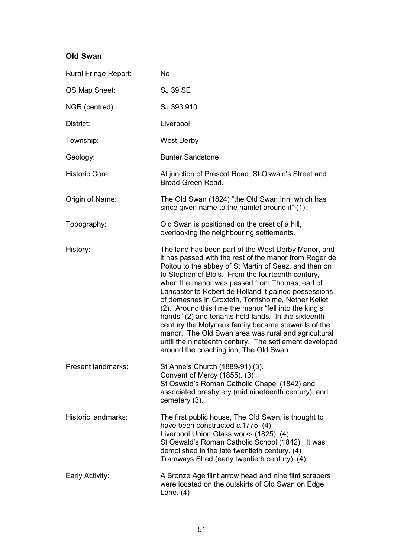# **Old Swan**

| Rural Fringe Report:  | <b>No</b>                                                                                                                                                                                                                                                                                                                                                                                                                                                                                                                                                                                                                                                                                                                     |
|-----------------------|-------------------------------------------------------------------------------------------------------------------------------------------------------------------------------------------------------------------------------------------------------------------------------------------------------------------------------------------------------------------------------------------------------------------------------------------------------------------------------------------------------------------------------------------------------------------------------------------------------------------------------------------------------------------------------------------------------------------------------|
| OS Map Sheet:         | <b>SJ 39 SE</b>                                                                                                                                                                                                                                                                                                                                                                                                                                                                                                                                                                                                                                                                                                               |
| NGR (centred):        | SJ 393 910                                                                                                                                                                                                                                                                                                                                                                                                                                                                                                                                                                                                                                                                                                                    |
| District:             | Liverpool                                                                                                                                                                                                                                                                                                                                                                                                                                                                                                                                                                                                                                                                                                                     |
| Township:             | <b>West Derby</b>                                                                                                                                                                                                                                                                                                                                                                                                                                                                                                                                                                                                                                                                                                             |
| Geology:              | <b>Bunter Sandstone</b>                                                                                                                                                                                                                                                                                                                                                                                                                                                                                                                                                                                                                                                                                                       |
| <b>Historic Core:</b> | At junction of Prescot Road, St Oswald's Street and<br>Broad Green Road.                                                                                                                                                                                                                                                                                                                                                                                                                                                                                                                                                                                                                                                      |
| Origin of Name:       | The Old Swan (1824) "the Old Swan Inn, which has<br>since given name to the hamlet around it" (1).                                                                                                                                                                                                                                                                                                                                                                                                                                                                                                                                                                                                                            |
| Topography:           | Old Swan is positioned on the crest of a hill,<br>overlooking the neighbouring settlements.                                                                                                                                                                                                                                                                                                                                                                                                                                                                                                                                                                                                                                   |
| History:              | The land has been part of the West Derby Manor, and<br>it has passed with the rest of the manor from Roger de<br>Poitou to the abbey of St Martin of Séez, and then on<br>to Stephen of Blois. From the fourteenth century,<br>when the manor was passed from Thomas, earl of<br>Lancaster to Robert de Holland it gained possessions<br>of demesnes in Croxteth, Torrisholme, Nether Kellet<br>(2). Around this time the manor "fell into the king's<br>hands" (2) and tenants held lands. In the sixteenth<br>century the Molyneux family became stewards of the<br>manor. The Old Swan area was rural and agricultural<br>until the nineteenth century. The settlement developed<br>around the coaching inn, The Old Swan. |
| Present landmarks:    | St Anne's Church (1889-91) (3).<br>Convent of Mercy (1855). (3)<br>St Oswald's Roman Catholic Chapel (1842) and<br>associated presbytery (mid nineteenth century), and<br>cemetery (3).                                                                                                                                                                                                                                                                                                                                                                                                                                                                                                                                       |
| Historic landmarks:   | The first public house, The Old Swan, is thought to<br>have been constructed c.1775. (4)<br>Liverpool Union Glass works (1825). (4)<br>St Oswald's Roman Catholic School (1842). It was<br>demolished in the late twentieth century. (4)<br>Tramways Shed (early twentieth century). (4)                                                                                                                                                                                                                                                                                                                                                                                                                                      |
| Early Activity:       | A Bronze Age flint arrow head and nine flint scrapers<br>were located on the outskirts of Old Swan on Edge<br>Lane. $(4)$                                                                                                                                                                                                                                                                                                                                                                                                                                                                                                                                                                                                     |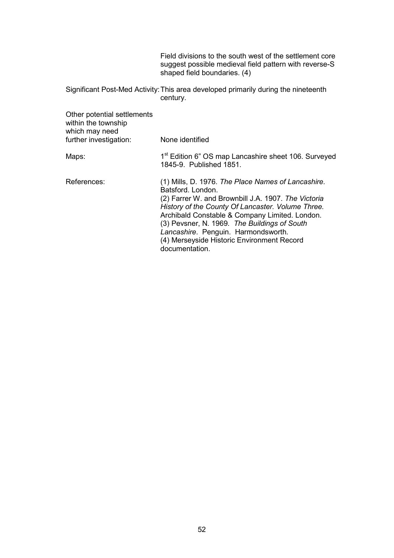Field divisions to the south west of the settlement core suggest possible medieval field pattern with reverse-S shaped field boundaries. (4)

Significant Post-Med Activity: This area developed primarily during the nineteenth century.

| Other potential settlements<br>within the township<br>which may need<br>further investigation: | None identified                                                                                                                                                                                                                                                                                                                                                                              |
|------------------------------------------------------------------------------------------------|----------------------------------------------------------------------------------------------------------------------------------------------------------------------------------------------------------------------------------------------------------------------------------------------------------------------------------------------------------------------------------------------|
| Maps:                                                                                          | 1 <sup>st</sup> Edition 6" OS map Lancashire sheet 106. Surveyed<br>1845-9. Published 1851.                                                                                                                                                                                                                                                                                                  |
| References:                                                                                    | (1) Mills, D. 1976. The Place Names of Lancashire.<br>Batsford, London.<br>(2) Farrer W. and Brownbill J.A. 1907. The Victoria<br>History of the County Of Lancaster. Volume Three.<br>Archibald Constable & Company Limited. London.<br>(3) Pevsner, N. 1969. The Buildings of South<br>Lancashire. Penguin. Harmondsworth.<br>(4) Merseyside Historic Environment Record<br>documentation. |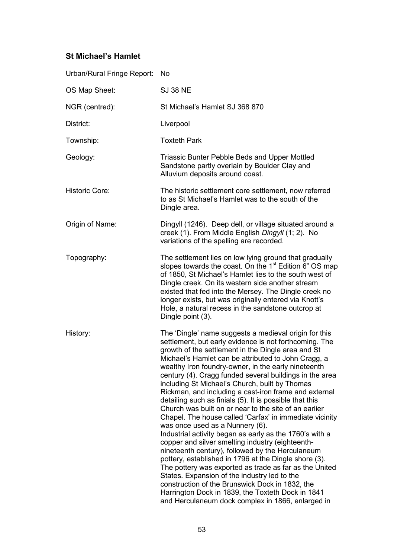# **St Michael's Hamlet**

| Urban/Rural Fringe Report: | <b>No</b>                                                                                                                                                                                                                                                                                                                                                                                                                                                                                                                                                                                                                                                                                                                                                                                                                                                                                                                                                                                                                                                                                                                                                                      |
|----------------------------|--------------------------------------------------------------------------------------------------------------------------------------------------------------------------------------------------------------------------------------------------------------------------------------------------------------------------------------------------------------------------------------------------------------------------------------------------------------------------------------------------------------------------------------------------------------------------------------------------------------------------------------------------------------------------------------------------------------------------------------------------------------------------------------------------------------------------------------------------------------------------------------------------------------------------------------------------------------------------------------------------------------------------------------------------------------------------------------------------------------------------------------------------------------------------------|
| OS Map Sheet:              | <b>SJ 38 NE</b>                                                                                                                                                                                                                                                                                                                                                                                                                                                                                                                                                                                                                                                                                                                                                                                                                                                                                                                                                                                                                                                                                                                                                                |
| NGR (centred):             | St Michael's Hamlet SJ 368 870                                                                                                                                                                                                                                                                                                                                                                                                                                                                                                                                                                                                                                                                                                                                                                                                                                                                                                                                                                                                                                                                                                                                                 |
| District:                  | Liverpool                                                                                                                                                                                                                                                                                                                                                                                                                                                                                                                                                                                                                                                                                                                                                                                                                                                                                                                                                                                                                                                                                                                                                                      |
| Township:                  | <b>Toxteth Park</b>                                                                                                                                                                                                                                                                                                                                                                                                                                                                                                                                                                                                                                                                                                                                                                                                                                                                                                                                                                                                                                                                                                                                                            |
| Geology:                   | Triassic Bunter Pebble Beds and Upper Mottled<br>Sandstone partly overlain by Boulder Clay and<br>Alluvium deposits around coast.                                                                                                                                                                                                                                                                                                                                                                                                                                                                                                                                                                                                                                                                                                                                                                                                                                                                                                                                                                                                                                              |
| <b>Historic Core:</b>      | The historic settlement core settlement, now referred<br>to as St Michael's Hamlet was to the south of the<br>Dingle area.                                                                                                                                                                                                                                                                                                                                                                                                                                                                                                                                                                                                                                                                                                                                                                                                                                                                                                                                                                                                                                                     |
| Origin of Name:            | Dingyll (1246). Deep dell, or village situated around a<br>creek (1). From Middle English Dingyll (1; 2). No<br>variations of the spelling are recorded.                                                                                                                                                                                                                                                                                                                                                                                                                                                                                                                                                                                                                                                                                                                                                                                                                                                                                                                                                                                                                       |
| Topography:                | The settlement lies on low lying ground that gradually<br>slopes towards the coast. On the 1 <sup>st</sup> Edition 6" OS map<br>of 1850, St Michael's Hamlet lies to the south west of<br>Dingle creek. On its western side another stream<br>existed that fed into the Mersey. The Dingle creek no<br>longer exists, but was originally entered via Knott's<br>Hole, a natural recess in the sandstone outcrop at<br>Dingle point (3).                                                                                                                                                                                                                                                                                                                                                                                                                                                                                                                                                                                                                                                                                                                                        |
| History:                   | The 'Dingle' name suggests a medieval origin for this<br>settlement, but early evidence is not forthcoming. The<br>growth of the settlement in the Dingle area and St<br>Michael's Hamlet can be attributed to John Cragg, a<br>wealthy Iron foundry-owner, in the early nineteenth<br>century (4). Cragg funded several buildings in the area<br>including St Michael's Church, built by Thomas<br>Rickman, and including a cast-iron frame and external<br>detailing such as finials (5). It is possible that this<br>Church was built on or near to the site of an earlier<br>Chapel. The house called 'Carfax' in immediate vicinity<br>was once used as a Nunnery (6).<br>Industrial activity began as early as the 1760's with a<br>copper and silver smelting industry (eighteenth-<br>nineteenth century), followed by the Herculaneum<br>pottery, established in 1796 at the Dingle shore (3).<br>The pottery was exported as trade as far as the United<br>States. Expansion of the industry led to the<br>construction of the Brunswick Dock in 1832, the<br>Harrington Dock in 1839, the Toxteth Dock in 1841<br>and Herculaneum dock complex in 1866, enlarged in |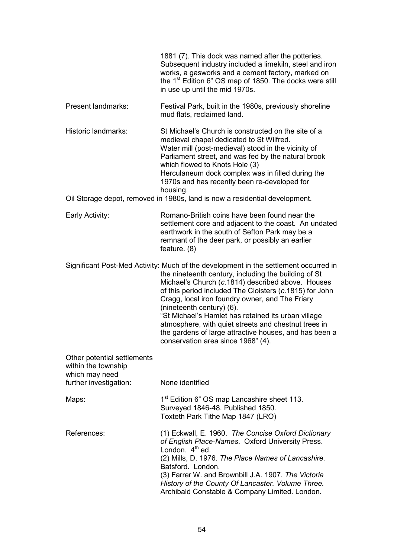| 1881 (7). This dock was named after the potteries.                  |
|---------------------------------------------------------------------|
| Subsequent industry included a limekiln, steel and iron             |
| works, a gasworks and a cement factory, marked on                   |
| the 1 <sup>st</sup> Edition 6" OS map of 1850. The docks were still |
| in use up until the mid 1970s.                                      |
|                                                                     |

Present landmarks: Festival Park, built in the 1980s, previously shoreline mud flats, reclaimed land.

Historic landmarks: St Michael's Church is constructed on the site of a medieval chapel dedicated to St Wilfred. Water mill (post-medieval) stood in the vicinity of Parliament street, and was fed by the natural brook which flowed to Knots Hole (3) Herculaneum dock complex was in filled during the 1970s and has recently been re-developed for housing.

Oil Storage depot, removed in 1980s, land is now a residential development.

Early Activity: Romano-British coins have been found near the settlement core and adjacent to the coast. An undated earthwork in the south of Sefton Park may be a remnant of the deer park, or possibly an earlier feature. (8)

Significant Post-Med Activity: Much of the development in the settlement occurred in the nineteenth century, including the building of St Michael's Church (*c*.1814) described above. Houses of this period included The Cloisters (*c*.1815) for John Cragg, local iron foundry owner, and The Friary (nineteenth century) (6). "St Michael's Hamlet has retained its urban village atmosphere, with quiet streets and chestnut trees in the gardens of large attractive houses, and has been a

conservation area since 1968" (4).

| Other potential settlements<br>within the township<br>which may need<br>further investigation: | None identified                                                                                                                                                                                                                                                                                                                                                                 |
|------------------------------------------------------------------------------------------------|---------------------------------------------------------------------------------------------------------------------------------------------------------------------------------------------------------------------------------------------------------------------------------------------------------------------------------------------------------------------------------|
| Maps:                                                                                          | 1 <sup>st</sup> Edition 6" OS map Lancashire sheet 113.<br>Surveyed 1846-48. Published 1850.<br>Toxteth Park Tithe Map 1847 (LRO)                                                                                                                                                                                                                                               |
| References:                                                                                    | (1) Eckwall, E. 1960. The Concise Oxford Dictionary<br>of English Place-Names. Oxford University Press.<br>London, $4^{\text{th}}$ ed.<br>(2) Mills, D. 1976. The Place Names of Lancashire.<br>Batsford. London.<br>(3) Farrer W. and Brownbill J.A. 1907. The Victoria<br>History of the County Of Lancaster. Volume Three.<br>Archibald Constable & Company Limited. London. |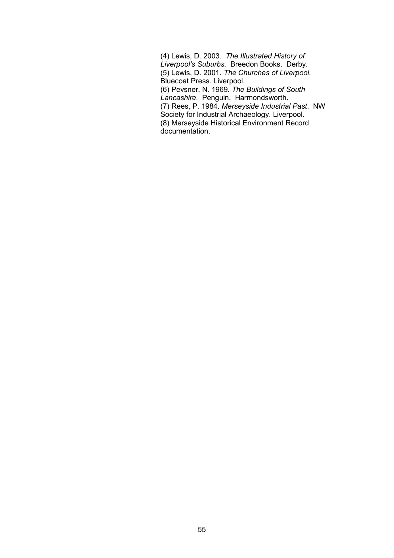(4) Lewis, D. 2003. *The Illustrated History of Liverpool's Suburbs.* Breedon Books. Derby. (5) Lewis, D. 2001. *The Churches of Liverpool.*  Bluecoat Press. Liverpool. (6) Pevsner, N. 1969. *The Buildings of South Lancashire.* Penguin. Harmondsworth. (7) Rees, P. 1984. *Merseyside Industrial Past*. NW Society for Industrial Archaeology. Liverpool. (8) Merseyside Historical Environment Record documentation.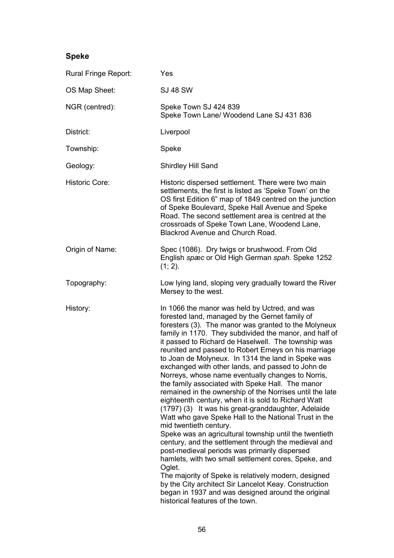# **Speke**

| Rural Fringe Report:  | Yes                                                                                                                                                                                                                                                                                                                                                                                                                                                                                                                                                                                                                                                                                                                                                                                                                                                                                                                                                                                                                                                                                                                                                                                                                                                               |
|-----------------------|-------------------------------------------------------------------------------------------------------------------------------------------------------------------------------------------------------------------------------------------------------------------------------------------------------------------------------------------------------------------------------------------------------------------------------------------------------------------------------------------------------------------------------------------------------------------------------------------------------------------------------------------------------------------------------------------------------------------------------------------------------------------------------------------------------------------------------------------------------------------------------------------------------------------------------------------------------------------------------------------------------------------------------------------------------------------------------------------------------------------------------------------------------------------------------------------------------------------------------------------------------------------|
| OS Map Sheet:         | <b>SJ 48 SW</b>                                                                                                                                                                                                                                                                                                                                                                                                                                                                                                                                                                                                                                                                                                                                                                                                                                                                                                                                                                                                                                                                                                                                                                                                                                                   |
| NGR (centred):        | Speke Town SJ 424 839<br>Speke Town Lane/ Woodend Lane SJ 431 836                                                                                                                                                                                                                                                                                                                                                                                                                                                                                                                                                                                                                                                                                                                                                                                                                                                                                                                                                                                                                                                                                                                                                                                                 |
| District:             | Liverpool                                                                                                                                                                                                                                                                                                                                                                                                                                                                                                                                                                                                                                                                                                                                                                                                                                                                                                                                                                                                                                                                                                                                                                                                                                                         |
| Township:             | Speke                                                                                                                                                                                                                                                                                                                                                                                                                                                                                                                                                                                                                                                                                                                                                                                                                                                                                                                                                                                                                                                                                                                                                                                                                                                             |
| Geology:              | Shirdley Hill Sand                                                                                                                                                                                                                                                                                                                                                                                                                                                                                                                                                                                                                                                                                                                                                                                                                                                                                                                                                                                                                                                                                                                                                                                                                                                |
| <b>Historic Core:</b> | Historic dispersed settlement. There were two main<br>settlements, the first is listed as 'Speke Town' on the<br>OS first Edition 6" map of 1849 centred on the junction<br>of Speke Boulevard, Speke Hall Avenue and Speke<br>Road. The second settlement area is centred at the<br>crossroads of Speke Town Lane, Woodend Lane,<br>Blackrod Avenue and Church Road.                                                                                                                                                                                                                                                                                                                                                                                                                                                                                                                                                                                                                                                                                                                                                                                                                                                                                             |
| Origin of Name:       | Spec (1086). Dry twigs or brushwood. From Old<br>English spæc or Old High German spah. Speke 1252<br>$(1; 2)$ .                                                                                                                                                                                                                                                                                                                                                                                                                                                                                                                                                                                                                                                                                                                                                                                                                                                                                                                                                                                                                                                                                                                                                   |
| Topography:           | Low lying land, sloping very gradually toward the River<br>Mersey to the west.                                                                                                                                                                                                                                                                                                                                                                                                                                                                                                                                                                                                                                                                                                                                                                                                                                                                                                                                                                                                                                                                                                                                                                                    |
| History:              | In 1066 the manor was held by Uctred, and was<br>forested land, managed by the Gernet family of<br>foresters (3). The manor was granted to the Molyneux<br>family in 1170. They subdivided the manor, and half of<br>it passed to Richard de Haselwell. The township was<br>reunited and passed to Robert Erneys on his marriage<br>to Joan de Molyneux. In 1314 the land in Speke was<br>exchanged with other lands, and passed to John de<br>Norreys, whose name eventually changes to Norris,<br>the family associated with Speke Hall. The manor<br>remained in the ownership of the Norrises until the late<br>eighteenth century, when it is sold to Richard Watt<br>(1797) (3) It was his great-granddaughter, Adelaide<br>Watt who gave Speke Hall to the National Trust in the<br>mid twentieth century.<br>Speke was an agricultural township until the twentieth<br>century, and the settlement through the medieval and<br>post-medieval periods was primarily dispersed<br>hamlets, with two small settlement cores, Speke, and<br>Oglet.<br>The majority of Speke is relatively modern, designed<br>by the City architect Sir Lancelot Keay. Construction<br>began in 1937 and was designed around the original<br>historical features of the town. |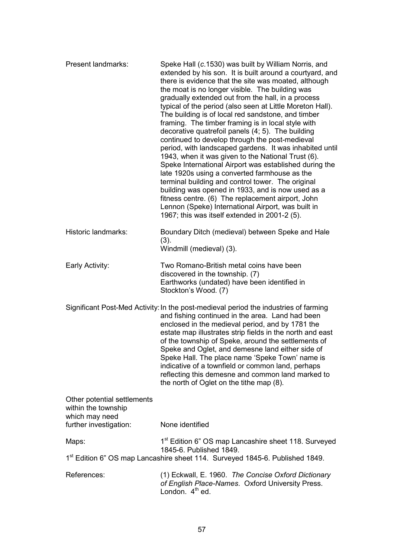| Present landmarks:                                                                             | Speke Hall (c.1530) was built by William Norris, and<br>extended by his son. It is built around a courtyard, and<br>there is evidence that the site was moated, although<br>the moat is no longer visible. The building was<br>gradually extended out from the hall, in a process<br>typical of the period (also seen at Little Moreton Hall).<br>The building is of local red sandstone, and timber<br>framing. The timber framing is in local style with<br>decorative quatrefoil panels (4; 5). The building<br>continued to develop through the post-medieval<br>period, with landscaped gardens. It was inhabited until<br>1943, when it was given to the National Trust (6).<br>Speke International Airport was established during the<br>late 1920s using a converted farmhouse as the<br>terminal building and control tower. The original<br>building was opened in 1933, and is now used as a<br>fitness centre. (6) The replacement airport, John<br>Lennon (Speke) International Airport, was built in<br>1967; this was itself extended in 2001-2 (5). |
|------------------------------------------------------------------------------------------------|---------------------------------------------------------------------------------------------------------------------------------------------------------------------------------------------------------------------------------------------------------------------------------------------------------------------------------------------------------------------------------------------------------------------------------------------------------------------------------------------------------------------------------------------------------------------------------------------------------------------------------------------------------------------------------------------------------------------------------------------------------------------------------------------------------------------------------------------------------------------------------------------------------------------------------------------------------------------------------------------------------------------------------------------------------------------|
| Historic landmarks:                                                                            | Boundary Ditch (medieval) between Speke and Hale<br>(3).<br>Windmill (medieval) (3).                                                                                                                                                                                                                                                                                                                                                                                                                                                                                                                                                                                                                                                                                                                                                                                                                                                                                                                                                                                |
| Early Activity:                                                                                | Two Romano-British metal coins have been<br>discovered in the township. (7)<br>Earthworks (undated) have been identified in<br>Stockton's Wood. (7)                                                                                                                                                                                                                                                                                                                                                                                                                                                                                                                                                                                                                                                                                                                                                                                                                                                                                                                 |
|                                                                                                | Significant Post-Med Activity: In the post-medieval period the industries of farming<br>and fishing continued in the area. Land had been<br>enclosed in the medieval period, and by 1781 the<br>estate map illustrates strip fields in the north and east<br>of the township of Speke, around the settlements of<br>Speke and Oglet, and demesne land either side of<br>Speke Hall. The place name 'Speke Town' name is<br>indicative of a townfield or common land, perhaps<br>reflecting this demesne and common land marked to<br>the north of Oglet on the tithe map (8).                                                                                                                                                                                                                                                                                                                                                                                                                                                                                       |
| Other potential settlements<br>within the township<br>which may need<br>further investigation: | None identified                                                                                                                                                                                                                                                                                                                                                                                                                                                                                                                                                                                                                                                                                                                                                                                                                                                                                                                                                                                                                                                     |
| Maps:                                                                                          | 1 <sup>st</sup> Edition 6" OS map Lancashire sheet 118. Surveyed                                                                                                                                                                                                                                                                                                                                                                                                                                                                                                                                                                                                                                                                                                                                                                                                                                                                                                                                                                                                    |
|                                                                                                | 1845-6. Published 1849.<br>1 <sup>st</sup> Edition 6" OS map Lancashire sheet 114. Surveyed 1845-6. Published 1849.                                                                                                                                                                                                                                                                                                                                                                                                                                                                                                                                                                                                                                                                                                                                                                                                                                                                                                                                                 |
| References:                                                                                    | (1) Eckwall, E. 1960. The Concise Oxford Dictionary<br>of English Place-Names. Oxford University Press.<br>London. 4 <sup>th</sup> ed.                                                                                                                                                                                                                                                                                                                                                                                                                                                                                                                                                                                                                                                                                                                                                                                                                                                                                                                              |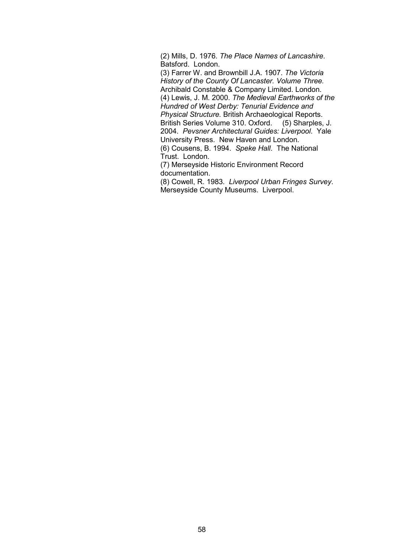(2) Mills, D. 1976. *The Place Names of Lancashire*. Batsford. London.

 (3) Farrer W. and Brownbill J.A. 1907. *The Victoria History of the County Of Lancaster. Volume Three.*  Archibald Constable & Company Limited. London. (4) Lewis, J. M. 2000. *The Medieval Earthworks of the Hundred of West Derby: Tenurial Evidence and Physical Structure.* British Archaeological Reports. British Series Volume 310. Oxford. (5) Sharples, J. 2004. *Pevsner Architectural Guides: Liverpool*. Yale University Press. New Haven and London. (6) Cousens, B. 1994. *Speke Hall*. The National

Trust. London.

 (7) Merseyside Historic Environment Record documentation.

 (8) Cowell, R. 1983. *Liverpool Urban Fringes Survey*. Merseyside County Museums. Liverpool.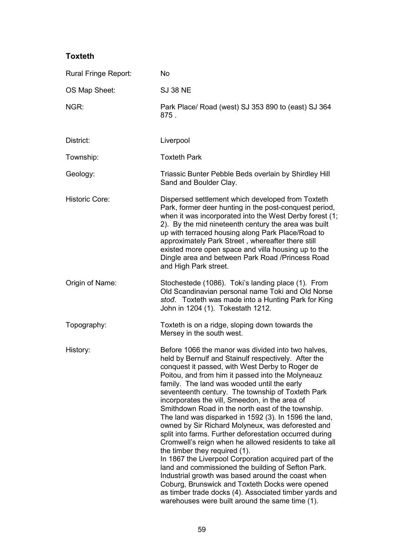## **Toxteth**

| Rural Fringe Report:  | <b>No</b>                                                                                                                                                                                                                                                                                                                                                                                                                                                                                                                                                                                                                                                                                                                                                                                                                                                                                                                                                                                                                              |
|-----------------------|----------------------------------------------------------------------------------------------------------------------------------------------------------------------------------------------------------------------------------------------------------------------------------------------------------------------------------------------------------------------------------------------------------------------------------------------------------------------------------------------------------------------------------------------------------------------------------------------------------------------------------------------------------------------------------------------------------------------------------------------------------------------------------------------------------------------------------------------------------------------------------------------------------------------------------------------------------------------------------------------------------------------------------------|
| OS Map Sheet:         | <b>SJ 38 NE</b>                                                                                                                                                                                                                                                                                                                                                                                                                                                                                                                                                                                                                                                                                                                                                                                                                                                                                                                                                                                                                        |
| NGR:                  | Park Place/ Road (west) SJ 353 890 to (east) SJ 364<br>875.                                                                                                                                                                                                                                                                                                                                                                                                                                                                                                                                                                                                                                                                                                                                                                                                                                                                                                                                                                            |
| District:             | Liverpool                                                                                                                                                                                                                                                                                                                                                                                                                                                                                                                                                                                                                                                                                                                                                                                                                                                                                                                                                                                                                              |
| Township:             | <b>Toxteth Park</b>                                                                                                                                                                                                                                                                                                                                                                                                                                                                                                                                                                                                                                                                                                                                                                                                                                                                                                                                                                                                                    |
| Geology:              | Triassic Bunter Pebble Beds overlain by Shirdley Hill<br>Sand and Boulder Clay.                                                                                                                                                                                                                                                                                                                                                                                                                                                                                                                                                                                                                                                                                                                                                                                                                                                                                                                                                        |
| <b>Historic Core:</b> | Dispersed settlement which developed from Toxteth<br>Park, former deer hunting in the post-conquest period,<br>when it was incorporated into the West Derby forest (1;<br>2). By the mid nineteenth century the area was built<br>up with terraced housing along Park Place/Road to<br>approximately Park Street, whereafter there still<br>existed more open space and villa housing up to the<br>Dingle area and between Park Road / Princess Road<br>and High Park street.                                                                                                                                                                                                                                                                                                                                                                                                                                                                                                                                                          |
| Origin of Name:       | Stochestede (1086). Toki's landing place (1). From<br>Old Scandinavian personal name Toki and Old Norse<br>stod. Toxteth was made into a Hunting Park for King<br>John in 1204 (1). Tokestath 1212.                                                                                                                                                                                                                                                                                                                                                                                                                                                                                                                                                                                                                                                                                                                                                                                                                                    |
| Topography:           | Toxteth is on a ridge, sloping down towards the<br>Mersey in the south west.                                                                                                                                                                                                                                                                                                                                                                                                                                                                                                                                                                                                                                                                                                                                                                                                                                                                                                                                                           |
| History:              | Before 1066 the manor was divided into two halves,<br>held by Bernulf and Stainulf respectively. After the<br>conquest it passed, with West Derby to Roger de<br>Poitou, and from him it passed into the Molyneauz<br>family. The land was wooded until the early<br>seventeenth century. The township of Toxteth Park<br>incorporates the vill, Smeedon, in the area of<br>Smithdown Road in the north east of the township.<br>The land was disparked in 1592 (3). In 1596 the land,<br>owned by Sir Richard Molyneux, was deforested and<br>split into farms. Further deforestation occurred during<br>Cromwell's reign when he allowed residents to take all<br>the timber they required (1).<br>In 1867 the Liverpool Corporation acquired part of the<br>land and commissioned the building of Sefton Park.<br>Industrial growth was based around the coast when<br>Coburg, Brunswick and Toxteth Docks were opened<br>as timber trade docks (4). Associated timber yards and<br>warehouses were built around the same time (1). |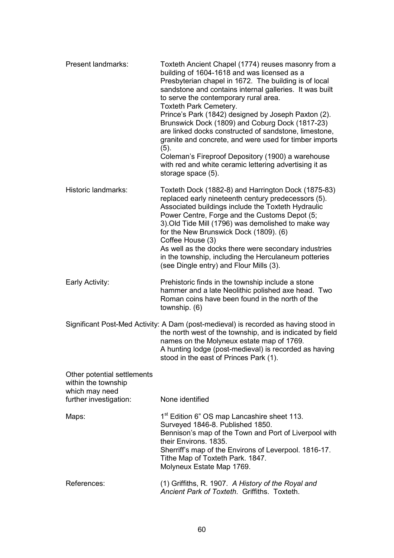| Present landmarks:                                                   | Toxteth Ancient Chapel (1774) reuses masonry from a<br>building of 1604-1618 and was licensed as a<br>Presbyterian chapel in 1672. The building is of local<br>sandstone and contains internal galleries. It was built<br>to serve the contemporary rural area.<br>Toxteth Park Cemetery.<br>Prince's Park (1842) designed by Joseph Paxton (2).<br>Brunswick Dock (1809) and Coburg Dock (1817-23)<br>are linked docks constructed of sandstone, limestone,<br>granite and concrete, and were used for timber imports<br>(5).<br>Coleman's Fireproof Depository (1900) a warehouse<br>with red and white ceramic lettering advertising it as<br>storage space (5). |
|----------------------------------------------------------------------|---------------------------------------------------------------------------------------------------------------------------------------------------------------------------------------------------------------------------------------------------------------------------------------------------------------------------------------------------------------------------------------------------------------------------------------------------------------------------------------------------------------------------------------------------------------------------------------------------------------------------------------------------------------------|
| <b>Historic landmarks:</b>                                           | Toxteth Dock (1882-8) and Harrington Dock (1875-83)<br>replaced early nineteenth century predecessors (5).<br>Associated buildings include the Toxteth Hydraulic<br>Power Centre, Forge and the Customs Depot (5;<br>3). Old Tide Mill (1796) was demolished to make way<br>for the New Brunswick Dock (1809). (6)<br>Coffee House (3)<br>As well as the docks there were secondary industries<br>in the township, including the Herculaneum potteries<br>(see Dingle entry) and Flour Mills (3).                                                                                                                                                                   |
| Early Activity:                                                      | Prehistoric finds in the township include a stone<br>hammer and a late Neolithic polished axe head. Two<br>Roman coins have been found in the north of the<br>township. (6)                                                                                                                                                                                                                                                                                                                                                                                                                                                                                         |
|                                                                      | Significant Post-Med Activity: A Dam (post-medieval) is recorded as having stood in<br>the north west of the township, and is indicated by field<br>names on the Molyneux estate map of 1769.<br>A hunting lodge (post-medieval) is recorded as having<br>stood in the east of Princes Park (1).                                                                                                                                                                                                                                                                                                                                                                    |
| Other potential settlements<br>within the township<br>which may need |                                                                                                                                                                                                                                                                                                                                                                                                                                                                                                                                                                                                                                                                     |
| further investigation:                                               | None identified                                                                                                                                                                                                                                                                                                                                                                                                                                                                                                                                                                                                                                                     |
| Maps:                                                                | 1 <sup>st</sup> Edition 6" OS map Lancashire sheet 113.<br>Surveyed 1846-8. Published 1850.<br>Bennison's map of the Town and Port of Liverpool with<br>their Environs. 1835.<br>Sherriff's map of the Environs of Leverpool. 1816-17.<br>Tithe Map of Toxteth Park. 1847.<br>Molyneux Estate Map 1769.                                                                                                                                                                                                                                                                                                                                                             |
| References:                                                          | (1) Griffiths, R. 1907. A History of the Royal and<br>Ancient Park of Toxteth. Griffiths. Toxteth.                                                                                                                                                                                                                                                                                                                                                                                                                                                                                                                                                                  |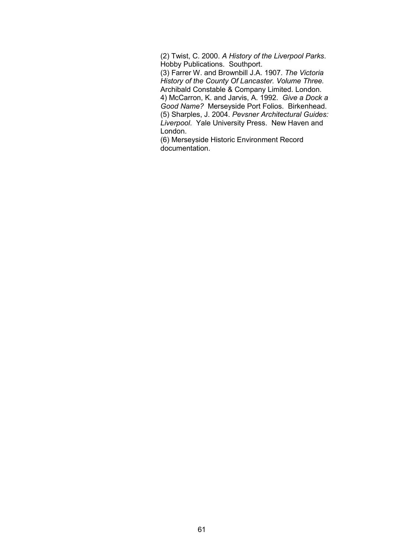(2) Twist, C. 2000. *A History of the Liverpool Parks*. Hobby Publications. Southport.

 (3) Farrer W. and Brownbill J.A. 1907. *The Victoria History of the County Of Lancaster. Volume Three.*  Archibald Constable & Company Limited. London. 4) McCarron, K. and Jarvis, A. 1992. *Give a Dock a* 

*Good Name?* Merseyside Port Folios. Birkenhead. (5) Sharples, J. 2004. *Pevsner Architectural Guides: Liverpool*. Yale University Press. New Haven and London.

(6) Merseyside Historic Environment Record documentation.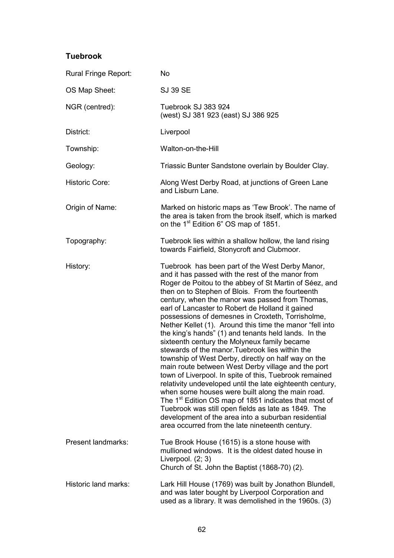## **Tuebrook**

| Rural Fringe Report:      | <b>No</b>                                                                                                                                                                                                                                                                                                                                                                                                                                                                                                                                                                                                                                                                                                                                                                                                                                                                                                                                                                                                                                                                                                                           |
|---------------------------|-------------------------------------------------------------------------------------------------------------------------------------------------------------------------------------------------------------------------------------------------------------------------------------------------------------------------------------------------------------------------------------------------------------------------------------------------------------------------------------------------------------------------------------------------------------------------------------------------------------------------------------------------------------------------------------------------------------------------------------------------------------------------------------------------------------------------------------------------------------------------------------------------------------------------------------------------------------------------------------------------------------------------------------------------------------------------------------------------------------------------------------|
| OS Map Sheet:             | <b>SJ 39 SE</b>                                                                                                                                                                                                                                                                                                                                                                                                                                                                                                                                                                                                                                                                                                                                                                                                                                                                                                                                                                                                                                                                                                                     |
| NGR (centred):            | Tuebrook SJ 383 924<br>(west) SJ 381 923 (east) SJ 386 925                                                                                                                                                                                                                                                                                                                                                                                                                                                                                                                                                                                                                                                                                                                                                                                                                                                                                                                                                                                                                                                                          |
| District:                 | Liverpool                                                                                                                                                                                                                                                                                                                                                                                                                                                                                                                                                                                                                                                                                                                                                                                                                                                                                                                                                                                                                                                                                                                           |
| Township:                 | Walton-on-the-Hill                                                                                                                                                                                                                                                                                                                                                                                                                                                                                                                                                                                                                                                                                                                                                                                                                                                                                                                                                                                                                                                                                                                  |
| Geology:                  | Triassic Bunter Sandstone overlain by Boulder Clay.                                                                                                                                                                                                                                                                                                                                                                                                                                                                                                                                                                                                                                                                                                                                                                                                                                                                                                                                                                                                                                                                                 |
| <b>Historic Core:</b>     | Along West Derby Road, at junctions of Green Lane<br>and Lisburn Lane.                                                                                                                                                                                                                                                                                                                                                                                                                                                                                                                                                                                                                                                                                                                                                                                                                                                                                                                                                                                                                                                              |
| Origin of Name:           | Marked on historic maps as 'Tew Brook'. The name of<br>the area is taken from the brook itself, which is marked<br>on the 1 <sup>st</sup> Edition 6" OS map of 1851.                                                                                                                                                                                                                                                                                                                                                                                                                                                                                                                                                                                                                                                                                                                                                                                                                                                                                                                                                                |
| Topography:               | Tuebrook lies within a shallow hollow, the land rising<br>towards Fairfield, Stonycroft and Clubmoor.                                                                                                                                                                                                                                                                                                                                                                                                                                                                                                                                                                                                                                                                                                                                                                                                                                                                                                                                                                                                                               |
| History:                  | Tuebrook has been part of the West Derby Manor,<br>and it has passed with the rest of the manor from<br>Roger de Poitou to the abbey of St Martin of Séez, and<br>then on to Stephen of Blois. From the fourteenth<br>century, when the manor was passed from Thomas,<br>earl of Lancaster to Robert de Holland it gained<br>possessions of demesnes in Croxteth, Torrisholme,<br>Nether Kellet (1). Around this time the manor "fell into<br>the king's hands" (1) and tenants held lands. In the<br>sixteenth century the Molyneux family became<br>stewards of the manor. Tuebrook lies within the<br>township of West Derby, directly on half way on the<br>main route between West Derby village and the port<br>town of Liverpool. In spite of this, Tuebrook remained<br>relativity undeveloped until the late eighteenth century,<br>when some houses were built along the main road.<br>The 1 <sup>st</sup> Edition OS map of 1851 indicates that most of<br>Tuebrook was still open fields as late as 1849. The<br>development of the area into a suburban residential<br>area occurred from the late nineteenth century. |
| <b>Present landmarks:</b> | Tue Brook House (1615) is a stone house with<br>mullioned windows. It is the oldest dated house in<br>Liverpool. $(2; 3)$<br>Church of St. John the Baptist (1868-70) (2).                                                                                                                                                                                                                                                                                                                                                                                                                                                                                                                                                                                                                                                                                                                                                                                                                                                                                                                                                          |
| Historic land marks:      | Lark Hill House (1769) was built by Jonathon Blundell,<br>and was later bought by Liverpool Corporation and<br>used as a library. It was demolished in the 1960s. (3)                                                                                                                                                                                                                                                                                                                                                                                                                                                                                                                                                                                                                                                                                                                                                                                                                                                                                                                                                               |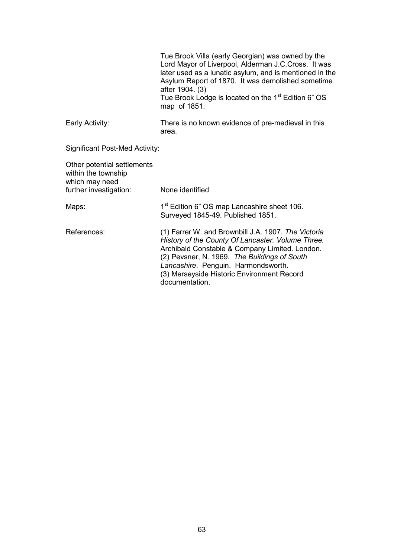|                                                                                                | Tue Brook Villa (early Georgian) was owned by the<br>Lord Mayor of Liverpool, Alderman J.C. Cross. It was<br>later used as a lunatic asylum, and is mentioned in the<br>Asylum Report of 1870. It was demolished sometime<br>after 1904. (3)<br>Tue Brook Lodge is located on the 1 <sup>st</sup> Edition 6" OS<br>map of 1851. |
|------------------------------------------------------------------------------------------------|---------------------------------------------------------------------------------------------------------------------------------------------------------------------------------------------------------------------------------------------------------------------------------------------------------------------------------|
| Early Activity:                                                                                | There is no known evidence of pre-medieval in this<br>area.                                                                                                                                                                                                                                                                     |
| Significant Post-Med Activity:                                                                 |                                                                                                                                                                                                                                                                                                                                 |
| Other potential settlements<br>within the township<br>which may need<br>further investigation: | None identified                                                                                                                                                                                                                                                                                                                 |
|                                                                                                |                                                                                                                                                                                                                                                                                                                                 |
| Maps:                                                                                          | 1 <sup>st</sup> Edition 6" OS map Lancashire sheet 106.<br>Surveyed 1845-49. Published 1851.                                                                                                                                                                                                                                    |
| References:                                                                                    | (1) Farrer W. and Brownbill J.A. 1907. The Victoria<br>History of the County Of Lancaster. Volume Three.<br>Archibald Constable & Company Limited. London.<br>(2) Pevsner, N. 1969. The Buildings of South<br>Lancashire. Penguin. Harmondsworth.<br>(3) Merseyside Historic Environment Record<br>documentation.               |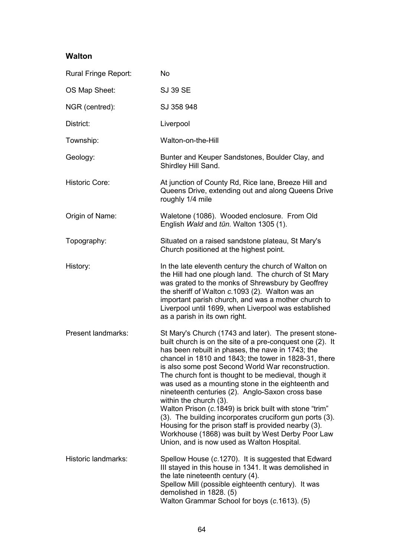## **Walton**

| Rural Fringe Report:  | <b>No</b>                                                                                                                                                                                                                                                                                                                                                                                                                                                                                                                                                                                                                                                                                                                                                           |
|-----------------------|---------------------------------------------------------------------------------------------------------------------------------------------------------------------------------------------------------------------------------------------------------------------------------------------------------------------------------------------------------------------------------------------------------------------------------------------------------------------------------------------------------------------------------------------------------------------------------------------------------------------------------------------------------------------------------------------------------------------------------------------------------------------|
| OS Map Sheet:         | <b>SJ 39 SE</b>                                                                                                                                                                                                                                                                                                                                                                                                                                                                                                                                                                                                                                                                                                                                                     |
| NGR (centred):        | SJ 358 948                                                                                                                                                                                                                                                                                                                                                                                                                                                                                                                                                                                                                                                                                                                                                          |
| District:             | Liverpool                                                                                                                                                                                                                                                                                                                                                                                                                                                                                                                                                                                                                                                                                                                                                           |
| Township:             | Walton-on-the-Hill                                                                                                                                                                                                                                                                                                                                                                                                                                                                                                                                                                                                                                                                                                                                                  |
| Geology:              | Bunter and Keuper Sandstones, Boulder Clay, and<br>Shirdley Hill Sand.                                                                                                                                                                                                                                                                                                                                                                                                                                                                                                                                                                                                                                                                                              |
| <b>Historic Core:</b> | At junction of County Rd, Rice lane, Breeze Hill and<br>Queens Drive, extending out and along Queens Drive<br>roughly 1/4 mile                                                                                                                                                                                                                                                                                                                                                                                                                                                                                                                                                                                                                                      |
| Origin of Name:       | Waletone (1086). Wooded enclosure. From Old<br>English Wald and tūn. Walton 1305 (1).                                                                                                                                                                                                                                                                                                                                                                                                                                                                                                                                                                                                                                                                               |
| Topography:           | Situated on a raised sandstone plateau, St Mary's<br>Church positioned at the highest point.                                                                                                                                                                                                                                                                                                                                                                                                                                                                                                                                                                                                                                                                        |
| History:              | In the late eleventh century the church of Walton on<br>the Hill had one plough land. The church of St Mary<br>was grated to the monks of Shrewsbury by Geoffrey<br>the sheriff of Walton c.1093 (2). Walton was an<br>important parish church, and was a mother church to<br>Liverpool until 1699, when Liverpool was established<br>as a parish in its own right.                                                                                                                                                                                                                                                                                                                                                                                                 |
| Present landmarks:    | St Mary's Church (1743 and later). The present stone-<br>built church is on the site of a pre-conquest one (2). It<br>has been rebuilt in phases, the nave in 1743; the<br>chancel in 1810 and 1843; the tower in 1828-31, there<br>is also some post Second World War reconstruction.<br>The church font is thought to be medieval, though it<br>was used as a mounting stone in the eighteenth and<br>nineteenth centuries (2). Anglo-Saxon cross base<br>within the church (3).<br>Walton Prison (c.1849) is brick built with stone "trim"<br>(3). The building incorporates cruciform gun ports (3).<br>Housing for the prison staff is provided nearby (3).<br>Workhouse (1868) was built by West Derby Poor Law<br>Union, and is now used as Walton Hospital. |
| Historic landmarks:   | Spellow House (c.1270). It is suggested that Edward<br>III stayed in this house in 1341. It was demolished in<br>the late nineteenth century (4).<br>Spellow Mill (possible eighteenth century). It was<br>demolished in 1828. (5)<br>Walton Grammar School for boys (c.1613). (5)                                                                                                                                                                                                                                                                                                                                                                                                                                                                                  |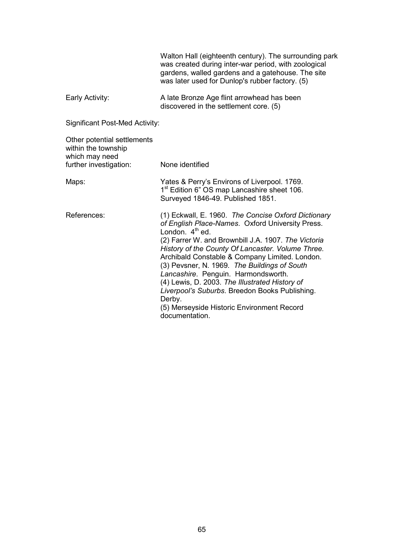Walton Hall (eighteenth century). The surrounding park was created during inter-war period, with zoological gardens, walled gardens and a gatehouse. The site was later used for Dunlop's rubber factory. (5) Early Activity: A late Bronze Age flint arrowhead has been discovered in the settlement core. (5) Significant Post-Med Activity: Other potential settlements within the township which may need further investigation: None identified Maps: Maps: Yates & Perry's Environs of Liverpool. 1769. 1<sup>st</sup> Edition 6" OS map Lancashire sheet 106. Surveyed 1846-49. Published 1851. References: (1) Eckwall, E. 1960. *The Concise Oxford Dictionary of English Place-Names*. Oxford University Press. London.  $4<sup>th</sup>$  ed. (2) Farrer W. and Brownbill J.A. 1907. *The Victoria History of the County Of Lancaster. Volume Three.*  Archibald Constable & Company Limited. London. (3) Pevsner, N. 1969. *The Buildings of South Lancashire*. Penguin. Harmondsworth. (4) Lewis, D. 2003. *The Illustrated History of Liverpool's Suburbs*. Breedon Books Publishing. Derby. (5) Merseyside Historic Environment Record documentation.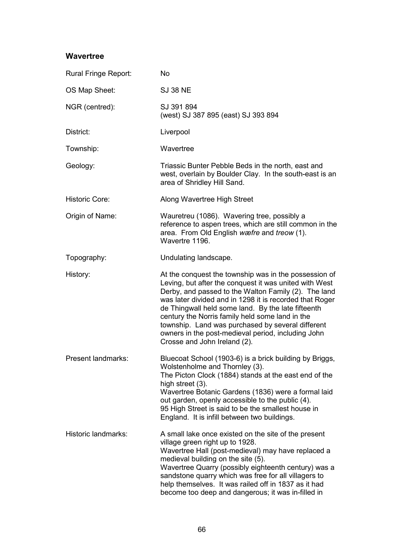## **Wavertree**

| Rural Fringe Report:  | <b>No</b>                                                                                                                                                                                                                                                                                                                                                                                                                                                                              |
|-----------------------|----------------------------------------------------------------------------------------------------------------------------------------------------------------------------------------------------------------------------------------------------------------------------------------------------------------------------------------------------------------------------------------------------------------------------------------------------------------------------------------|
| OS Map Sheet:         | <b>SJ 38 NE</b>                                                                                                                                                                                                                                                                                                                                                                                                                                                                        |
| NGR (centred):        | SJ 391 894<br>(west) SJ 387 895 (east) SJ 393 894                                                                                                                                                                                                                                                                                                                                                                                                                                      |
| District:             | Liverpool                                                                                                                                                                                                                                                                                                                                                                                                                                                                              |
| Township:             | Wavertree                                                                                                                                                                                                                                                                                                                                                                                                                                                                              |
| Geology:              | Triassic Bunter Pebble Beds in the north, east and<br>west, overlain by Boulder Clay. In the south-east is an<br>area of Shridley Hill Sand.                                                                                                                                                                                                                                                                                                                                           |
| <b>Historic Core:</b> | Along Wavertree High Street                                                                                                                                                                                                                                                                                                                                                                                                                                                            |
| Origin of Name:       | Wauretreu (1086). Wavering tree, possibly a<br>reference to aspen trees, which are still common in the<br>area. From Old English wæfre and treow (1).<br>Wavertre 1196.                                                                                                                                                                                                                                                                                                                |
| Topography:           | Undulating landscape.                                                                                                                                                                                                                                                                                                                                                                                                                                                                  |
| History:              | At the conquest the township was in the possession of<br>Leving, but after the conquest it was united with West<br>Derby, and passed to the Walton Family (2). The land<br>was later divided and in 1298 it is recorded that Roger<br>de Thingwall held some land. By the late fifteenth<br>century the Norris family held some land in the<br>township. Land was purchased by several different<br>owners in the post-medieval period, including John<br>Crosse and John Ireland (2). |
| Present landmarks:    | Bluecoat School (1903-6) is a brick building by Briggs,<br>Wolstenholme and Thornley (3).<br>The Picton Clock (1884) stands at the east end of the<br>high street (3).<br>Wavertree Botanic Gardens (1836) were a formal laid<br>out garden, openly accessible to the public (4).<br>95 High Street is said to be the smallest house in<br>England. It is infill between two buildings.                                                                                                |
| Historic landmarks:   | A small lake once existed on the site of the present<br>village green right up to 1928.<br>Wavertree Hall (post-medieval) may have replaced a<br>medieval building on the site (5).<br>Wavertree Quarry (possibly eighteenth century) was a<br>sandstone quarry which was free for all villagers to<br>help themselves. It was railed off in 1837 as it had<br>become too deep and dangerous; it was in-filled in                                                                      |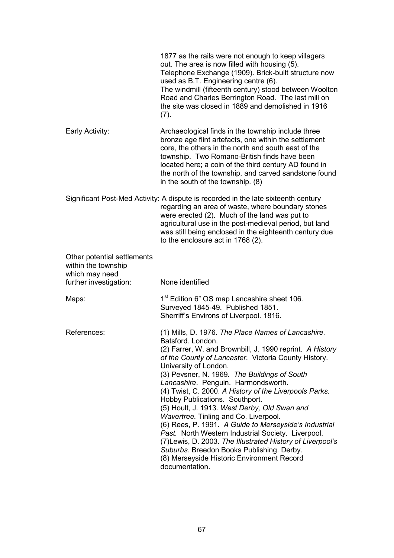|                                                                      | 1877 as the rails were not enough to keep villagers<br>out. The area is now filled with housing (5).<br>Telephone Exchange (1909). Brick-built structure now<br>used as B.T. Engineering centre (6).<br>The windmill (fifteenth century) stood between Woolton<br>Road and Charles Berrington Road. The last mill on<br>the site was closed in 1889 and demolished in 1916<br>(7).                                                                                                                                                                                                                                                                                                                                                                                                         |
|----------------------------------------------------------------------|--------------------------------------------------------------------------------------------------------------------------------------------------------------------------------------------------------------------------------------------------------------------------------------------------------------------------------------------------------------------------------------------------------------------------------------------------------------------------------------------------------------------------------------------------------------------------------------------------------------------------------------------------------------------------------------------------------------------------------------------------------------------------------------------|
| Early Activity:                                                      | Archaeological finds in the township include three<br>bronze age flint artefacts, one within the settlement<br>core, the others in the north and south east of the<br>township. Two Romano-British finds have been<br>located here; a coin of the third century AD found in<br>the north of the township, and carved sandstone found<br>in the south of the township. (8)                                                                                                                                                                                                                                                                                                                                                                                                                  |
|                                                                      | Significant Post-Med Activity: A dispute is recorded in the late sixteenth century<br>regarding an area of waste, where boundary stones<br>were erected (2). Much of the land was put to<br>agricultural use in the post-medieval period, but land<br>was still being enclosed in the eighteenth century due<br>to the enclosure act in 1768 (2).                                                                                                                                                                                                                                                                                                                                                                                                                                          |
| Other potential settlements<br>within the township<br>which may need |                                                                                                                                                                                                                                                                                                                                                                                                                                                                                                                                                                                                                                                                                                                                                                                            |
| further investigation:                                               | None identified                                                                                                                                                                                                                                                                                                                                                                                                                                                                                                                                                                                                                                                                                                                                                                            |
| Maps:                                                                | 1 <sup>st</sup> Edition 6" OS map Lancashire sheet 106.<br>Surveyed 1845-49. Published 1851.<br>Sherriff's Environs of Liverpool. 1816.                                                                                                                                                                                                                                                                                                                                                                                                                                                                                                                                                                                                                                                    |
| References:                                                          | (1) Mills, D. 1976. The Place Names of Lancashire.<br>Batsford. London.<br>(2) Farrer, W. and Brownbill, J. 1990 reprint. A History<br>of the County of Lancaster. Victoria County History.<br>University of London.<br>(3) Pevsner, N. 1969. The Buildings of South<br>Lancashire. Penguin. Harmondsworth.<br>(4) Twist, C. 2000. A History of the Liverpools Parks.<br>Hobby Publications. Southport.<br>(5) Hoult, J. 1913. West Derby, Old Swan and<br>Wavertree. Tinling and Co. Liverpool.<br>(6) Rees, P. 1991. A Guide to Merseyside's Industrial<br>Past. North Western Industrial Society. Liverpool.<br>(7) Lewis, D. 2003. The Illustrated History of Liverpool's<br>Suburbs. Breedon Books Publishing. Derby.<br>(8) Merseyside Historic Environment Record<br>documentation. |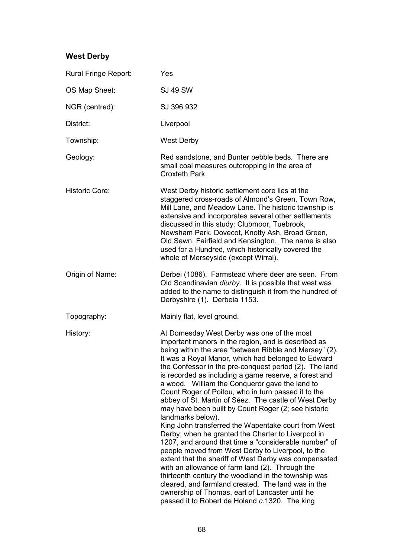# **West Derby**

| Rural Fringe Report:  | Yes                                                                                                                                                                                                                                                                                                                                                                                                                                                                                                                                                                                                                                                                                                                                                                                                                                                                                                                                                                                                                                                                                                                                         |
|-----------------------|---------------------------------------------------------------------------------------------------------------------------------------------------------------------------------------------------------------------------------------------------------------------------------------------------------------------------------------------------------------------------------------------------------------------------------------------------------------------------------------------------------------------------------------------------------------------------------------------------------------------------------------------------------------------------------------------------------------------------------------------------------------------------------------------------------------------------------------------------------------------------------------------------------------------------------------------------------------------------------------------------------------------------------------------------------------------------------------------------------------------------------------------|
| OS Map Sheet:         | <b>SJ 49 SW</b>                                                                                                                                                                                                                                                                                                                                                                                                                                                                                                                                                                                                                                                                                                                                                                                                                                                                                                                                                                                                                                                                                                                             |
| NGR (centred):        | SJ 396 932                                                                                                                                                                                                                                                                                                                                                                                                                                                                                                                                                                                                                                                                                                                                                                                                                                                                                                                                                                                                                                                                                                                                  |
| District:             | Liverpool                                                                                                                                                                                                                                                                                                                                                                                                                                                                                                                                                                                                                                                                                                                                                                                                                                                                                                                                                                                                                                                                                                                                   |
| Township:             | <b>West Derby</b>                                                                                                                                                                                                                                                                                                                                                                                                                                                                                                                                                                                                                                                                                                                                                                                                                                                                                                                                                                                                                                                                                                                           |
| Geology:              | Red sandstone, and Bunter pebble beds. There are<br>small coal measures outcropping in the area of<br>Croxteth Park.                                                                                                                                                                                                                                                                                                                                                                                                                                                                                                                                                                                                                                                                                                                                                                                                                                                                                                                                                                                                                        |
| <b>Historic Core:</b> | West Derby historic settlement core lies at the<br>staggered cross-roads of Almond's Green, Town Row,<br>Mill Lane, and Meadow Lane. The historic township is<br>extensive and incorporates several other settlements<br>discussed in this study: Clubmoor, Tuebrook,<br>Newsham Park, Dovecot, Knotty Ash, Broad Green,<br>Old Sawn, Fairfield and Kensington. The name is also<br>used for a Hundred, which historically covered the<br>whole of Merseyside (except Wirral).                                                                                                                                                                                                                                                                                                                                                                                                                                                                                                                                                                                                                                                              |
| Origin of Name:       | Derbei (1086). Farmstead where deer are seen. From<br>Old Scandinavian <i>diurby</i> . It is possible that west was<br>added to the name to distinguish it from the hundred of<br>Derbyshire (1). Derbeia 1153.                                                                                                                                                                                                                                                                                                                                                                                                                                                                                                                                                                                                                                                                                                                                                                                                                                                                                                                             |
| Topography:           | Mainly flat, level ground.                                                                                                                                                                                                                                                                                                                                                                                                                                                                                                                                                                                                                                                                                                                                                                                                                                                                                                                                                                                                                                                                                                                  |
| History:              | At Domesday West Derby was one of the most<br>important manors in the region, and is described as<br>being within the area "between Ribble and Mersey" (2).<br>It was a Royal Manor, which had belonged to Edward<br>the Confessor in the pre-conquest period (2). The land<br>is recorded as including a game reserve, a forest and<br>a wood. William the Conqueror gave the land to<br>Count Roger of Poitou, who in turn passed it to the<br>abbey of St. Martin of Séez. The castle of West Derby<br>may have been built by Count Roger (2; see historic<br>landmarks below).<br>King John transferred the Wapentake court from West<br>Derby, when he granted the Charter to Liverpool in<br>1207, and around that time a "considerable number" of<br>people moved from West Derby to Liverpool, to the<br>extent that the sheriff of West Derby was compensated<br>with an allowance of farm land (2). Through the<br>thirteenth century the woodland in the township was<br>cleared, and farmland created. The land was in the<br>ownership of Thomas, earl of Lancaster until he<br>passed it to Robert de Holand c.1320. The king |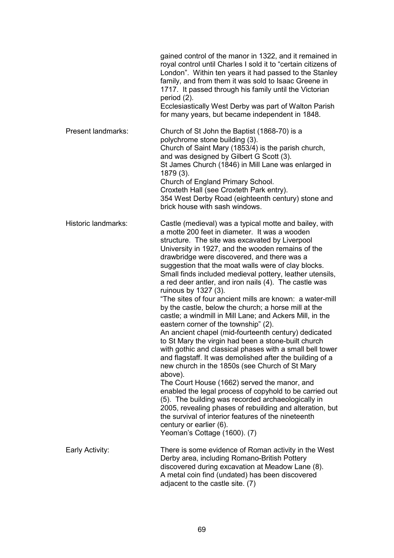|                           | gained control of the manor in 1322, and it remained in<br>royal control until Charles I sold it to "certain citizens of<br>London". Within ten years it had passed to the Stanley<br>family, and from them it was sold to Isaac Greene in<br>1717. It passed through his family until the Victorian<br>period $(2)$ .<br>Ecclesiastically West Derby was part of Walton Parish<br>for many years, but became independent in 1848.                                                                                                                                                                                                                                                                                                                                                                                                                                                                                                                                                                                                                                                                                                                                                                                                                                                                                                           |
|---------------------------|----------------------------------------------------------------------------------------------------------------------------------------------------------------------------------------------------------------------------------------------------------------------------------------------------------------------------------------------------------------------------------------------------------------------------------------------------------------------------------------------------------------------------------------------------------------------------------------------------------------------------------------------------------------------------------------------------------------------------------------------------------------------------------------------------------------------------------------------------------------------------------------------------------------------------------------------------------------------------------------------------------------------------------------------------------------------------------------------------------------------------------------------------------------------------------------------------------------------------------------------------------------------------------------------------------------------------------------------|
| <b>Present landmarks:</b> | Church of St John the Baptist (1868-70) is a<br>polychrome stone building (3).<br>Church of Saint Mary (1853/4) is the parish church,<br>and was designed by Gilbert G Scott (3).<br>St James Church (1846) in Mill Lane was enlarged in<br>1879 (3).<br>Church of England Primary School.<br>Croxteth Hall (see Croxteth Park entry).<br>354 West Derby Road (eighteenth century) stone and<br>brick house with sash windows.                                                                                                                                                                                                                                                                                                                                                                                                                                                                                                                                                                                                                                                                                                                                                                                                                                                                                                               |
| Historic landmarks:       | Castle (medieval) was a typical motte and bailey, with<br>a motte 200 feet in diameter. It was a wooden<br>structure. The site was excavated by Liverpool<br>University in 1927, and the wooden remains of the<br>drawbridge were discovered, and there was a<br>suggestion that the moat walls were of clay blocks.<br>Small finds included medieval pottery, leather utensils,<br>a red deer antler, and iron nails (4). The castle was<br>ruinous by 1327 (3).<br>"The sites of four ancient mills are known: a water-mill<br>by the castle, below the church; a horse mill at the<br>castle; a windmill in Mill Lane; and Ackers Mill, in the<br>eastern corner of the township" (2).<br>An ancient chapel (mid-fourteenth century) dedicated<br>to St Mary the virgin had been a stone-built church<br>with gothic and classical phases with a small bell tower<br>and flagstaff. It was demolished after the building of a<br>new church in the 1850s (see Church of St Mary<br>above).<br>The Court House (1662) served the manor, and<br>enabled the legal process of copyhold to be carried out<br>(5). The building was recorded archaeologically in<br>2005, revealing phases of rebuilding and alteration, but<br>the survival of interior features of the nineteenth<br>century or earlier (6).<br>Yeoman's Cottage (1600). (7) |
| Early Activity:           | There is some evidence of Roman activity in the West<br>Derby area, including Romano-British Pottery<br>discovered during excavation at Meadow Lane (8).<br>A metal coin find (undated) has been discovered<br>adjacent to the castle site. (7)                                                                                                                                                                                                                                                                                                                                                                                                                                                                                                                                                                                                                                                                                                                                                                                                                                                                                                                                                                                                                                                                                              |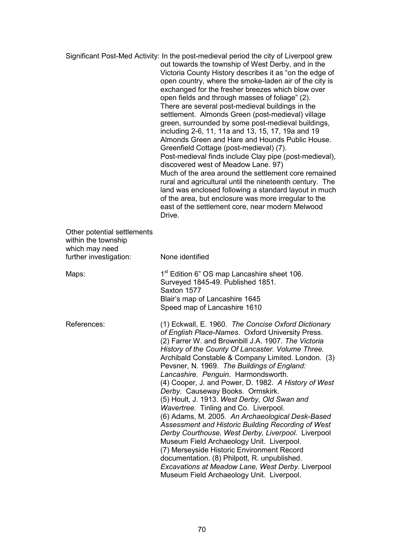|                                                                                                | Significant Post-Med Activity: In the post-medieval period the city of Liverpool grew<br>out towards the township of West Derby, and in the<br>Victoria County History describes it as "on the edge of<br>open country, where the smoke-laden air of the city is<br>exchanged for the fresher breezes which blow over<br>open fields and through masses of foliage" (2).<br>There are several post-medieval buildings in the<br>settlement. Almonds Green (post-medieval) village<br>green, surrounded by some post-medieval buildings,<br>including 2-6, 11, 11a and 13, 15, 17, 19a and 19<br>Almonds Green and Hare and Hounds Public House.<br>Greenfield Cottage (post-medieval) (7).<br>Post-medieval finds include Clay pipe (post-medieval),<br>discovered west of Meadow Lane. 97)<br>Much of the area around the settlement core remained<br>rural and agricultural until the nineteenth century. The<br>land was enclosed following a standard layout in much<br>of the area, but enclosure was more irregular to the<br>east of the settlement core, near modern Melwood<br>Drive. |
|------------------------------------------------------------------------------------------------|------------------------------------------------------------------------------------------------------------------------------------------------------------------------------------------------------------------------------------------------------------------------------------------------------------------------------------------------------------------------------------------------------------------------------------------------------------------------------------------------------------------------------------------------------------------------------------------------------------------------------------------------------------------------------------------------------------------------------------------------------------------------------------------------------------------------------------------------------------------------------------------------------------------------------------------------------------------------------------------------------------------------------------------------------------------------------------------------|
| Other potential settlements<br>within the township<br>which may need<br>further investigation: | None identified                                                                                                                                                                                                                                                                                                                                                                                                                                                                                                                                                                                                                                                                                                                                                                                                                                                                                                                                                                                                                                                                                |
| Maps:                                                                                          | 1 <sup>st</sup> Edition 6" OS map Lancashire sheet 106.<br>Surveyed 1845-49. Published 1851.<br>Saxton 1577<br>Blair's map of Lancashire 1645<br>Speed map of Lancashire 1610                                                                                                                                                                                                                                                                                                                                                                                                                                                                                                                                                                                                                                                                                                                                                                                                                                                                                                                  |
| References:                                                                                    | (1) Eckwall, E. 1960. The Concise Oxford Dictionary<br>of English Place-Names. Oxford University Press.<br>(2) Farrer W. and Brownbill J.A. 1907. The Victoria<br>History of the County Of Lancaster. Volume Three.<br>Archibald Constable & Company Limited. London. (3)<br>Pevsner, N. 1969. The Buildings of England:<br>Lancashire. Penguin. Harmondsworth.<br>(4) Cooper, J. and Power, D. 1982. A History of West<br>Derby. Causeway Books. Ormskirk.<br>(5) Hoult, J. 1913. West Derby, Old Swan and<br>Wavertree. Tinling and Co. Liverpool.<br>(6) Adams, M. 2005. An Archaeological Desk-Based<br>Assessment and Historic Building Recording of West<br>Derby Courthouse, West Derby, Liverpool. Liverpool<br>Museum Field Archaeology Unit. Liverpool.<br>(7) Merseyside Historic Environment Record<br>documentation. (8) Philpott, R. unpublished.<br>Excavations at Meadow Lane, West Derby. Liverpool<br>Museum Field Archaeology Unit. Liverpool.                                                                                                                              |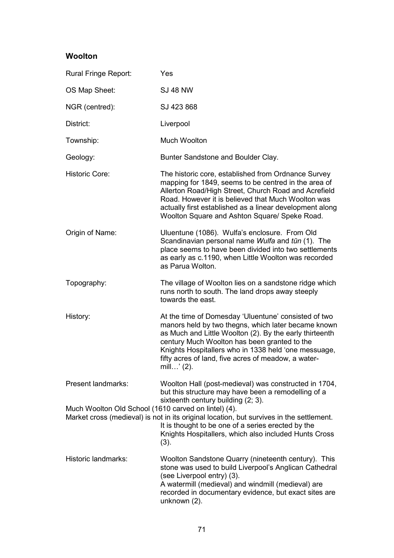## **Woolton**

| Rural Fringe Report:                                 | Yes                                                                                                                                                                                                                                                                                                                                                    |
|------------------------------------------------------|--------------------------------------------------------------------------------------------------------------------------------------------------------------------------------------------------------------------------------------------------------------------------------------------------------------------------------------------------------|
| OS Map Sheet:                                        | <b>SJ 48 NW</b>                                                                                                                                                                                                                                                                                                                                        |
| NGR (centred):                                       | SJ 423 868                                                                                                                                                                                                                                                                                                                                             |
| District:                                            | Liverpool                                                                                                                                                                                                                                                                                                                                              |
| Township:                                            | <b>Much Woolton</b>                                                                                                                                                                                                                                                                                                                                    |
| Geology:                                             | Bunter Sandstone and Boulder Clay.                                                                                                                                                                                                                                                                                                                     |
| <b>Historic Core:</b>                                | The historic core, established from Ordnance Survey<br>mapping for 1849, seems to be centred in the area of<br>Allerton Road/High Street, Church Road and Acrefield<br>Road. However it is believed that Much Woolton was<br>actually first established as a linear development along<br>Woolton Square and Ashton Square/ Speke Road.                 |
| Origin of Name:                                      | Uluentune (1086). Wulfa's enclosure. From Old<br>Scandinavian personal name Wulfa and tūn (1). The<br>place seems to have been divided into two settlements<br>as early as c.1190, when Little Woolton was recorded<br>as Parua Wolton.                                                                                                                |
| Topography:                                          | The village of Woolton lies on a sandstone ridge which<br>runs north to south. The land drops away steeply<br>towards the east.                                                                                                                                                                                                                        |
| History:                                             | At the time of Domesday 'Uluentune' consisted of two<br>manors held by two thegns, which later became known<br>as Much and Little Woolton (2). By the early thirteenth<br>century Much Woolton has been granted to the<br>Knights Hospitallers who in 1338 held 'one messuage,<br>fifty acres of land, five acres of meadow, a water-<br>mill' $(2)$ . |
| Present landmarks:                                   | Woolton Hall (post-medieval) was constructed in 1704,<br>but this structure may have been a remodelling of a<br>sixteenth century building (2; 3).                                                                                                                                                                                                     |
| Much Woolton Old School (1610 carved on lintel) (4). | Market cross (medieval) is not in its original location, but survives in the settlement.<br>It is thought to be one of a series erected by the<br>Knights Hospitallers, which also included Hunts Cross<br>(3).                                                                                                                                        |
| Historic landmarks:                                  | Woolton Sandstone Quarry (nineteenth century). This<br>stone was used to build Liverpool's Anglican Cathedral<br>(see Liverpool entry) (3).<br>A watermill (medieval) and windmill (medieval) are<br>recorded in documentary evidence, but exact sites are<br>unknown (2).                                                                             |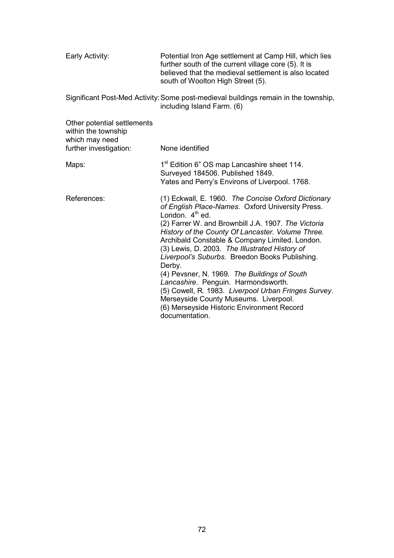| Early Activity:                                                                                | Potential Iron Age settlement at Camp Hill, which lies<br>further south of the current village core (5). It is<br>believed that the medieval settlement is also located<br>south of Woolton High Street (5).                                                                                                                                                                                                                                                                                                                                                                                                                                                     |
|------------------------------------------------------------------------------------------------|------------------------------------------------------------------------------------------------------------------------------------------------------------------------------------------------------------------------------------------------------------------------------------------------------------------------------------------------------------------------------------------------------------------------------------------------------------------------------------------------------------------------------------------------------------------------------------------------------------------------------------------------------------------|
|                                                                                                | Significant Post-Med Activity: Some post-medieval buildings remain in the township,<br>including Island Farm. (6)                                                                                                                                                                                                                                                                                                                                                                                                                                                                                                                                                |
| Other potential settlements<br>within the township<br>which may need<br>further investigation: | None identified                                                                                                                                                                                                                                                                                                                                                                                                                                                                                                                                                                                                                                                  |
| Maps:                                                                                          | 1 <sup>st</sup> Edition 6" OS map Lancashire sheet 114.<br>Surveyed 184506. Published 1849.<br>Yates and Perry's Environs of Liverpool. 1768.                                                                                                                                                                                                                                                                                                                                                                                                                                                                                                                    |
| References:                                                                                    | (1) Eckwall, E. 1960. The Concise Oxford Dictionary<br>of English Place-Names. Oxford University Press.<br>London. $4th$ ed.<br>(2) Farrer W. and Brownbill J.A. 1907. The Victoria<br>History of the County Of Lancaster. Volume Three.<br>Archibald Constable & Company Limited. London.<br>(3) Lewis, D. 2003. The Illustrated History of<br>Liverpool's Suburbs. Breedon Books Publishing.<br>Derby.<br>(4) Pevsner, N. 1969. The Buildings of South<br>Lancashire. Penguin. Harmondsworth.<br>(5) Cowell, R. 1983. Liverpool Urban Fringes Survey.<br>Merseyside County Museums. Liverpool.<br>(6) Merseyside Historic Environment Record<br>documentation. |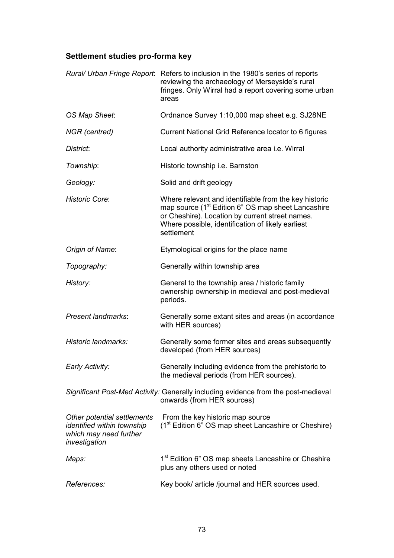## **Settlement studies pro-forma key**

|                                                                                                      | Rural/ Urban Fringe Report: Refers to inclusion in the 1980's series of reports<br>reviewing the archaeology of Merseyside's rural<br>fringes. Only Wirral had a report covering some urban<br>areas                                          |
|------------------------------------------------------------------------------------------------------|-----------------------------------------------------------------------------------------------------------------------------------------------------------------------------------------------------------------------------------------------|
| OS Map Sheet:                                                                                        | Ordnance Survey 1:10,000 map sheet e.g. SJ28NE                                                                                                                                                                                                |
| NGR (centred)                                                                                        | Current National Grid Reference locator to 6 figures                                                                                                                                                                                          |
| District:                                                                                            | Local authority administrative area i.e. Wirral                                                                                                                                                                                               |
| Township:                                                                                            | Historic township i.e. Barnston                                                                                                                                                                                                               |
| Geology:                                                                                             | Solid and drift geology                                                                                                                                                                                                                       |
| <b>Historic Core:</b>                                                                                | Where relevant and identifiable from the key historic<br>map source (1 <sup>st</sup> Edition 6" OS map sheet Lancashire<br>or Cheshire). Location by current street names.<br>Where possible, identification of likely earliest<br>settlement |
| Origin of Name:                                                                                      | Etymological origins for the place name                                                                                                                                                                                                       |
| Topography:                                                                                          | Generally within township area                                                                                                                                                                                                                |
| History:                                                                                             | General to the township area / historic family<br>ownership ownership in medieval and post-medieval<br>periods.                                                                                                                               |
| Present landmarks:                                                                                   | Generally some extant sites and areas (in accordance<br>with HER sources)                                                                                                                                                                     |
| Historic landmarks:                                                                                  | Generally some former sites and areas subsequently<br>developed (from HER sources)                                                                                                                                                            |
| Early Activity:                                                                                      | Generally including evidence from the prehistoric to<br>the medieval periods (from HER sources).                                                                                                                                              |
|                                                                                                      | Significant Post-Med Activity: Generally including evidence from the post-medieval<br>onwards (from HER sources)                                                                                                                              |
| Other potential settlements<br>identified within township<br>which may need further<br>investigation | From the key historic map source<br>(1 <sup>st</sup> Edition 6" OS map sheet Lancashire or Cheshire)                                                                                                                                          |
| Maps:                                                                                                | 1 <sup>st</sup> Edition 6" OS map sheets Lancashire or Cheshire<br>plus any others used or noted                                                                                                                                              |
| References:                                                                                          | Key book/ article /journal and HER sources used.                                                                                                                                                                                              |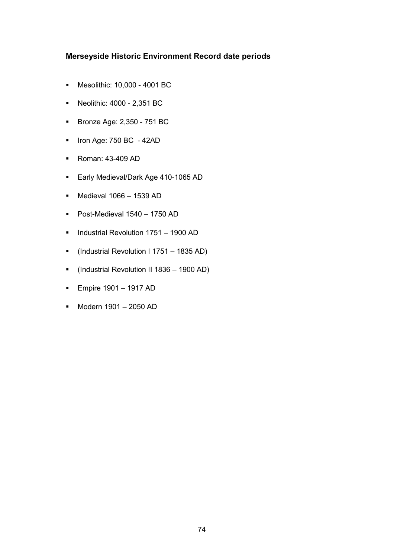## **Merseyside Historic Environment Record date periods**

- Mesolithic: 10,000 4001 BC
- Neolithic: 4000 2,351 BC
- **Bronze Age: 2,350 751 BC**
- $\blacksquare$  Iron Age: 750 BC 42AD
- **Roman: 43-409 AD**
- **Early Medieval/Dark Age 410-1065 AD**
- $\blacksquare$  Medieval 1066 1539 AD
- Post-Medieval  $1540 1750$  AD
- **Industrial Revolution 1751 1900 AD**
- (Industrial Revolution I 1751 1835 AD)
- (Industrial Revolution II 1836 1900 AD)
- **Empire 1901 1917 AD**
- Modern 1901 2050 AD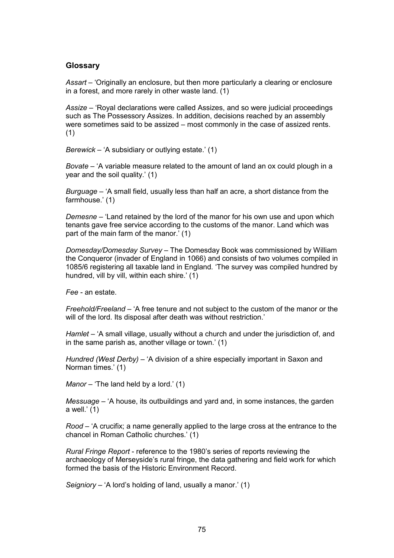## **Glossary**

*Assart* – 'Originally an enclosure, but then more particularly a clearing or enclosure in a forest, and more rarely in other waste land. (1)

*Assize* – 'Royal declarations were called Assizes, and so were judicial proceedings such as The Possessory Assizes. In addition, decisions reached by an assembly were sometimes said to be assized – most commonly in the case of assized rents. (1)

*Berewick* – 'A subsidiary or outlying estate.' (1)

*Bovate* – 'A variable measure related to the amount of land an ox could plough in a year and the soil quality.' (1)

*Burguage* – 'A small field, usually less than half an acre, a short distance from the farmhouse.' (1)

*Demesne* – 'Land retained by the lord of the manor for his own use and upon which tenants gave free service according to the customs of the manor. Land which was part of the main farm of the manor.' (1)

*Domesday/Domesday Survey* – The Domesday Book was commissioned by William the Conqueror (invader of England in 1066) and consists of two volumes compiled in 1085/6 registering all taxable land in England. 'The survey was compiled hundred by hundred, vill by vill, within each shire.' (1)

*Fee* - an estate.

*Freehold/Freeland* – 'A free tenure and not subject to the custom of the manor or the will of the lord. Its disposal after death was without restriction.'

*Hamlet* – 'A small village, usually without a church and under the jurisdiction of, and in the same parish as, another village or town.' (1)

*Hundred (West Derby)* – 'A division of a shire especially important in Saxon and Norman times.' (1)

*Manor* – 'The land held by a lord.' (1)

*Messuage* – 'A house, its outbuildings and yard and, in some instances, the garden a well. $'$  (1)

*Rood* – 'A crucifix; a name generally applied to the large cross at the entrance to the chancel in Roman Catholic churches.' (1)

*Rural Fringe Report* - reference to the 1980's series of reports reviewing the archaeology of Merseyside's rural fringe, the data gathering and field work for which formed the basis of the Historic Environment Record.

*Seigniory* – 'A lord's holding of land, usually a manor.' (1)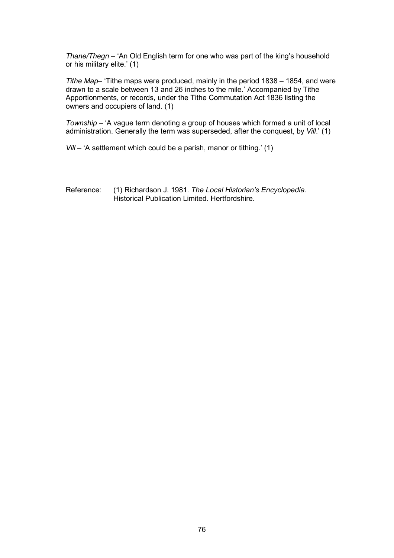*Thane/Thegn* – 'An Old English term for one who was part of the king's household or his military elite.' (1)

*Tithe Map*– 'Tithe maps were produced, mainly in the period 1838 – 1854, and were drawn to a scale between 13 and 26 inches to the mile.' Accompanied by Tithe Apportionments, or records, under the Tithe Commutation Act 1836 listing the owners and occupiers of land. (1)

*Township* – 'A vague term denoting a group of houses which formed a unit of local administration. Generally the term was superseded, after the conquest, by *Vill*.' (1)

*Vill* – 'A settlement which could be a parish, manor or tithing.' (1)

Reference: (1) Richardson J. 1981. *The Local Historian's Encyclopedia.* Historical Publication Limited. Hertfordshire.